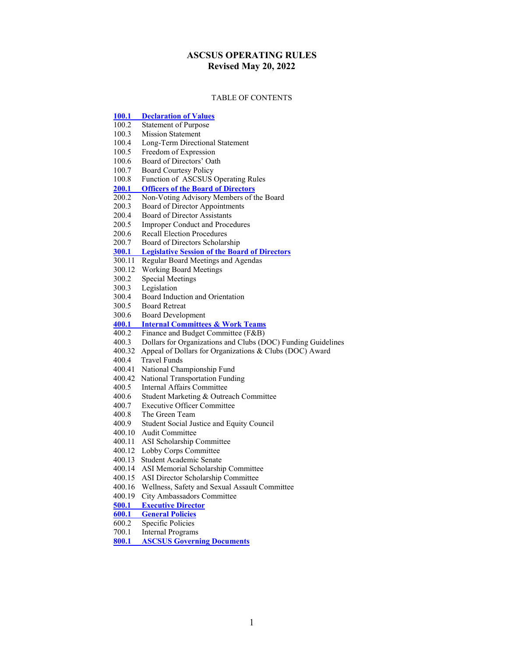# **ASCSUS OPERATING RULES Revised May 20, 2022**

#### TABLE OF CONTENTS

| $\underline{100.1}$ | <b>Declaration of Values</b>                                   |
|---------------------|----------------------------------------------------------------|
| 100.2               | <b>Statement of Purpose</b>                                    |
| 100.3               | <b>Mission Statement</b>                                       |
| 100.4               | Long-Term Directional Statement                                |
| 100.5               | Freedom of Expression                                          |
| 100.6               | Board of Directors' Oath                                       |
| 100.7               | <b>Board Courtesy Policy</b>                                   |
| 100.8               | Function of ASCSUS Operating Rules                             |
| 200.1               | <b>Officers of the Board of Directors</b>                      |
| 200.2               | Non-Voting Advisory Members of the Board                       |
| 200.3               | Board of Director Appointments                                 |
| 200.4               | Board of Director Assistants                                   |
| 200.5               | <b>Improper Conduct and Procedures</b>                         |
| 200.6               | <b>Recall Election Procedures</b>                              |
|                     | 200.7 Board of Directors Scholarship                           |
|                     | <b>300.1</b> Legislative Session of the Board of Directors     |
|                     | 300.11 Regular Board Meetings and Agendas                      |
|                     | 300.12 Working Board Meetings                                  |
| 300.2               | <b>Special Meetings</b>                                        |
| 300.3               | Legislation                                                    |
| 300.4               | Board Induction and Orientation                                |
| 300.5               | <b>Board Retreat</b>                                           |
|                     | 300.6 Board Development                                        |
|                     | 400.1 Internal Committees & Work Teams                         |
|                     | 400.2 Finance and Budget Committee (F&B)                       |
| 400.3               | Dollars for Organizations and Clubs (DOC) Funding Guidelines   |
|                     | 400.32 Appeal of Dollars for Organizations & Clubs (DOC) Award |
| 400.4               | <b>Travel Funds</b>                                            |
|                     | 400.41 National Championship Fund                              |
|                     | 400.42 National Transportation Funding                         |
| 400.5               | Internal Affairs Committee                                     |
| 400.6               | Student Marketing & Outreach Committee                         |
|                     | 400.7 Executive Officer Committee                              |
|                     | 400.8 The Green Team                                           |
|                     | 400.9 Student Social Justice and Equity Council                |
|                     | 400.10 Audit Committee                                         |
|                     | 400.11 ASI Scholarship Committee                               |
|                     | 400.12 Lobby Corps Committee                                   |
|                     | 400.13 Student Academic Senate                                 |
| 400.14              | ASI Memorial Scholarship Committee                             |
| 400.15              | ASI Director Scholarship Committee                             |
| 400.16              | Wellness, Safety and Sexual Assault Committee                  |
| 400.19              | City Ambassadors Committee                                     |
| 500.1               | <b>Executive Director</b>                                      |
| 600.1               | <b>General Policies</b>                                        |
| 600.2               | Specific Policies                                              |
| 700.1               | <b>Internal Programs</b>                                       |
| 800.1               | <b>ASCSUS Governing Documents</b>                              |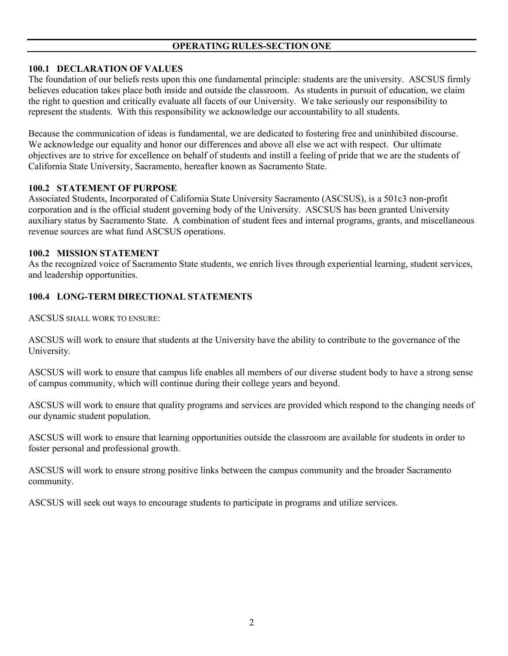## <span id="page-1-0"></span>**100.1 DECLARATION OF VALUES**

The foundation of our beliefs rests upon this one fundamental principle: students are the university. ASCSUS firmly believes education takes place both inside and outside the classroom. As students in pursuit of education, we claim the right to question and critically evaluate all facets of our University. We take seriously our responsibility to represent the students. With this responsibility we acknowledge our accountability to all students.

Because the communication of ideas is fundamental, we are dedicated to fostering free and uninhibited discourse. We acknowledge our equality and honor our differences and above all else we act with respect. Our ultimate objectives are to strive for excellence on behalf of students and instill a feeling of pride that we are the students of California State University, Sacramento, hereafter known as Sacramento State.

### **100.2 STATEMENT OF PURPOSE**

Associated Students, Incorporated of California State University Sacramento (ASCSUS), is a 501c3 non-profit corporation and is the official student governing body of the University. ASCSUS has been granted University auxiliary status by Sacramento State. A combination of student fees and internal programs, grants, and miscellaneous revenue sources are what fund ASCSUS operations.

### **100.2 MISSION STATEMENT**

As the recognized voice of Sacramento State students, we enrich lives through experiential learning, student services, and leadership opportunities.

## **100.4 LONG-TERM DIRECTIONAL STATEMENTS**

ASCSUS SHALL WORK TO ENSURE:

ASCSUS will work to ensure that students at the University have the ability to contribute to the governance of the University.

ASCSUS will work to ensure that campus life enables all members of our diverse student body to have a strong sense of campus community, which will continue during their college years and beyond.

ASCSUS will work to ensure that quality programs and services are provided which respond to the changing needs of our dynamic student population.

ASCSUS will work to ensure that learning opportunities outside the classroom are available for students in order to foster personal and professional growth.

ASCSUS will work to ensure strong positive links between the campus community and the broader Sacramento community.

ASCSUS will seek out ways to encourage students to participate in programs and utilize services.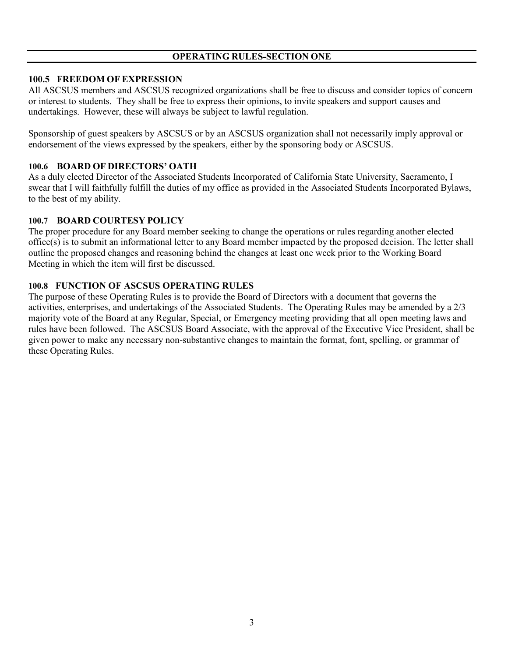### **100.5 FREEDOM OF EXPRESSION**

All ASCSUS members and ASCSUS recognized organizations shall be free to discuss and consider topics of concern or interest to students. They shall be free to express their opinions, to invite speakers and support causes and undertakings. However, these will always be subject to lawful regulation.

Sponsorship of guest speakers by ASCSUS or by an ASCSUS organization shall not necessarily imply approval or endorsement of the views expressed by the speakers, either by the sponsoring body or ASCSUS.

#### **100.6 BOARD OF DIRECTORS' OATH**

As a duly elected Director of the Associated Students Incorporated of California State University, Sacramento, I swear that I will faithfully fulfill the duties of my office as provided in the Associated Students Incorporated Bylaws, to the best of my ability.

#### **100.7 BOARD COURTESY POLICY**

The proper procedure for any Board member seeking to change the operations or rules regarding another elected office(s) is to submit an informational letter to any Board member impacted by the proposed decision. The letter shall outline the proposed changes and reasoning behind the changes at least one week prior to the Working Board Meeting in which the item will first be discussed.

#### **100.8 FUNCTION OF ASCSUS OPERATING RULES**

The purpose of these Operating Rules is to provide the Board of Directors with a document that governs the activities, enterprises, and undertakings of the Associated Students. The Operating Rules may be amended by a 2/3 majority vote of the Board at any Regular, Special, or Emergency meeting providing that all open meeting laws and rules have been followed. The ASCSUS Board Associate, with the approval of the Executive Vice President, shall be given power to make any necessary non-substantive changes to maintain the format, font, spelling, or grammar of these Operating Rules.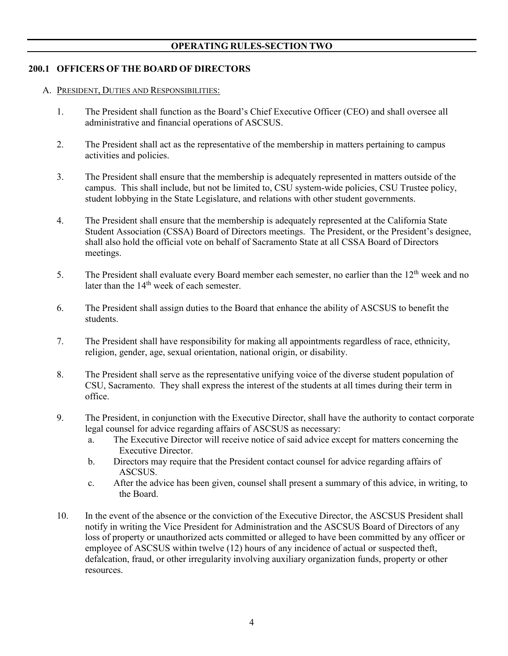### **200.1 OFFICERS OF THE BOARD OF DIRECTORS**

- <span id="page-3-0"></span>A. PRESIDENT, DUTIES AND RESPONSIBILITIES:
	- 1. The President shall function as the Board's Chief Executive Officer (CEO) and shall oversee all administrative and financial operations of ASCSUS.
	- 2. The President shall act as the representative of the membership in matters pertaining to campus activities and policies.
	- 3. The President shall ensure that the membership is adequately represented in matters outside of the campus. This shall include, but not be limited to, CSU system-wide policies, CSU Trustee policy, student lobbying in the State Legislature, and relations with other student governments.
	- 4. The President shall ensure that the membership is adequately represented at the California State Student Association (CSSA) Board of Directors meetings. The President, or the President's designee, shall also hold the official vote on behalf of Sacramento State at all CSSA Board of Directors meetings.
	- 5. The President shall evaluate every Board member each semester, no earlier than the  $12<sup>th</sup>$  week and no  $\frac{1}{2}$  later than the 14<sup>th</sup> week of each semester.
	- 6. The President shall assign duties to the Board that enhance the ability of ASCSUS to benefit the students.
	- 7. The President shall have responsibility for making all appointments regardless of race, ethnicity, religion, gender, age, sexual orientation, national origin, or disability.
	- 8. The President shall serve as the representative unifying voice of the diverse student population of CSU, Sacramento. They shall express the interest of the students at all times during their term in office.
	- 9. The President, in conjunction with the Executive Director, shall have the authority to contact corporate legal counsel for advice regarding affairs of ASCSUS as necessary:
		- a. The Executive Director will receive notice of said advice except for matters concerning the Executive Director.
		- b. Directors may require that the President contact counsel for advice regarding affairs of ASCSUS.
		- c. After the advice has been given, counsel shall present a summary of this advice, in writing, to the Board.
	- 10. In the event of the absence or the conviction of the Executive Director, the ASCSUS President shall notify in writing the Vice President for Administration and the ASCSUS Board of Directors of any loss of property or unauthorized acts committed or alleged to have been committed by any officer or employee of ASCSUS within twelve (12) hours of any incidence of actual or suspected theft, defalcation, fraud, or other irregularity involving auxiliary organization funds, property or other resources.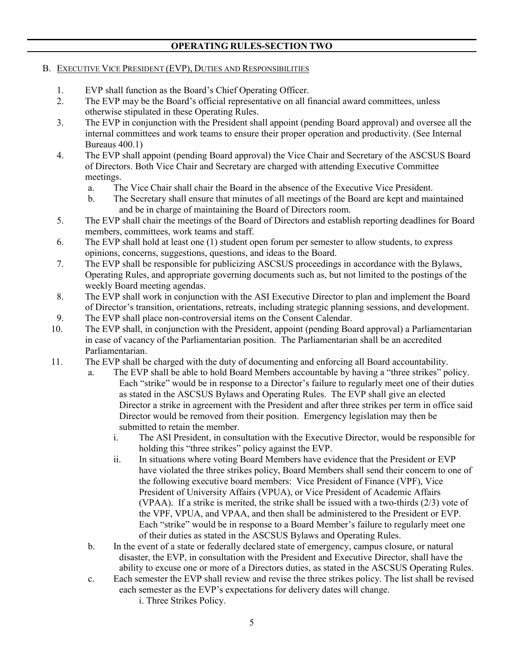### B. EXECUTIVE VICE PRESIDENT (EVP), DUTIES AND RESPONSIBILITIES

- 1. EVP shall function as the Board's Chief Operating Officer.
- 2. The EVP may be the Board's official representative on all financial award committees, unless otherwise stipulated in these Operating Rules.
- 3. The EVP in conjunction with the President shall appoint (pending Board approval) and oversee all the internal committees and work teams to ensure their proper operation and productivity. (See Internal Bureaus 400.1)
- 4. The EVP shall appoint (pending Board approval) the Vice Chair and Secretary of the ASCSUS Board of Directors. Both Vice Chair and Secretary are charged with attending Executive Committee meetings.
	- a. The Vice Chair shall chair the Board in the absence of the Executive Vice President.
	- b. The Secretary shall ensure that minutes of all meetings of the Board are kept and maintained and be in charge of maintaining the Board of Directors room.
- 5. The EVP shall chair the meetings of the Board of Directors and establish reporting deadlines for Board members, committees, work teams and staff.
- 6. The EVP shall hold at least one (1) student open forum per semester to allow students, to express opinions, concerns, suggestions, questions, and ideas to the Board.
- 7. The EVP shall be responsible for publicizing ASCSUS proceedings in accordance with the Bylaws, Operating Rules, and appropriate governing documents such as, but not limited to the postings of the weekly Board meeting agendas.
- 8. The EVP shall work in conjunction with the ASI Executive Director to plan and implement the Board of Director's transition, orientations, retreats, including strategic planning sessions, and development.
- 9. The EVP shall place non-controversial items on the Consent Calendar.
- 10. The EVP shall, in conjunction with the President, appoint (pending Board approval) a Parliamentarian in case of vacancy of the Parliamentarian position. The Parliamentarian shall be an accredited Parliamentarian.
- 11. The EVP shall be charged with the duty of documenting and enforcing all Board accountability.
	- a. The EVP shall be able to hold Board Members accountable by having a "three strikes" policy. Each "strike" would be in response to a Director's failure to regularly meet one of their duties as stated in the ASCSUS Bylaws and Operating Rules. The EVP shall give an elected Director a strike in agreement with the President and after three strikes per term in office said Director would be removed from their position. Emergency legislation may then be submitted to retain the member.
		- i. The ASI President, in consultation with the Executive Director, would be responsible for holding this "three strikes" policy against the EVP.
		- ii. In situations where voting Board Members have evidence that the President or EVP have violated the three strikes policy, Board Members shall send their concern to one of the following executive board members: Vice President of Finance (VPF), Vice President of University Affairs (VPUA), or Vice President of Academic Affairs (VPAA). If a strike is merited, the strike shall be issued with a two-thirds (2/3) vote of the VPF, VPUA, and VPAA, and then shall be administered to the President or EVP. Each "strike" would be in response to a Board Member's failure to regularly meet one of their duties as stated in the ASCSUS Bylaws and Operating Rules.
	- b. In the event of a state or federally declared state of emergency, campus closure, or natural disaster, the EVP, in consultation with the President and Executive Director, shall have the ability to excuse one or more of a Directors duties, as stated in the ASCSUS Operating Rules.
	- c. Each semester the EVP shall review and revise the three strikes policy. The list shall be revised each semester as the EVP's expectations for delivery dates will change. i. Three Strikes Policy.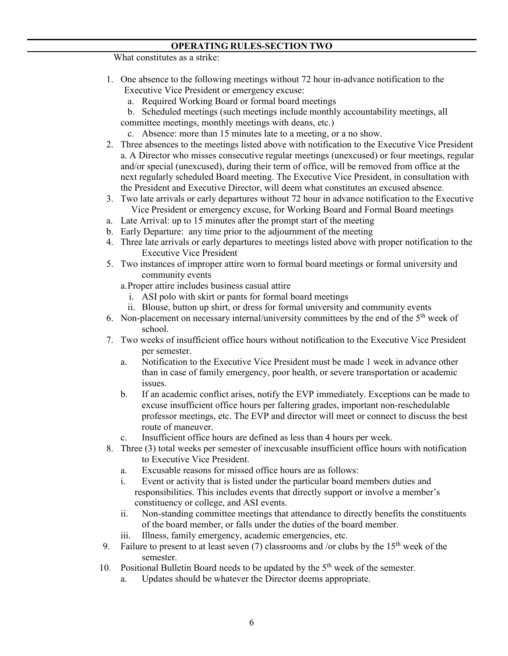What constitutes as a strike:

- 1. One absence to the following meetings without 72 hour in-advance notification to the Executive Vice President or emergency excuse:
	- a. Required Working Board or formal board meetings
	- b. Scheduled meetings (such meetings include monthly accountability meetings, all committee meetings, monthly meetings with deans, etc.)
	- c. Absence: more than 15 minutes late to a meeting, or a no show.
- 2. Three absences to the meetings listed above with notification to the Executive Vice President a. A Director who misses consecutive regular meetings (unexcused) or four meetings, regular and/or special (unexcused), during their term of office, will be removed from office at the next regularly scheduled Board meeting. The Executive Vice President, in consultation with the President and Executive Director, will deem what constitutes an excused absence.
- 3. Two late arrivals or early departures without 72 hour in advance notification to the Executive Vice President or emergency excuse, for Working Board and Formal Board meetings
- a. Late Arrival: up to 15 minutes after the prompt start of the meeting
- b. Early Departure: any time prior to the adjournment of the meeting
- 4. Three late arrivals or early departures to meetings listed above with proper notification to the Executive Vice President
- 5. Two instances of improper attire worn to formal board meetings or formal university and community events
	- a.Proper attire includes business casual attire
		- i. ASI polo with skirt or pants for formal board meetings
		- ii. Blouse, button up shirt, or dress for formal university and community events
- 6. Non-placement on necessary internal/university committees by the end of the  $5<sup>th</sup>$  week of school.
- 7. Two weeks of insufficient office hours without notification to the Executive Vice President per semester.
	- a. Notification to the Executive Vice President must be made 1 week in advance other than in case of family emergency, poor health, or severe transportation or academic issues.
	- b. If an academic conflict arises, notify the EVP immediately. Exceptions can be made to excuse insufficient office hours per faltering grades, important non-reschedulable professor meetings, etc. The EVP and director will meet or connect to discuss the best route of maneuver.
	- c. Insufficient office hours are defined as less than 4 hours per week.
- 8. Three (3) total weeks per semester of inexcusable insufficient office hours with notification to Executive Vice President.
	- a. Excusable reasons for missed office hours are as follows:
	- i. Event or activity that is listed under the particular board members duties and responsibilities. This includes events that directly support or involve a member's constituency or college, and ASI events.
	- ii. Non-standing committee meetings that attendance to directly benefits the constituents of the board member, or falls under the duties of the board member.
	- iii. Illness, family emergency, academic emergencies, etc.
- 9. Failure to present to at least seven (7) classrooms and /or clubs by the  $15<sup>th</sup>$  week of the semester.
- 10. Positional Bulletin Board needs to be updated by the 5<sup>th</sup> week of the semester.
	- a. Updates should be whatever the Director deems appropriate.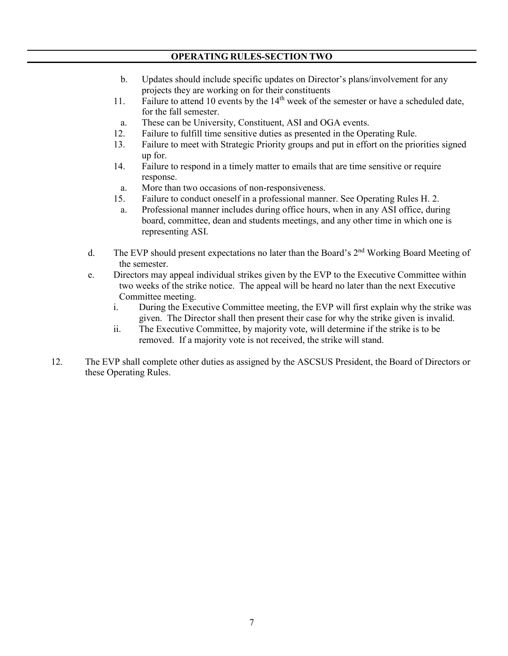- b. Updates should include specific updates on Director's plans/involvement for any projects they are working on for their constituents
- 11. Failure to attend 10 events by the 14<sup>th</sup> week of the semester or have a scheduled date, for the fall semester.
- a. These can be University, Constituent, ASI and OGA events.
- 12. Failure to fulfill time sensitive duties as presented in the Operating Rule.
- 13. Failure to meet with Strategic Priority groups and put in effort on the priorities signed up for.
- 14. Failure to respond in a timely matter to emails that are time sensitive or require response.
	- a. More than two occasions of non-responsiveness.
- 15. Failure to conduct oneself in a professional manner. See Operating Rules H. 2.
- a. Professional manner includes during office hours, when in any ASI office, during board, committee, dean and students meetings, and any other time in which one is representing ASI.
- d. The EVP should present expectations no later than the Board's  $2<sup>nd</sup>$  Working Board Meeting of the semester.
- e. Directors may appeal individual strikes given by the EVP to the Executive Committee within two weeks of the strike notice. The appeal will be heard no later than the next Executive Committee meeting.
	- i. During the Executive Committee meeting, the EVP will first explain why the strike was given. The Director shall then present their case for why the strike given is invalid.
	- ii. The Executive Committee, by majority vote, will determine if the strike is to be removed. If a majority vote is not received, the strike will stand.
- 12. The EVP shall complete other duties as assigned by the ASCSUS President, the Board of Directors or these Operating Rules.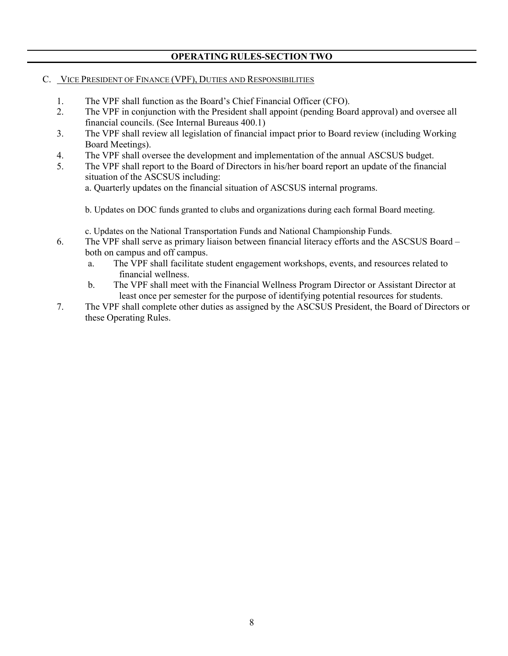### C. VICE PRESIDENT OF FINANCE (VPF), DUTIES AND RESPONSIBILITIES

- 1. The VPF shall function as the Board's Chief Financial Officer (CFO).
- 2. The VPF in conjunction with the President shall appoint (pending Board approval) and oversee all financial councils. (See Internal Bureaus 400.1)
- 3. The VPF shall review all legislation of financial impact prior to Board review (including Working Board Meetings).
- 4. The VPF shall oversee the development and implementation of the annual ASCSUS budget.
- 5. The VPF shall report to the Board of Directors in his/her board report an update of the financial situation of the ASCSUS including:

a. Quarterly updates on the financial situation of ASCSUS internal programs.

b. Updates on DOC funds granted to clubs and organizations during each formal Board meeting.

c. Updates on the National Transportation Funds and National Championship Funds.

- 6. The VPF shall serve as primary liaison between financial literacy efforts and the ASCSUS Board both on campus and off campus.
	- a. The VPF shall facilitate student engagement workshops, events, and resources related to financial wellness.
	- b. The VPF shall meet with the Financial Wellness Program Director or Assistant Director at least once per semester for the purpose of identifying potential resources for students.
- 7. The VPF shall complete other duties as assigned by the ASCSUS President, the Board of Directors or these Operating Rules.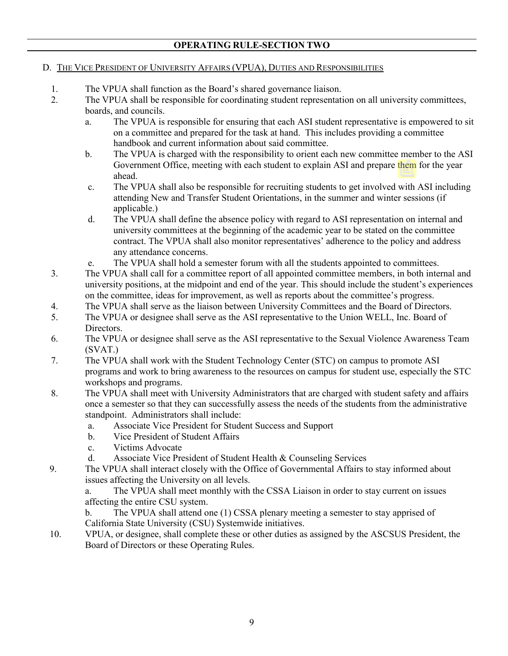## D. THE VICE PRESIDENT OF UNIVERSITY AFFAIRS (VPUA), DUTIES AND RESPONSIBILITIES

- 1. The VPUA shall function as the Board's shared governance liaison.
- 2. The VPUA shall be responsible for coordinating student representation on all university committees, boards, and councils.
	- a. The VPUA is responsible for ensuring that each ASI student representative is empowered to sit on a committee and prepared for the task at hand. This includes providing a committee handbook and current information about said committee.
	- b. The VPUA is charged with the responsibility to orient each new committee member to the ASI Government Office, meeting with each student to explain ASI and prepare them for the year ahead.
	- c. The VPUA shall also be responsible for recruiting students to get involved with ASI including attending New and Transfer Student Orientations, in the summer and winter sessions (if applicable.)
	- d. The VPUA shall define the absence policy with regard to ASI representation on internal and university committees at the beginning of the academic year to be stated on the committee contract. The VPUA shall also monitor representatives' adherence to the policy and address any attendance concerns.
	- e. The VPUA shall hold a semester forum with all the students appointed to committees.
- 3. The VPUA shall call for a committee report of all appointed committee members, in both internal and university positions, at the midpoint and end of the year. This should include the student's experiences on the committee, ideas for improvement, as well as reports about the committee's progress.
- 4. The VPUA shall serve as the liaison between University Committees and the Board of Directors.
- 5. The VPUA or designee shall serve as the ASI representative to the Union WELL, Inc. Board of Directors.
- 6. The VPUA or designee shall serve as the ASI representative to the Sexual Violence Awareness Team (SVAT.)
- 7. The VPUA shall work with the Student Technology Center (STC) on campus to promote ASI programs and work to bring awareness to the resources on campus for student use, especially the STC workshops and programs.
- 8. The VPUA shall meet with University Administrators that are charged with student safety and affairs once a semester so that they can successfully assess the needs of the students from the administrative standpoint. Administrators shall include:
	- a. Associate Vice President for Student Success and Support
	- b. Vice President of Student Affairs
	- c. Victims Advocate
	- d. Associate Vice President of Student Health & Counseling Services
- 9. The VPUA shall interact closely with the Office of Governmental Affairs to stay informed about issues affecting the University on all levels.

 a. The VPUA shall meet monthly with the CSSA Liaison in order to stay current on issues affecting the entire CSU system.

- b. The VPUA shall attend one (1) CSSA plenary meeting a semester to stay apprised of California State University (CSU) Systemwide initiatives.
- 10. VPUA, or designee, shall complete these or other duties as assigned by the ASCSUS President, the Board of Directors or these Operating Rules.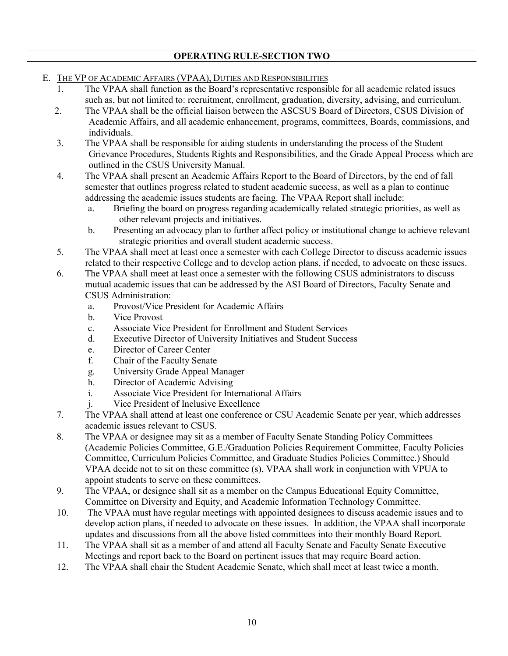- E. THE VP OF ACADEMIC AFFAIRS (VPAA), DUTIES AND RESPONSIBILITIES
	- 1. The VPAA shall function as the Board's representative responsible for all academic related issues such as, but not limited to: recruitment, enrollment, graduation, diversity, advising, and curriculum.
	- 2. The VPAA shall be the official liaison between the ASCSUS Board of Directors, CSUS Division of Academic Affairs, and all academic enhancement, programs, committees, Boards, commissions, and individuals.
	- 3. The VPAA shall be responsible for aiding students in understanding the process of the Student Grievance Procedures, Students Rights and Responsibilities, and the Grade Appeal Process which are outlined in the CSUS University Manual.
	- 4. The VPAA shall present an Academic Affairs Report to the Board of Directors, by the end of fall semester that outlines progress related to student academic success, as well as a plan to continue addressing the academic issues students are facing. The VPAA Report shall include:
		- a. Briefing the board on progress regarding academically related strategic priorities, as well as other relevant projects and initiatives.
		- b. Presenting an advocacy plan to further affect policy or institutional change to achieve relevant strategic priorities and overall student academic success.
	- 5. The VPAA shall meet at least once a semester with each College Director to discuss academic issues related to their respective College and to develop action plans, if needed, to advocate on these issues.
	- 6. The VPAA shall meet at least once a semester with the following CSUS administrators to discuss mutual academic issues that can be addressed by the ASI Board of Directors, Faculty Senate and CSUS Administration:
		- a. Provost/Vice President for Academic Affairs
		- b. Vice Provost
		- c. Associate Vice President for Enrollment and Student Services
		- d. Executive Director of University Initiatives and Student Success
		- e. Director of Career Center
		- f. Chair of the Faculty Senate
		- g. University Grade Appeal Manager
		- h. Director of Academic Advising
		- i. Associate Vice President for International Affairs
		- j. Vice President of Inclusive Excellence
	- 7. The VPAA shall attend at least one conference or CSU Academic Senate per year, which addresses academic issues relevant to CSUS.
	- 8. The VPAA or designee may sit as a member of Faculty Senate Standing Policy Committees (Academic Policies Committee, G.E./Graduation Policies Requirement Committee, Faculty Policies Committee, Curriculum Policies Committee, and Graduate Studies Policies Committee.) Should VPAA decide not to sit on these committee (s), VPAA shall work in conjunction with VPUA to appoint students to serve on these committees.
	- 9. The VPAA, or designee shall sit as a member on the Campus Educational Equity Committee, Committee on Diversity and Equity, and Academic Information Technology Committee.
	- 10. The VPAA must have regular meetings with appointed designees to discuss academic issues and to develop action plans, if needed to advocate on these issues. In addition, the VPAA shall incorporate updates and discussions from all the above listed committees into their monthly Board Report.
	- 11. The VPAA shall sit as a member of and attend all Faculty Senate and Faculty Senate Executive Meetings and report back to the Board on pertinent issues that may require Board action.
	- 12. The VPAA shall chair the Student Academic Senate, which shall meet at least twice a month.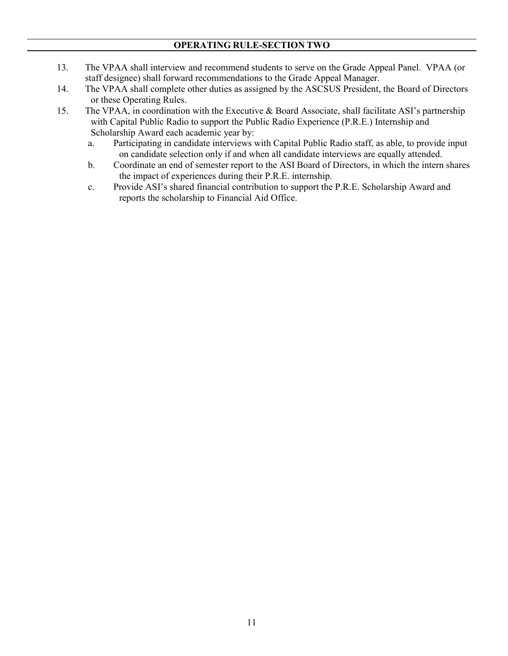- 13. The VPAA shall interview and recommend students to serve on the Grade Appeal Panel. VPAA (or staff designee) shall forward recommendations to the Grade Appeal Manager.
- 14. The VPAA shall complete other duties as assigned by the ASCSUS President, the Board of Directors or these Operating Rules.
- 15. The VPAA, in coordination with the Executive & Board Associate, shall facilitate ASI's partnership with Capital Public Radio to support the Public Radio Experience (P.R.E.) Internship and Scholarship Award each academic year by:
	- a. Participating in candidate interviews with Capital Public Radio staff, as able, to provide input on candidate selection only if and when all candidate interviews are equally attended.
	- b. Coordinate an end of semester report to the ASI Board of Directors, in which the intern shares the impact of experiences during their P.R.E. internship.
	- c. Provide ASI's shared financial contribution to support the P.R.E. Scholarship Award and reports the scholarship to Financial Aid Office.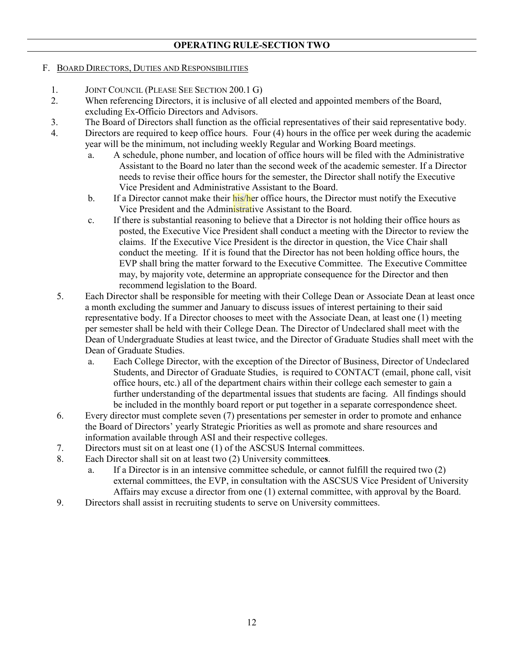### F. BOARD DIRECTORS, DUTIES AND RESPONSIBILITIES

- 1. JOINT COUNCIL (PLEASE SEE SECTION 200.1 G)
- 2. When referencing Directors, it is inclusive of all elected and appointed members of the Board, excluding Ex-Officio Directors and Advisors.
- 3. The Board of Directors shall function as the official representatives of their said representative body.
- 4. Directors are required to keep office hours. Four (4) hours in the office per week during the academic year will be the minimum, not including weekly Regular and Working Board meetings.
	- a. A schedule, phone number, and location of office hours will be filed with the Administrative Assistant to the Board no later than the second week of the academic semester. If a Director needs to revise their office hours for the semester, the Director shall notify the Executive Vice President and Administrative Assistant to the Board.
	- b. If a Director cannot make their his/her office hours, the Director must notify the Executive Vice President and the Administrative Assistant to the Board.
	- c. If there is substantial reasoning to believe that a Director is not holding their office hours as posted, the Executive Vice President shall conduct a meeting with the Director to review the claims. If the Executive Vice President is the director in question, the Vice Chair shall conduct the meeting. If it is found that the Director has not been holding office hours, the EVP shall bring the matter forward to the Executive Committee. The Executive Committee may, by majority vote, determine an appropriate consequence for the Director and then recommend legislation to the Board.
	- 5. Each Director shall be responsible for meeting with their College Dean or Associate Dean at least once a month excluding the summer and January to discuss issues of interest pertaining to their said representative body. If a Director chooses to meet with the Associate Dean, at least one (1) meeting per semester shall be held with their College Dean. The Director of Undeclared shall meet with the Dean of Undergraduate Studies at least twice, and the Director of Graduate Studies shall meet with the Dean of Graduate Studies.
		- a. Each College Director, with the exception of the Director of Business, Director of Undeclared Students, and Director of Graduate Studies, is required to CONTACT (email, phone call, visit office hours, etc.) all of the department chairs within their college each semester to gain a further understanding of the departmental issues that students are facing. All findings should be included in the monthly board report or put together in a separate correspondence sheet.
	- 6. Every director must complete seven (7) presentations per semester in order to promote and enhance the Board of Directors' yearly Strategic Priorities as well as promote and share resources and information available through ASI and their respective colleges.
	- 7. Directors must sit on at least one (1) of the ASCSUS Internal committees.
	- 8. Each Director shall sit on at least two (2) University committee**s**.
		- a. If a Director is in an intensive committee schedule, or cannot fulfill the required two (2) external committees, the EVP, in consultation with the ASCSUS Vice President of University Affairs may excuse a director from one (1) external committee, with approval by the Board.
	- 9. Directors shall assist in recruiting students to serve on University committees.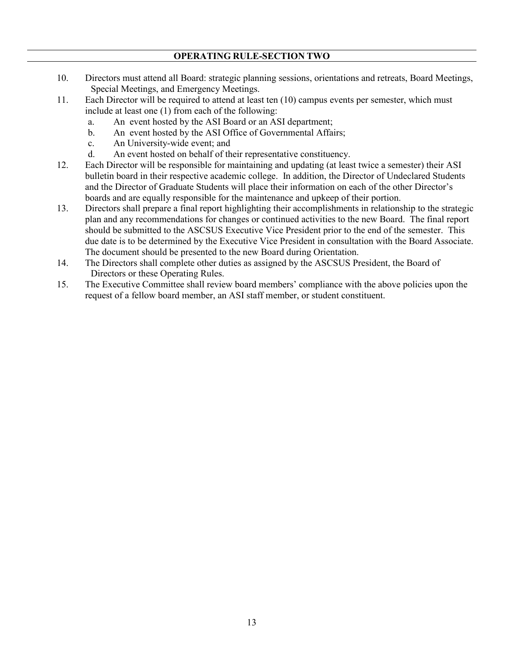- 10. Directors must attend all Board: strategic planning sessions, orientations and retreats, Board Meetings, Special Meetings, and Emergency Meetings.
- 11. Each Director will be required to attend at least ten (10) campus events per semester, which must include at least one (1) from each of the following:
	- a. An event hosted by the ASI Board or an ASI department;
	- b. An event hosted by the ASI Office of Governmental Affairs;
	- c. An University-wide event; and
	- d. An event hosted on behalf of their representative constituency.
- 12. Each Director will be responsible for maintaining and updating (at least twice a semester) their ASI bulletin board in their respective academic college. In addition, the Director of Undeclared Students and the Director of Graduate Students will place their information on each of the other Director's boards and are equally responsible for the maintenance and upkeep of their portion.
- 13. Directors shall prepare a final report highlighting their accomplishments in relationship to the strategic plan and any recommendations for changes or continued activities to the new Board. The final report should be submitted to the ASCSUS Executive Vice President prior to the end of the semester. This due date is to be determined by the Executive Vice President in consultation with the Board Associate. The document should be presented to the new Board during Orientation.
- 14. The Directors shall complete other duties as assigned by the ASCSUS President, the Board of Directors or these Operating Rules.
- 15. The Executive Committee shall review board members' compliance with the above policies upon the request of a fellow board member, an ASI staff member, or student constituent.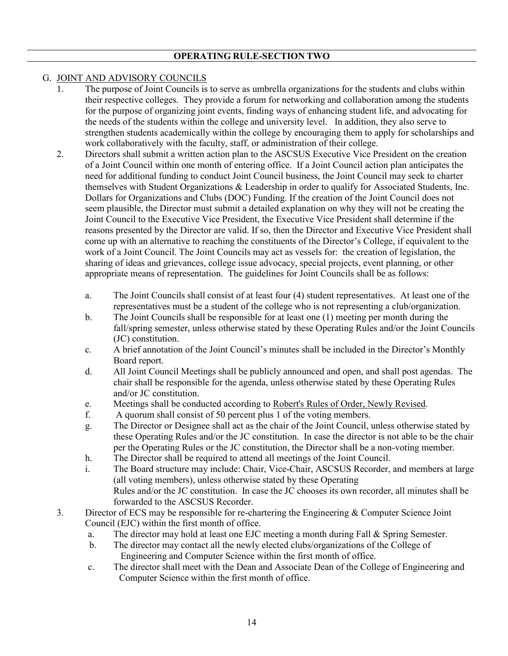### G. JOINT AND ADVISORY COUNCILS

- 1. The purpose of Joint Councils is to serve as umbrella organizations for the students and clubs within their respective colleges. They provide a forum for networking and collaboration among the students for the purpose of organizing joint events, finding ways of enhancing student life, and advocating for the needs of the students within the college and university level. In addition, they also serve to strengthen students academically within the college by encouraging them to apply for scholarships and work collaboratively with the faculty, staff, or administration of their college.
- 2. Directors shall submit a written action plan to the ASCSUS Executive Vice President on the creation of a Joint Council within one month of entering office. If a Joint Council action plan anticipates the need for additional funding to conduct Joint Council business, the Joint Council may seek to charter themselves with Student Organizations & Leadership in order to qualify for Associated Students, Inc. Dollars for Organizations and Clubs (DOC) Funding. If the creation of the Joint Council does not seem plausible, the Director must submit a detailed explanation on why they will not be creating the Joint Council to the Executive Vice President, the Executive Vice President shall determine if the reasons presented by the Director are valid. If so, then the Director and Executive Vice President shall come up with an alternative to reaching the constituents of the Director's College, if equivalent to the work of a Joint Council. The Joint Councils may act as vessels for: the creation of legislation, the sharing of ideas and grievances, college issue advocacy, special projects, event planning, or other appropriate means of representation. The guidelines for Joint Councils shall be as follows:
	- a. The Joint Councils shall consist of at least four (4) student representatives. At least one of the representatives must be a student of the college who is not representing a club/organization.
	- b. The Joint Councils shall be responsible for at least one (1) meeting per month during the fall/spring semester, unless otherwise stated by these Operating Rules and/or the Joint Councils (JC) constitution.
	- c. A brief annotation of the Joint Council's minutes shall be included in the Director's Monthly Board report.
	- d. All Joint Council Meetings shall be publicly announced and open, and shall post agendas. The chair shall be responsible for the agenda, unless otherwise stated by these Operating Rules and/or JC constitution.
	- e. Meetings shall be conducted according to Robert's Rules of Order, Newly Revised.
	- f. A quorum shall consist of 50 percent plus 1 of the voting members.
	- g. The Director or Designee shall act as the chair of the Joint Council, unless otherwise stated by these Operating Rules and/or the JC constitution. In case the director is not able to be the chair per the Operating Rules or the JC constitution, the Director shall be a non-voting member.
	- h. The Director shall be required to attend all meetings of the Joint Council.
	- i. The Board structure may include: Chair, Vice-Chair, ASCSUS Recorder, and members at large (all voting members), unless otherwise stated by these Operating Rules and/or the JC constitution. In case the JC chooses its own recorder, all minutes shall be forwarded to the ASCSUS Recorder.
- 3. Director of ECS may be responsible for re-chartering the Engineering & Computer Science Joint Council (EJC) within the first month of office.
	- a. The director may hold at least one EJC meeting a month during Fall & Spring Semester.
	- b. The director may contact all the newly elected clubs/organizations of the College of Engineering and Computer Science within the first month of office.
	- c. The director shall meet with the Dean and Associate Dean of the College of Engineering and Computer Science within the first month of office.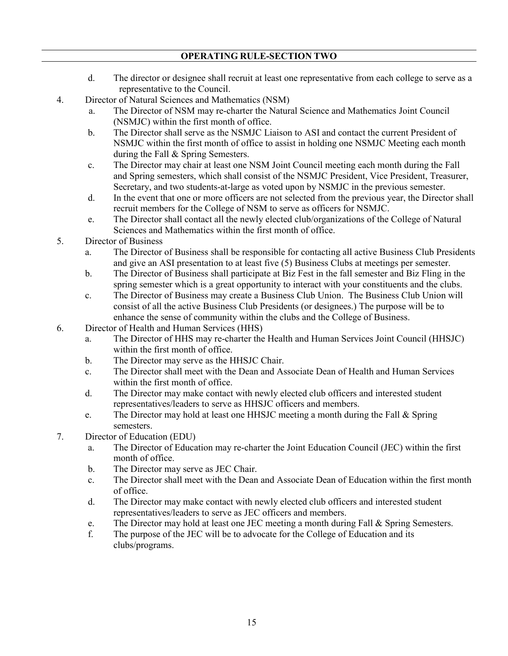- d. The director or designee shall recruit at least one representative from each college to serve as a representative to the Council.
- 4. Director of Natural Sciences and Mathematics (NSM)
	- a. The Director of NSM may re-charter the Natural Science and Mathematics Joint Council (NSMJC) within the first month of office.
	- b. The Director shall serve as the NSMJC Liaison to ASI and contact the current President of NSMJC within the first month of office to assist in holding one NSMJC Meeting each month during the Fall & Spring Semesters.
	- c. The Director may chair at least one NSM Joint Council meeting each month during the Fall and Spring semesters, which shall consist of the NSMJC President, Vice President, Treasurer, Secretary, and two students-at-large as voted upon by NSMJC in the previous semester.
	- d. In the event that one or more officers are not selected from the previous year, the Director shall recruit members for the College of NSM to serve as officers for NSMJC.
	- e. The Director shall contact all the newly elected club/organizations of the College of Natural Sciences and Mathematics within the first month of office.
- 5. Director of Business
	- a. The Director of Business shall be responsible for contacting all active Business Club Presidents and give an ASI presentation to at least five (5) Business Clubs at meetings per semester.
	- b. The Director of Business shall participate at Biz Fest in the fall semester and Biz Fling in the spring semester which is a great opportunity to interact with your constituents and the clubs.
	- c. The Director of Business may create a Business Club Union. The Business Club Union will consist of all the active Business Club Presidents (or designees.) The purpose will be to enhance the sense of community within the clubs and the College of Business.
- 6. Director of Health and Human Services (HHS)
	- a. The Director of HHS may re-charter the Health and Human Services Joint Council (HHSJC) within the first month of office.
	- b. The Director may serve as the HHSJC Chair.
	- c. The Director shall meet with the Dean and Associate Dean of Health and Human Services within the first month of office.
	- d. The Director may make contact with newly elected club officers and interested student representatives/leaders to serve as HHSJC officers and members.
	- e. The Director may hold at least one HHSJC meeting a month during the Fall & Spring semesters.
- 7. Director of Education (EDU)
	- a. The Director of Education may re-charter the Joint Education Council (JEC) within the first month of office.
	- b. The Director may serve as JEC Chair.
	- c. The Director shall meet with the Dean and Associate Dean of Education within the first month of office.
	- d. The Director may make contact with newly elected club officers and interested student representatives/leaders to serve as JEC officers and members.
	- e. The Director may hold at least one JEC meeting a month during Fall & Spring Semesters.
	- f. The purpose of the JEC will be to advocate for the College of Education and its clubs/programs.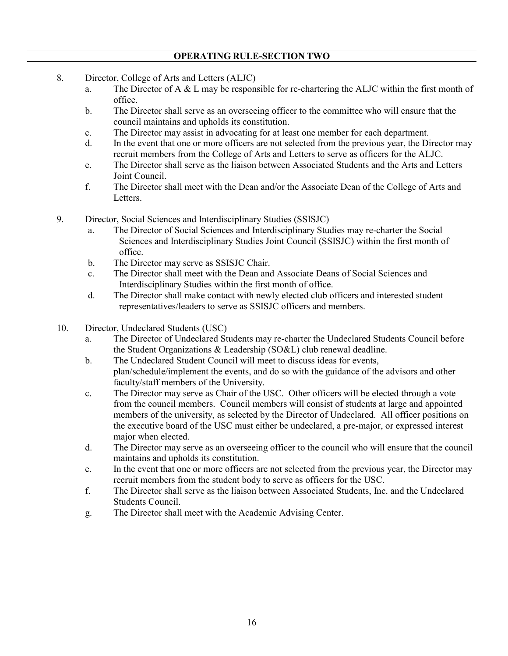- 8. Director, College of Arts and Letters (ALJC)
	- a. The Director of A & L may be responsible for re-chartering the ALJC within the first month of office.
	- b. The Director shall serve as an overseeing officer to the committee who will ensure that the council maintains and upholds its constitution.
	- c. The Director may assist in advocating for at least one member for each department.
	- d. In the event that one or more officers are not selected from the previous year, the Director may recruit members from the College of Arts and Letters to serve as officers for the ALJC.
	- e. The Director shall serve as the liaison between Associated Students and the Arts and Letters Joint Council.
	- f. The Director shall meet with the Dean and/or the Associate Dean of the College of Arts and Letters.
- 9. Director, Social Sciences and Interdisciplinary Studies (SSISJC)
	- a. The Director of Social Sciences and Interdisciplinary Studies may re-charter the Social Sciences and Interdisciplinary Studies Joint Council (SSISJC) within the first month of office.
	- b. The Director may serve as SSISJC Chair.
	- c. The Director shall meet with the Dean and Associate Deans of Social Sciences and Interdisciplinary Studies within the first month of office.
	- d. The Director shall make contact with newly elected club officers and interested student representatives/leaders to serve as SSISJC officers and members.
- 10. Director, Undeclared Students (USC)
	- a. The Director of Undeclared Students may re-charter the Undeclared Students Council before the Student Organizations & Leadership (SO&L) club renewal deadline.
	- b. The Undeclared Student Council will meet to discuss ideas for events, plan/schedule/implement the events, and do so with the guidance of the advisors and other faculty/staff members of the University.
	- c. The Director may serve as Chair of the USC. Other officers will be elected through a vote from the council members. Council members will consist of students at large and appointed members of the university, as selected by the Director of Undeclared. All officer positions on the executive board of the USC must either be undeclared, a pre-major, or expressed interest major when elected.
	- d. The Director may serve as an overseeing officer to the council who will ensure that the council maintains and upholds its constitution.
	- e. In the event that one or more officers are not selected from the previous year, the Director may recruit members from the student body to serve as officers for the USC.
	- f. The Director shall serve as the liaison between Associated Students, Inc. and the Undeclared Students Council.
	- g. The Director shall meet with the Academic Advising Center.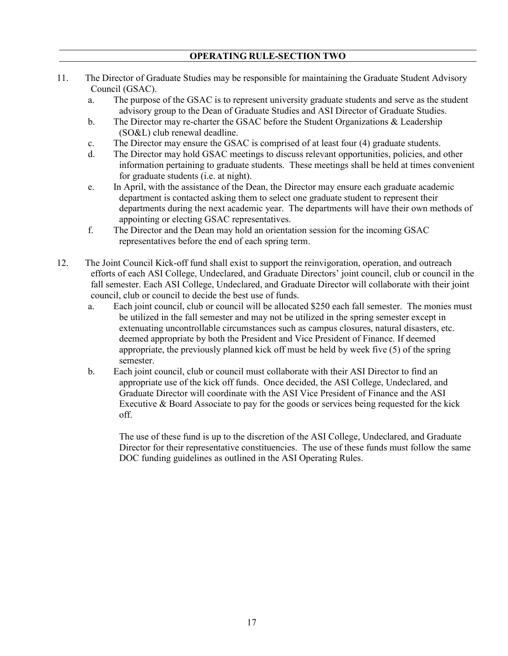- 11. The Director of Graduate Studies may be responsible for maintaining the Graduate Student Advisory Council (GSAC).
	- a. The purpose of the GSAC is to represent university graduate students and serve as the student advisory group to the Dean of Graduate Studies and ASI Director of Graduate Studies.
	- b. The Director may re-charter the GSAC before the Student Organizations & Leadership (SO&L) club renewal deadline.
	- c. The Director may ensure the GSAC is comprised of at least four (4) graduate students.
	- d. The Director may hold GSAC meetings to discuss relevant opportunities, policies, and other information pertaining to graduate students. These meetings shall be held at times convenient for graduate students (i.e. at night).
	- e. In April, with the assistance of the Dean, the Director may ensure each graduate academic department is contacted asking them to select one graduate student to represent their departments during the next academic year. The departments will have their own methods of appointing or electing GSAC representatives.
	- f. The Director and the Dean may hold an orientation session for the incoming GSAC representatives before the end of each spring term.
- 12. The Joint Council Kick-off fund shall exist to support the reinvigoration, operation, and outreach efforts of each ASI College, Undeclared, and Graduate Directors' joint council, club or council in the fall semester. Each ASI College, Undeclared, and Graduate Director will collaborate with their joint council, club or council to decide the best use of funds.
	- a. Each joint council, club or council will be allocated \$250 each fall semester. The monies must be utilized in the fall semester and may not be utilized in the spring semester except in extenuating uncontrollable circumstances such as campus closures, natural disasters, etc. deemed appropriate by both the President and Vice President of Finance. If deemed appropriate, the previously planned kick off must be held by week five (5) of the spring semester.
	- b. Each joint council, club or council must collaborate with their ASI Director to find an appropriate use of the kick off funds. Once decided, the ASI College, Undeclared, and Graduate Director will coordinate with the ASI Vice President of Finance and the ASI Executive & Board Associate to pay for the goods or services being requested for the kick off.

The use of these fund is up to the discretion of the ASI College, Undeclared, and Graduate Director for their representative constituencies. The use of these funds must follow the same DOC funding guidelines as outlined in the ASI Operating Rules.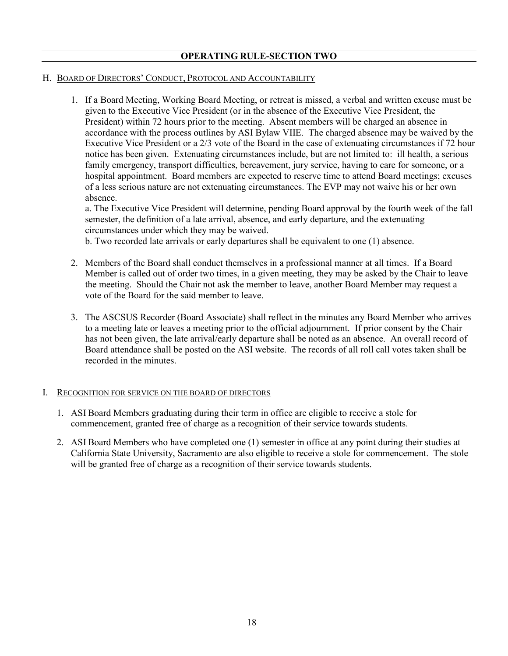#### H. BOARD OF DIRECTORS' CONDUCT, PROTOCOL AND ACCOUNTABILITY

1. If a Board Meeting, Working Board Meeting, or retreat is missed, a verbal and written excuse must be given to the Executive Vice President (or in the absence of the Executive Vice President, the President) within 72 hours prior to the meeting. Absent members will be charged an absence in accordance with the process outlines by ASI Bylaw VIIE. The charged absence may be waived by the Executive Vice President or a 2/3 vote of the Board in the case of extenuating circumstances if 72 hour notice has been given. Extenuating circumstances include, but are not limited to: ill health, a serious family emergency, transport difficulties, bereavement, jury service, having to care for someone, or a hospital appointment. Board members are expected to reserve time to attend Board meetings; excuses of a less serious nature are not extenuating circumstances. The EVP may not waive his or her own absence.

a. The Executive Vice President will determine, pending Board approval by the fourth week of the fall semester, the definition of a late arrival, absence, and early departure, and the extenuating circumstances under which they may be waived.

b. Two recorded late arrivals or early departures shall be equivalent to one (1) absence.

- 2. Members of the Board shall conduct themselves in a professional manner at all times. If a Board Member is called out of order two times, in a given meeting, they may be asked by the Chair to leave the meeting. Should the Chair not ask the member to leave, another Board Member may request a vote of the Board for the said member to leave.
- 3. The ASCSUS Recorder (Board Associate) shall reflect in the minutes any Board Member who arrives to a meeting late or leaves a meeting prior to the official adjournment. If prior consent by the Chair has not been given, the late arrival/early departure shall be noted as an absence. An overall record of Board attendance shall be posted on the ASI website. The records of all roll call votes taken shall be recorded in the minutes.

#### I. RECOGNITION FOR SERVICE ON THE BOARD OF DIRECTORS

- 1. ASI Board Members graduating during their term in office are eligible to receive a stole for commencement, granted free of charge as a recognition of their service towards students.
- 2. ASI Board Members who have completed one (1) semester in office at any point during their studies at California State University, Sacramento are also eligible to receive a stole for commencement. The stole will be granted free of charge as a recognition of their service towards students.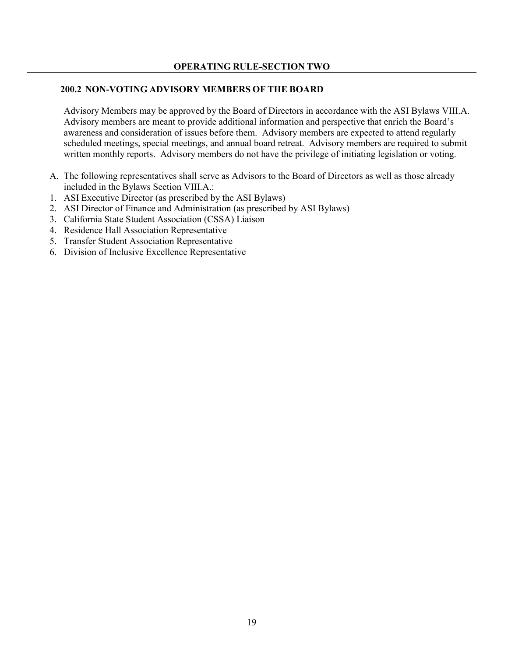#### **200.2 NON-VOTING ADVISORY MEMBERS OF THE BOARD**

Advisory Members may be approved by the Board of Directors in accordance with the ASI Bylaws VIII.A. Advisory members are meant to provide additional information and perspective that enrich the Board's awareness and consideration of issues before them. Advisory members are expected to attend regularly scheduled meetings, special meetings, and annual board retreat. Advisory members are required to submit written monthly reports. Advisory members do not have the privilege of initiating legislation or voting.

- A. The following representatives shall serve as Advisors to the Board of Directors as well as those already included in the Bylaws Section VIII.A.:
- 1. ASI Executive Director (as prescribed by the ASI Bylaws)
- 2. ASI Director of Finance and Administration (as prescribed by ASI Bylaws)
- 3. California State Student Association (CSSA) Liaison
- 4. Residence Hall Association Representative
- 5. Transfer Student Association Representative
- 6. Division of Inclusive Excellence Representative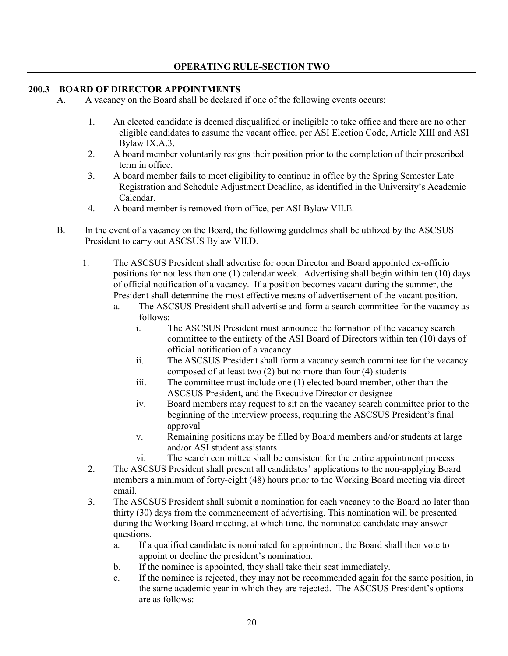#### **200.3 BOARD OF DIRECTOR APPOINTMENTS**

- A. A vacancy on the Board shall be declared if one of the following events occurs:
	- 1. An elected candidate is deemed disqualified or ineligible to take office and there are no other eligible candidates to assume the vacant office, per ASI Election Code, Article XIII and ASI Bylaw IX.A.3.
	- 2. A board member voluntarily resigns their position prior to the completion of their prescribed term in office.
	- 3. A board member fails to meet eligibility to continue in office by the Spring Semester Late Registration and Schedule Adjustment Deadline, as identified in the University's Academic Calendar.
	- 4. A board member is removed from office, per ASI Bylaw VII.E.
- B. In the event of a vacancy on the Board, the following guidelines shall be utilized by the ASCSUS President to carry out ASCSUS Bylaw VII.D.
	- 1. The ASCSUS President shall advertise for open Director and Board appointed ex-officio positions for not less than one (1) calendar week. Advertising shall begin within ten (10) days of official notification of a vacancy. If a position becomes vacant during the summer, the President shall determine the most effective means of advertisement of the vacant position.
		- a. The ASCSUS President shall advertise and form a search committee for the vacancy as follows:
			- i. The ASCSUS President must announce the formation of the vacancy search committee to the entirety of the ASI Board of Directors within ten (10) days of official notification of a vacancy
			- ii. The ASCSUS President shall form a vacancy search committee for the vacancy composed of at least two (2) but no more than four (4) students
			- iii. The committee must include one (1) elected board member, other than the ASCSUS President, and the Executive Director or designee
			- iv. Board members may request to sit on the vacancy search committee prior to the beginning of the interview process, requiring the ASCSUS President's final approval
			- v. Remaining positions may be filled by Board members and/or students at large and/or ASI student assistants
			- vi. The search committee shall be consistent for the entire appointment process
		- 2. The ASCSUS President shall present all candidates' applications to the non-applying Board members a minimum of forty-eight (48) hours prior to the Working Board meeting via direct email.
	- 3. The ASCSUS President shall submit a nomination for each vacancy to the Board no later than thirty (30) days from the commencement of advertising. This nomination will be presented during the Working Board meeting, at which time, the nominated candidate may answer questions.
		- a. If a qualified candidate is nominated for appointment, the Board shall then vote to appoint or decline the president's nomination.
		- b. If the nominee is appointed, they shall take their seat immediately.
		- c. If the nominee is rejected, they may not be recommended again for the same position, in the same academic year in which they are rejected. The ASCSUS President's options are as follows: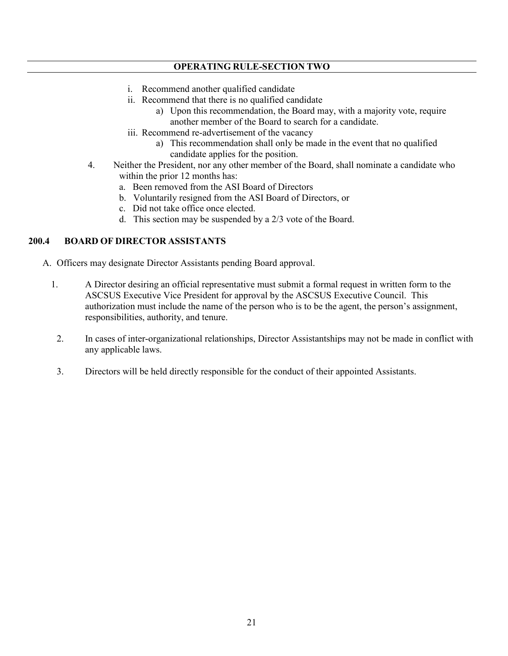- i. Recommend another qualified candidate
- ii. Recommend that there is no qualified candidate
	- a) Upon this recommendation, the Board may, with a majority vote, require another member of the Board to search for a candidate.
- iii. Recommend re-advertisement of the vacancy
	- a) This recommendation shall only be made in the event that no qualified candidate applies for the position.
- 4. Neither the President, nor any other member of the Board, shall nominate a candidate who within the prior 12 months has:
	- a. Been removed from the ASI Board of Directors
	- b. Voluntarily resigned from the ASI Board of Directors, or
	- c. Did not take office once elected.
	- d. This section may be suspended by a 2/3 vote of the Board.

# **200.4 BOARD OF DIRECTOR ASSISTANTS**

- A. Officers may designate Director Assistants pending Board approval.
	- 1. A Director desiring an official representative must submit a formal request in written form to the ASCSUS Executive Vice President for approval by the ASCSUS Executive Council. This authorization must include the name of the person who is to be the agent, the person's assignment, responsibilities, authority, and tenure.
	- 2. In cases of inter-organizational relationships, Director Assistantships may not be made in conflict with any applicable laws.
	- 3. Directors will be held directly responsible for the conduct of their appointed Assistants.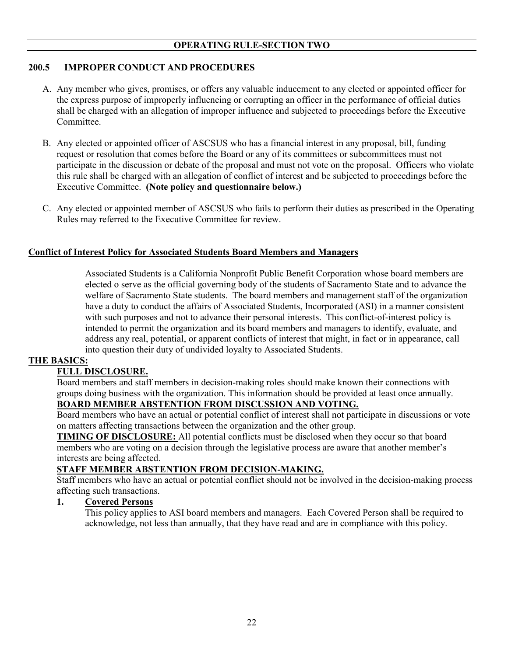### **200.5 IMPROPER CONDUCT AND PROCEDURES**

- A. Any member who gives, promises, or offers any valuable inducement to any elected or appointed officer for the express purpose of improperly influencing or corrupting an officer in the performance of official duties shall be charged with an allegation of improper influence and subjected to proceedings before the Executive Committee.
- B. Any elected or appointed officer of ASCSUS who has a financial interest in any proposal, bill, funding request or resolution that comes before the Board or any of its committees or subcommittees must not participate in the discussion or debate of the proposal and must not vote on the proposal. Officers who violate this rule shall be charged with an allegation of conflict of interest and be subjected to proceedings before the Executive Committee. **(Note policy and questionnaire below.)**
- C. Any elected or appointed member of ASCSUS who fails to perform their duties as prescribed in the Operating Rules may referred to the Executive Committee for review.

#### **Conflict of Interest Policy for Associated Students Board Members and Managers**

Associated Students is a California Nonprofit Public Benefit Corporation whose board members are elected o serve as the official governing body of the students of Sacramento State and to advance the welfare of Sacramento State students. The board members and management staff of the organization have a duty to conduct the affairs of Associated Students, Incorporated (ASI) in a manner consistent with such purposes and not to advance their personal interests. This conflict-of-interest policy is intended to permit the organization and its board members and managers to identify, evaluate, and address any real, potential, or apparent conflicts of interest that might, in fact or in appearance, call into question their duty of undivided loyalty to Associated Students.

#### **THE BASICS:**

### **FULL DISCLOSURE.**

Board members and staff members in decision-making roles should make known their connections with groups doing business with the organization. This information should be provided at least once annually.

## **BOARD MEMBER ABSTENTION FROM DISCUSSION AND VOTING.**

Board members who have an actual or potential conflict of interest shall not participate in discussions or vote on matters affecting transactions between the organization and the other group.

**TIMING OF DISCLOSURE:** All potential conflicts must be disclosed when they occur so that board members who are voting on a decision through the legislative process are aware that another member's interests are being affected.

#### **STAFF MEMBER ABSTENTION FROM DECISION-MAKING.**

Staff members who have an actual or potential conflict should not be involved in the decision-making process affecting such transactions.

#### **1. Covered Persons**

This policy applies to ASI board members and managers. Each Covered Person shall be required to acknowledge, not less than annually, that they have read and are in compliance with this policy.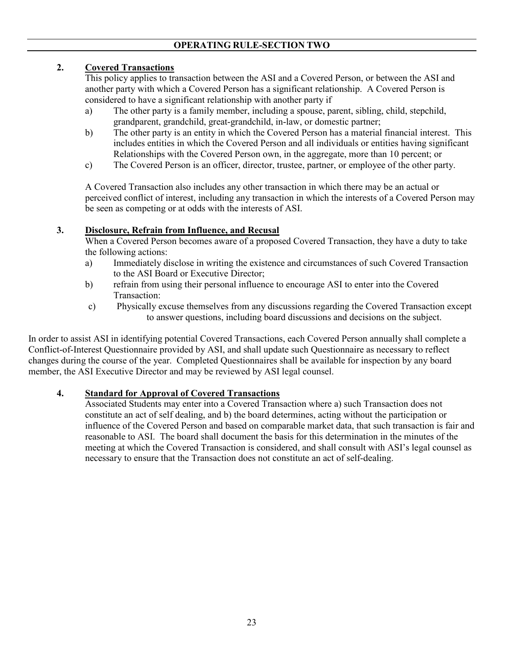# **2. Covered Transactions**

This policy applies to transaction between the ASI and a Covered Person, or between the ASI and another party with which a Covered Person has a significant relationship. A Covered Person is considered to have a significant relationship with another party if

- a) The other party is a family member, including a spouse, parent, sibling, child, stepchild, grandparent, grandchild, great-grandchild, in-law, or domestic partner;
- b) The other party is an entity in which the Covered Person has a material financial interest. This includes entities in which the Covered Person and all individuals or entities having significant Relationships with the Covered Person own, in the aggregate, more than 10 percent; or
- c) The Covered Person is an officer, director, trustee, partner, or employee of the other party.

A Covered Transaction also includes any other transaction in which there may be an actual or perceived conflict of interest, including any transaction in which the interests of a Covered Person may be seen as competing or at odds with the interests of ASI.

## **3. Disclosure, Refrain from Influence, and Recusal**

When a Covered Person becomes aware of a proposed Covered Transaction, they have a duty to take the following actions:

- a) Immediately disclose in writing the existence and circumstances of such Covered Transaction to the ASI Board or Executive Director;
- b) refrain from using their personal influence to encourage ASI to enter into the Covered Transaction:
- c) Physically excuse themselves from any discussions regarding the Covered Transaction except to answer questions, including board discussions and decisions on the subject.

In order to assist ASI in identifying potential Covered Transactions, each Covered Person annually shall complete a Conflict-of-Interest Questionnaire provided by ASI, and shall update such Questionnaire as necessary to reflect changes during the course of the year. Completed Questionnaires shall be available for inspection by any board member, the ASI Executive Director and may be reviewed by ASI legal counsel.

# **4. Standard for Approval of Covered Transactions**

Associated Students may enter into a Covered Transaction where a) such Transaction does not constitute an act of self dealing, and b) the board determines, acting without the participation or influence of the Covered Person and based on comparable market data, that such transaction is fair and reasonable to ASI. The board shall document the basis for this determination in the minutes of the meeting at which the Covered Transaction is considered, and shall consult with ASI's legal counsel as necessary to ensure that the Transaction does not constitute an act of self-dealing.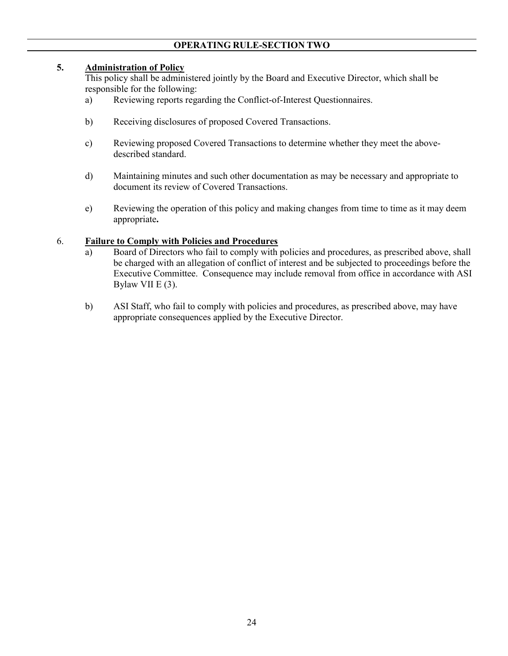### **5. Administration of Policy**

This policy shall be administered jointly by the Board and Executive Director, which shall be responsible for the following:

- a) Reviewing reports regarding the Conflict-of-Interest Questionnaires.
- b) Receiving disclosures of proposed Covered Transactions.
- c) Reviewing proposed Covered Transactions to determine whether they meet the abovedescribed standard.
- d) Maintaining minutes and such other documentation as may be necessary and appropriate to document its review of Covered Transactions.
- e) Reviewing the operation of this policy and making changes from time to time as it may deem appropriate**.**

#### 6. **Failure to Comply with Policies and Procedures**

- a) Board of Directors who fail to comply with policies and procedures, as prescribed above, shall be charged with an allegation of conflict of interest and be subjected to proceedings before the Executive Committee. Consequence may include removal from office in accordance with ASI Bylaw VII E (3).
- b) ASI Staff, who fail to comply with policies and procedures, as prescribed above, may have appropriate consequences applied by the Executive Director.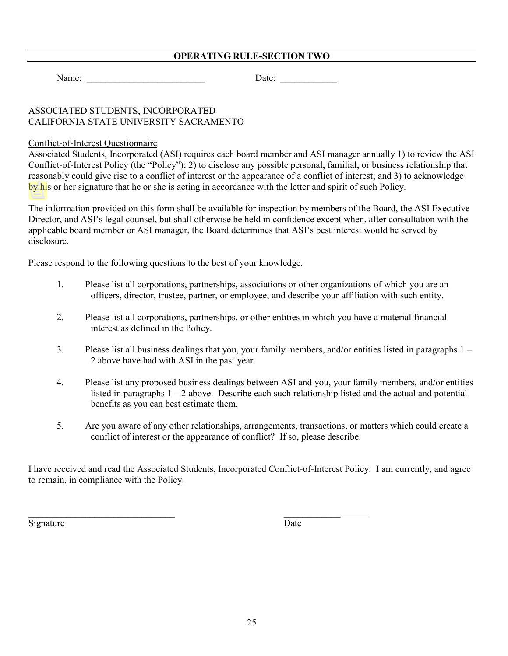Name: \_\_\_\_\_\_\_\_\_\_\_\_\_\_\_\_\_\_\_\_\_\_\_\_\_ Date: \_\_\_\_\_\_\_\_\_\_\_\_

# ASSOCIATED STUDENTS, INCORPORATED CALIFORNIA STATE UNIVERSITY SACRAMENTO

### Conflict-of-Interest Questionnaire

Associated Students, Incorporated (ASI) requires each board member and ASI manager annually 1) to review the ASI Conflict-of-Interest Policy (the "Policy"); 2) to disclose any possible personal, familial, or business relationship that reasonably could give rise to a conflict of interest or the appearance of a conflict of interest; and 3) to acknowledge by his or her signature that he or she is acting in accordance with the letter and spirit of such Policy.

The information provided on this form shall be available for inspection by members of the Board, the ASI Executive Director, and ASI's legal counsel, but shall otherwise be held in confidence except when, after consultation with the applicable board member or ASI manager, the Board determines that ASI's best interest would be served by disclosure.

Please respond to the following questions to the best of your knowledge.

 $\_$  , and the contribution of the contribution of  $\_$  . The contribution of  $\_$  , and  $\_$  , and  $\_$ 

- 1. Please list all corporations, partnerships, associations or other organizations of which you are an officers, director, trustee, partner, or employee, and describe your affiliation with such entity.
- 2. Please list all corporations, partnerships, or other entities in which you have a material financial interest as defined in the Policy.
- 3. Please list all business dealings that you, your family members, and/or entities listed in paragraphs 1 2 above have had with ASI in the past year.
- 4. Please list any proposed business dealings between ASI and you, your family members, and/or entities listed in paragraphs  $1 - 2$  above. Describe each such relationship listed and the actual and potential benefits as you can best estimate them.
- 5. Are you aware of any other relationships, arrangements, transactions, or matters which could create a conflict of interest or the appearance of conflict? If so, please describe.

I have received and read the Associated Students, Incorporated Conflict-of-Interest Policy. I am currently, and agree to remain, in compliance with the Policy.

Signature Date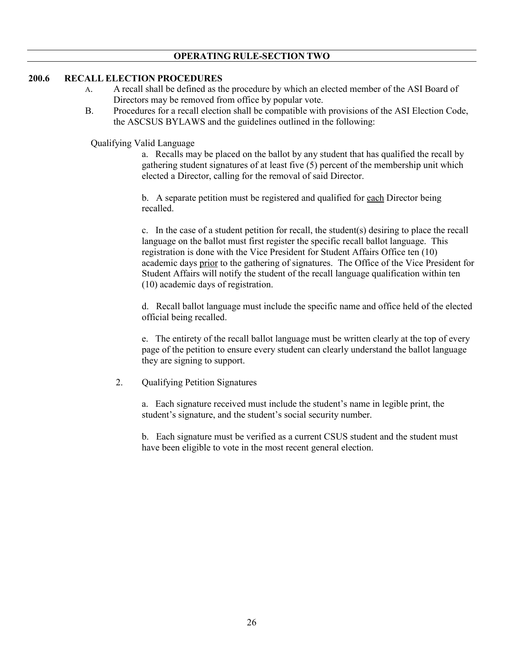#### **200.6 RECALL ELECTION PROCEDURES**

- A. A recall shall be defined as the procedure by which an elected member of the ASI Board of Directors may be removed from office by popular vote.
- B. Procedures for a recall election shall be compatible with provisions of the ASI Election Code, the ASCSUS BYLAWS and the guidelines outlined in the following:

Qualifying Valid Language

a. Recalls may be placed on the ballot by any student that has qualified the recall by gathering student signatures of at least five (5) percent of the membership unit which elected a Director, calling for the removal of said Director.

b. A separate petition must be registered and qualified for each Director being recalled.

c. In the case of a student petition for recall, the student(s) desiring to place the recall language on the ballot must first register the specific recall ballot language. This registration is done with the Vice President for Student Affairs Office ten (10) academic days prior to the gathering of signatures. The Office of the Vice President for Student Affairs will notify the student of the recall language qualification within ten (10) academic days of registration.

d. Recall ballot language must include the specific name and office held of the elected official being recalled.

e. The entirety of the recall ballot language must be written clearly at the top of every page of the petition to ensure every student can clearly understand the ballot language they are signing to support.

2. Qualifying Petition Signatures

a. Each signature received must include the student's name in legible print, the student's signature, and the student's social security number.

b. Each signature must be verified as a current CSUS student and the student must have been eligible to vote in the most recent general election.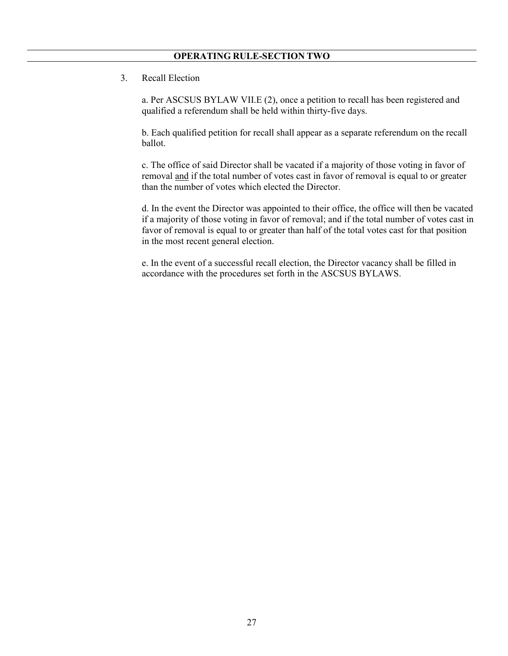3. Recall Election

a. Per ASCSUS BYLAW VII.E (2), once a petition to recall has been registered and qualified a referendum shall be held within thirty-five days.

b. Each qualified petition for recall shall appear as a separate referendum on the recall ballot.

c. The office of said Director shall be vacated if a majority of those voting in favor of removal and if the total number of votes cast in favor of removal is equal to or greater than the number of votes which elected the Director.

d. In the event the Director was appointed to their office, the office will then be vacated if a majority of those voting in favor of removal; and if the total number of votes cast in favor of removal is equal to or greater than half of the total votes cast for that position in the most recent general election.

e. In the event of a successful recall election, the Director vacancy shall be filled in accordance with the procedures set forth in the ASCSUS BYLAWS.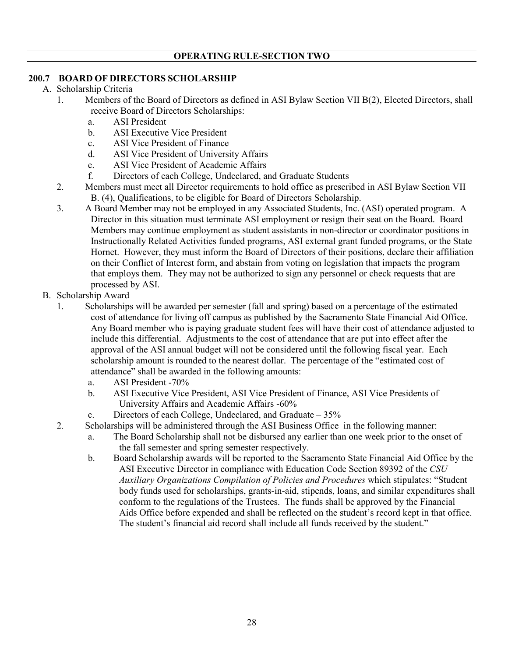### **200.7 BOARD OF DIRECTORS SCHOLARSHIP**

- A. Scholarship Criteria
	- 1. Members of the Board of Directors as defined in ASI Bylaw Section VII B(2), Elected Directors, shall receive Board of Directors Scholarships:
		- a. ASI President
		- b. ASI Executive Vice President
		- c. ASI Vice President of Finance
		- d. ASI Vice President of University Affairs
		- e. ASI Vice President of Academic Affairs
		- f. Directors of each College, Undeclared, and Graduate Students
	- 2. Members must meet all Director requirements to hold office as prescribed in ASI Bylaw Section VII B. (4), Qualifications, to be eligible for Board of Directors Scholarship.
	- 3. A Board Member may not be employed in any Associated Students, Inc. (ASI) operated program. A Director in this situation must terminate ASI employment or resign their seat on the Board. Board Members may continue employment as student assistants in non-director or coordinator positions in Instructionally Related Activities funded programs, ASI external grant funded programs, or the State Hornet. However, they must inform the Board of Directors of their positions, declare their affiliation on their Conflict of Interest form, and abstain from voting on legislation that impacts the program that employs them. They may not be authorized to sign any personnel or check requests that are processed by ASI.
- B. Scholarship Award
	- 1. Scholarships will be awarded per semester (fall and spring) based on a percentage of the estimated cost of attendance for living off campus as published by the Sacramento State Financial Aid Office. Any Board member who is paying graduate student fees will have their cost of attendance adjusted to include this differential. Adjustments to the cost of attendance that are put into effect after the approval of the ASI annual budget will not be considered until the following fiscal year. Each scholarship amount is rounded to the nearest dollar. The percentage of the "estimated cost of attendance" shall be awarded in the following amounts:
		- a. ASI President -70%
		- b. ASI Executive Vice President, ASI Vice President of Finance, ASI Vice Presidents of University Affairs and Academic Affairs -60%
		- c. Directors of each College, Undeclared, and Graduate 35%
	- 2. Scholarships will be administered through the ASI Business Office in the following manner:
		- a. The Board Scholarship shall not be disbursed any earlier than one week prior to the onset of the fall semester and spring semester respectively.
		- b. Board Scholarship awards will be reported to the Sacramento State Financial Aid Office by the ASI Executive Director in compliance with Education Code Section 89392 of the *CSU Auxiliary Organizations Compilation of Policies and Procedures* which stipulates: "Student body funds used for scholarships, grants-in-aid, stipends, loans, and similar expenditures shall conform to the regulations of the Trustees. The funds shall be approved by the Financial Aids Office before expended and shall be reflected on the student's record kept in that office. The student's financial aid record shall include all funds received by the student."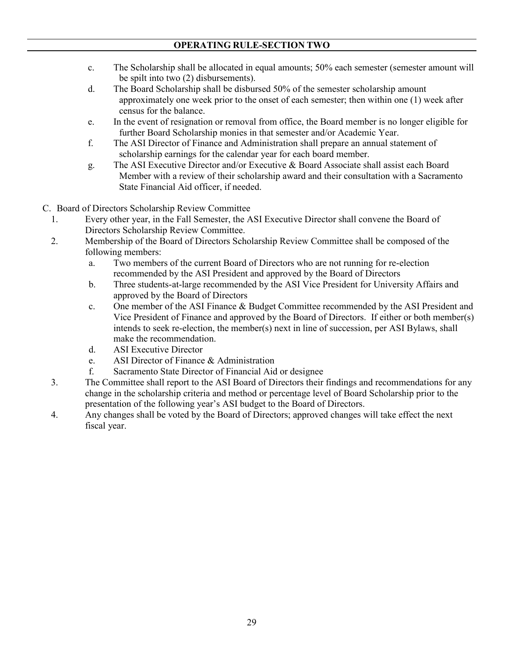- c. The Scholarship shall be allocated in equal amounts; 50% each semester (semester amount will be spilt into two (2) disbursements).
- d. The Board Scholarship shall be disbursed 50% of the semester scholarship amount approximately one week prior to the onset of each semester; then within one (1) week after census for the balance.
- e. In the event of resignation or removal from office, the Board member is no longer eligible for further Board Scholarship monies in that semester and/or Academic Year.
- f. The ASI Director of Finance and Administration shall prepare an annual statement of scholarship earnings for the calendar year for each board member.
- g. The ASI Executive Director and/or Executive & Board Associate shall assist each Board Member with a review of their scholarship award and their consultation with a Sacramento State Financial Aid officer, if needed.
- C. Board of Directors Scholarship Review Committee
- 1. Every other year, in the Fall Semester, the ASI Executive Director shall convene the Board of Directors Scholarship Review Committee.
- 2. Membership of the Board of Directors Scholarship Review Committee shall be composed of the following members:
	- a. Two members of the current Board of Directors who are not running for re-election recommended by the ASI President and approved by the Board of Directors
	- b. Three students-at-large recommended by the ASI Vice President for University Affairs and approved by the Board of Directors
	- c. One member of the ASI Finance & Budget Committee recommended by the ASI President and Vice President of Finance and approved by the Board of Directors. If either or both member(s) intends to seek re-election, the member(s) next in line of succession, per ASI Bylaws, shall make the recommendation.
	- d. ASI Executive Director
	- e. ASI Director of Finance & Administration
	- f. Sacramento State Director of Financial Aid or designee
- 3. The Committee shall report to the ASI Board of Directors their findings and recommendations for any change in the scholarship criteria and method or percentage level of Board Scholarship prior to the presentation of the following year's ASI budget to the Board of Directors.
- 4. Any changes shall be voted by the Board of Directors; approved changes will take effect the next fiscal year.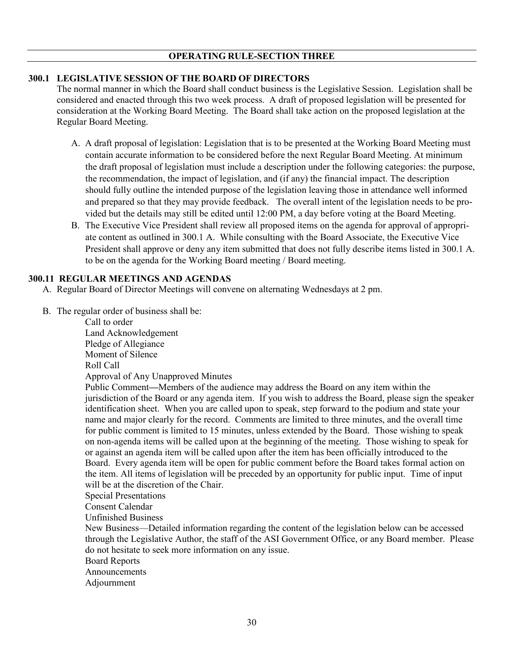### <span id="page-29-0"></span>**300.1 LEGISLATIVE SESSION OF THE BOARD OF DIRECTORS**

The normal manner in which the Board shall conduct business is the Legislative Session. Legislation shall be considered and enacted through this two week process. A draft of proposed legislation will be presented for consideration at the Working Board Meeting. The Board shall take action on the proposed legislation at the Regular Board Meeting.

- A. A draft proposal of legislation: Legislation that is to be presented at the Working Board Meeting must contain accurate information to be considered before the next Regular Board Meeting. At minimum the draft proposal of legislation must include a description under the following categories: the purpose, the recommendation, the impact of legislation, and (if any) the financial impact. The description should fully outline the intended purpose of the legislation leaving those in attendance well informed and prepared so that they may provide feedback. The overall intent of the legislation needs to be provided but the details may still be edited until 12:00 PM, a day before voting at the Board Meeting.
- B. The Executive Vice President shall review all proposed items on the agenda for approval of appropriate content as outlined in 300.1 A. While consulting with the Board Associate, the Executive Vice President shall approve or deny any item submitted that does not fully describe items listed in 300.1 A. to be on the agenda for the Working Board meeting / Board meeting.

#### **300.11 REGULAR MEETINGS AND AGENDAS**

- A. Regular Board of Director Meetings will convene on alternating Wednesdays at 2 pm.
- B. The regular order of business shall be:

Call to order Land Acknowledgement Pledge of Allegiance Moment of Silence Roll Call Approval of Any Unapproved Minutes

Public Comment**—**Members of the audience may address the Board on any item within the jurisdiction of the Board or any agenda item. If you wish to address the Board, please sign the speaker identification sheet. When you are called upon to speak, step forward to the podium and state your name and major clearly for the record. Comments are limited to three minutes, and the overall time for public comment is limited to 15 minutes, unless extended by the Board. Those wishing to speak on non-agenda items will be called upon at the beginning of the meeting. Those wishing to speak for or against an agenda item will be called upon after the item has been officially introduced to the Board. Every agenda item will be open for public comment before the Board takes formal action on the item. All items of legislation will be preceded by an opportunity for public input. Time of input will be at the discretion of the Chair.

Special Presentations

Consent Calendar

Unfinished Business

New Business—Detailed information regarding the content of the legislation below can be accessed through the Legislative Author, the staff of the ASI Government Office, or any Board member. Please do not hesitate to seek more information on any issue.

Board Reports

Announcements

Adjournment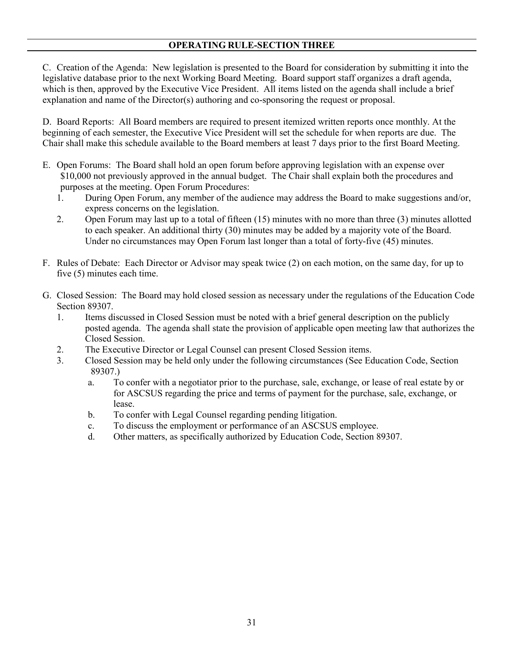C. Creation of the Agenda: New legislation is presented to the Board for consideration by submitting it into the legislative database prior to the next Working Board Meeting. Board support staff organizes a draft agenda, which is then, approved by the Executive Vice President. All items listed on the agenda shall include a brief explanation and name of the Director(s) authoring and co-sponsoring the request or proposal.

D. Board Reports: All Board members are required to present itemized written reports once monthly. At the beginning of each semester, the Executive Vice President will set the schedule for when reports are due. The Chair shall make this schedule available to the Board members at least 7 days prior to the first Board Meeting.

- E. Open Forums: The Board shall hold an open forum before approving legislation with an expense over \$10,000 not previously approved in the annual budget. The Chair shall explain both the procedures and purposes at the meeting. Open Forum Procedures:
	- 1. During Open Forum, any member of the audience may address the Board to make suggestions and/or, express concerns on the legislation.
	- 2. Open Forum may last up to a total of fifteen (15) minutes with no more than three (3) minutes allotted to each speaker. An additional thirty (30) minutes may be added by a majority vote of the Board. Under no circumstances may Open Forum last longer than a total of forty-five (45) minutes.
- F. Rules of Debate: Each Director or Advisor may speak twice (2) on each motion, on the same day, for up to five (5) minutes each time.
- G. Closed Session: The Board may hold closed session as necessary under the regulations of the Education Code Section 89307.
	- 1. Items discussed in Closed Session must be noted with a brief general description on the publicly posted agenda. The agenda shall state the provision of applicable open meeting law that authorizes the Closed Session.
	- 2. The Executive Director or Legal Counsel can present Closed Session items.
	- 3. Closed Session may be held only under the following circumstances (See Education Code, Section 89307.)
		- a. To confer with a negotiator prior to the purchase, sale, exchange, or lease of real estate by or for ASCSUS regarding the price and terms of payment for the purchase, sale, exchange, or lease.
		- b. To confer with Legal Counsel regarding pending litigation.
		- c. To discuss the employment or performance of an ASCSUS employee.
		- d. Other matters, as specifically authorized by Education Code, Section 89307.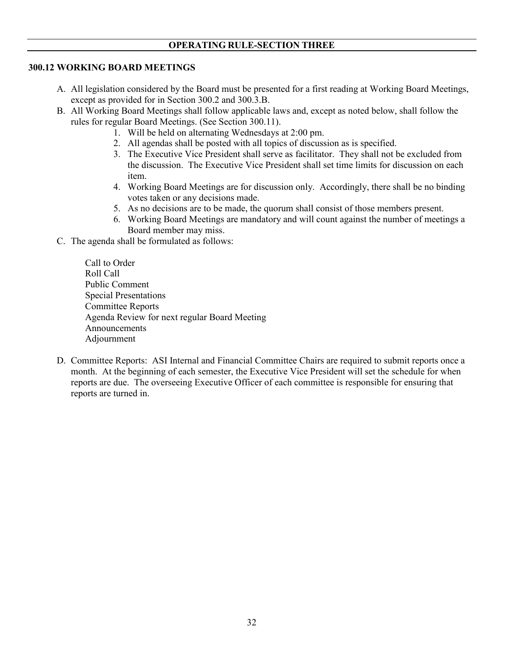#### **300.12 WORKING BOARD MEETINGS**

- A. All legislation considered by the Board must be presented for a first reading at Working Board Meetings, except as provided for in Section 300.2 and 300.3.B.
- B. All Working Board Meetings shall follow applicable laws and, except as noted below, shall follow the rules for regular Board Meetings. (See Section 300.11).
	- 1. Will be held on alternating Wednesdays at 2:00 pm.
	- 2. All agendas shall be posted with all topics of discussion as is specified.
	- 3. The Executive Vice President shall serve as facilitator. They shall not be excluded from the discussion. The Executive Vice President shall set time limits for discussion on each item.
	- 4. Working Board Meetings are for discussion only. Accordingly, there shall be no binding votes taken or any decisions made.
	- 5. As no decisions are to be made, the quorum shall consist of those members present.
	- 6. Working Board Meetings are mandatory and will count against the number of meetings a Board member may miss.
- C. The agenda shall be formulated as follows:

Call to Order Roll Call Public Comment Special Presentations Committee Reports Agenda Review for next regular Board Meeting Announcements Adjournment

D. Committee Reports: ASI Internal and Financial Committee Chairs are required to submit reports once a month. At the beginning of each semester, the Executive Vice President will set the schedule for when reports are due. The overseeing Executive Officer of each committee is responsible for ensuring that reports are turned in.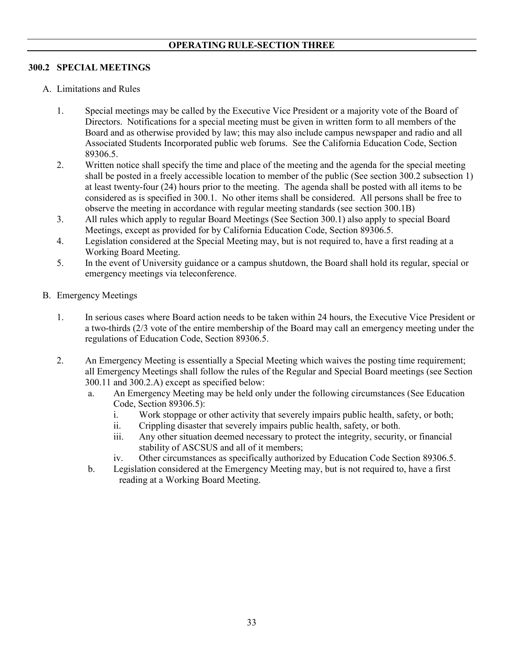## **300.2 SPECIAL MEETINGS**

- A. Limitations and Rules
	- 1. Special meetings may be called by the Executive Vice President or a majority vote of the Board of Directors. Notifications for a special meeting must be given in written form to all members of the Board and as otherwise provided by law; this may also include campus newspaper and radio and all Associated Students Incorporated public web forums. See the California Education Code, Section 89306.5.
	- 2. Written notice shall specify the time and place of the meeting and the agenda for the special meeting shall be posted in a freely accessible location to member of the public (See section 300.2 subsection 1) at least twenty-four (24) hours prior to the meeting. The agenda shall be posted with all items to be considered as is specified in 300.1. No other items shall be considered. All persons shall be free to observe the meeting in accordance with regular meeting standards (see section 300.1B)
	- 3. All rules which apply to regular Board Meetings (See Section 300.1) also apply to special Board Meetings, except as provided for by California Education Code, Section 89306.5.
	- 4. Legislation considered at the Special Meeting may, but is not required to, have a first reading at a Working Board Meeting.
	- 5. In the event of University guidance or a campus shutdown, the Board shall hold its regular, special or emergency meetings via teleconference.
- B. Emergency Meetings
	- 1. In serious cases where Board action needs to be taken within 24 hours, the Executive Vice President or a two-thirds (2/3 vote of the entire membership of the Board may call an emergency meeting under the regulations of Education Code, Section 89306.5.
	- 2. An Emergency Meeting is essentially a Special Meeting which waives the posting time requirement; all Emergency Meetings shall follow the rules of the Regular and Special Board meetings (see Section 300.11 and 300.2.A) except as specified below:
		- a. An Emergency Meeting may be held only under the following circumstances (See Education Code, Section 89306.5):
			- i. Work stoppage or other activity that severely impairs public health, safety, or both;
			- ii. Crippling disaster that severely impairs public health, safety, or both.
			- iii. Any other situation deemed necessary to protect the integrity, security, or financial stability of ASCSUS and all of it members;
			- iv. Other circumstances as specifically authorized by Education Code Section 89306.5.
		- b. Legislation considered at the Emergency Meeting may, but is not required to, have a first reading at a Working Board Meeting.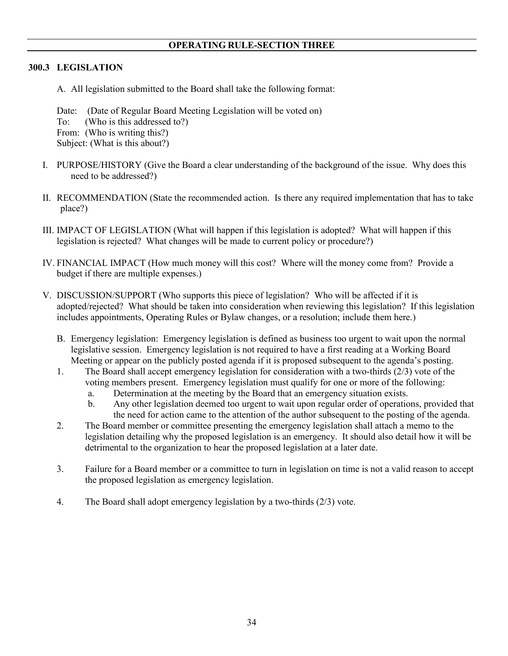### **300.3 LEGISLATION**

A. All legislation submitted to the Board shall take the following format:

Date: (Date of Regular Board Meeting Legislation will be voted on)

To: (Who is this addressed to?)

From: (Who is writing this?)

Subject: (What is this about?)

- I. PURPOSE/HISTORY (Give the Board a clear understanding of the background of the issue. Why does this need to be addressed?)
- II. RECOMMENDATION (State the recommended action. Is there any required implementation that has to take place?)
- III. IMPACT OF LEGISLATION (What will happen if this legislation is adopted? What will happen if this legislation is rejected? What changes will be made to current policy or procedure?)
- IV. FINANCIAL IMPACT (How much money will this cost? Where will the money come from? Provide a budget if there are multiple expenses.)
- V. DISCUSSION/SUPPORT (Who supports this piece of legislation? Who will be affected if it is adopted/rejected? What should be taken into consideration when reviewing this legislation? If this legislation includes appointments, Operating Rules or Bylaw changes, or a resolution; include them here.)
	- B. Emergency legislation: Emergency legislation is defined as business too urgent to wait upon the normal legislative session. Emergency legislation is not required to have a first reading at a Working Board Meeting or appear on the publicly posted agenda if it is proposed subsequent to the agenda's posting.
	- 1. The Board shall accept emergency legislation for consideration with a two-thirds (2/3) vote of the voting members present. Emergency legislation must qualify for one or more of the following:
		- a. Determination at the meeting by the Board that an emergency situation exists.
		- b. Any other legislation deemed too urgent to wait upon regular order of operations, provided that the need for action came to the attention of the author subsequent to the posting of the agenda.
	- 2. The Board member or committee presenting the emergency legislation shall attach a memo to the legislation detailing why the proposed legislation is an emergency. It should also detail how it will be detrimental to the organization to hear the proposed legislation at a later date.
	- 3. Failure for a Board member or a committee to turn in legislation on time is not a valid reason to accept the proposed legislation as emergency legislation.
	- 4. The Board shall adopt emergency legislation by a two-thirds (2/3) vote.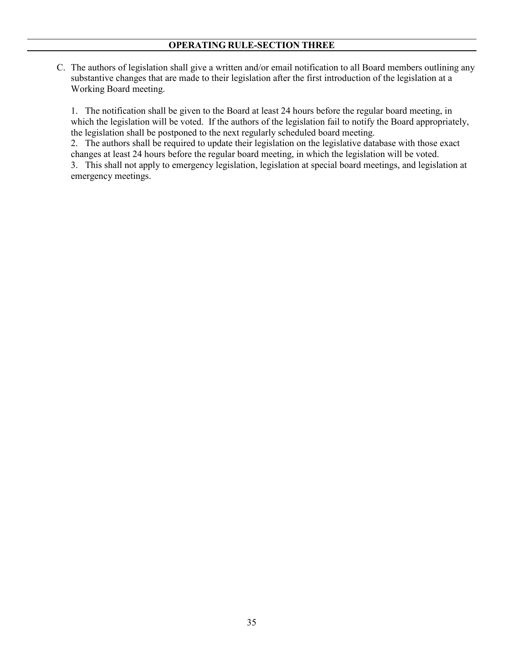C. The authors of legislation shall give a written and/or email notification to all Board members outlining any substantive changes that are made to their legislation after the first introduction of the legislation at a Working Board meeting.

1. The notification shall be given to the Board at least 24 hours before the regular board meeting, in which the legislation will be voted. If the authors of the legislation fail to notify the Board appropriately, the legislation shall be postponed to the next regularly scheduled board meeting.

2. The authors shall be required to update their legislation on the legislative database with those exact changes at least 24 hours before the regular board meeting, in which the legislation will be voted. 3. This shall not apply to emergency legislation, legislation at special board meetings, and legislation at

emergency meetings.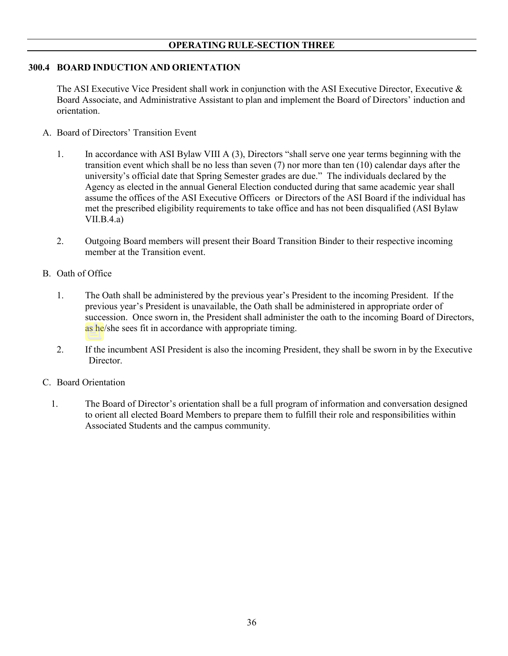### **300.4 BOARD INDUCTION AND ORIENTATION**

The ASI Executive Vice President shall work in conjunction with the ASI Executive Director, Executive & Board Associate, and Administrative Assistant to plan and implement the Board of Directors' induction and orientation.

- A. Board of Directors' Transition Event
	- 1. In accordance with ASI Bylaw VIII A (3), Directors "shall serve one year terms beginning with the transition event which shall be no less than seven (7) nor more than ten (10) calendar days after the university's official date that Spring Semester grades are due." The individuals declared by the Agency as elected in the annual General Election conducted during that same academic year shall assume the offices of the ASI Executive Officers or Directors of the ASI Board if the individual has met the prescribed eligibility requirements to take office and has not been disqualified (ASI Bylaw VII.B.4.a)
	- 2. Outgoing Board members will present their Board Transition Binder to their respective incoming member at the Transition event.
- B. Oath of Office
	- 1. The Oath shall be administered by the previous year's President to the incoming President. If the previous year's President is unavailable, the Oath shall be administered in appropriate order of succession. Once sworn in, the President shall administer the oath to the incoming Board of Directors, as he/she sees fit in accordance with appropriate timing.
	- 2. If the incumbent ASI President is also the incoming President, they shall be sworn in by the Executive Director.

### C. Board Orientation

1. The Board of Director's orientation shall be a full program of information and conversation designed to orient all elected Board Members to prepare them to fulfill their role and responsibilities within Associated Students and the campus community.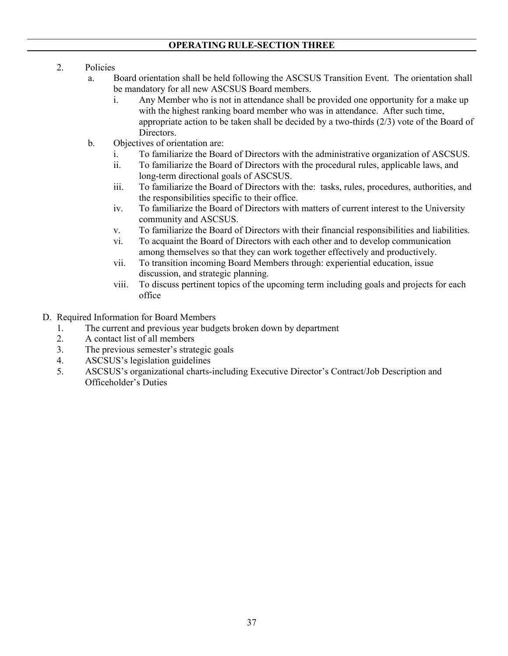# **OPERATING RULE-SECTION THREE**

- 2. Policies
	- a. Board orientation shall be held following the ASCSUS Transition Event. The orientation shall be mandatory for all new ASCSUS Board members.
		- i. Any Member who is not in attendance shall be provided one opportunity for a make up with the highest ranking board member who was in attendance. After such time, appropriate action to be taken shall be decided by a two-thirds (2/3) vote of the Board of Directors.
	- b. Objectives of orientation are:
		- i. To familiarize the Board of Directors with the administrative organization of ASCSUS.
		- ii. To familiarize the Board of Directors with the procedural rules, applicable laws, and long-term directional goals of ASCSUS.
		- iii. To familiarize the Board of Directors with the: tasks, rules, procedures, authorities, and the responsibilities specific to their office.
		- iv. To familiarize the Board of Directors with matters of current interest to the University community and ASCSUS.
		- v. To familiarize the Board of Directors with their financial responsibilities and liabilities.
		- vi. To acquaint the Board of Directors with each other and to develop communication among themselves so that they can work together effectively and productively.
		- vii. To transition incoming Board Members through: experiential education, issue discussion, and strategic planning.
		- viii. To discuss pertinent topics of the upcoming term including goals and projects for each office
- D. Required Information for Board Members
	- 1. The current and previous year budgets broken down by department
	- 2. A contact list of all members
	- 3. The previous semester's strategic goals
	- 4. ASCSUS's legislation guidelines
	- 5. ASCSUS's organizational charts-including Executive Director's Contract/Job Description and Officeholder's Duties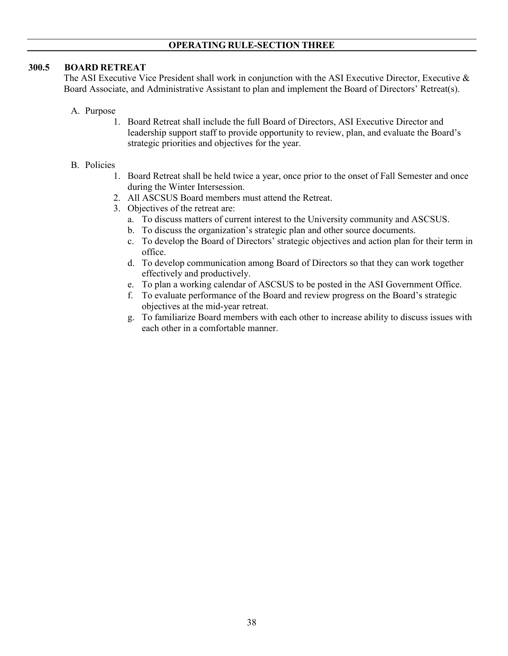## **OPERATING RULE-SECTION THREE**

### **300.5 BOARD RETREAT**

The ASI Executive Vice President shall work in conjunction with the ASI Executive Director, Executive & Board Associate, and Administrative Assistant to plan and implement the Board of Directors' Retreat(s).

- A. Purpose
	- 1. Board Retreat shall include the full Board of Directors, ASI Executive Director and leadership support staff to provide opportunity to review, plan, and evaluate the Board's strategic priorities and objectives for the year.

### B. Policies

- 1. Board Retreat shall be held twice a year, once prior to the onset of Fall Semester and once during the Winter Intersession.
- 2. All ASCSUS Board members must attend the Retreat.
- 3. Objectives of the retreat are:
	- a. To discuss matters of current interest to the University community and ASCSUS.
	- b. To discuss the organization's strategic plan and other source documents.
	- c. To develop the Board of Directors' strategic objectives and action plan for their term in office.
	- d. To develop communication among Board of Directors so that they can work together effectively and productively.
	- e. To plan a working calendar of ASCSUS to be posted in the ASI Government Office.
	- f. To evaluate performance of the Board and review progress on the Board's strategic objectives at the mid-year retreat.
	- g. To familiarize Board members with each other to increase ability to discuss issues with each other in a comfortable manner.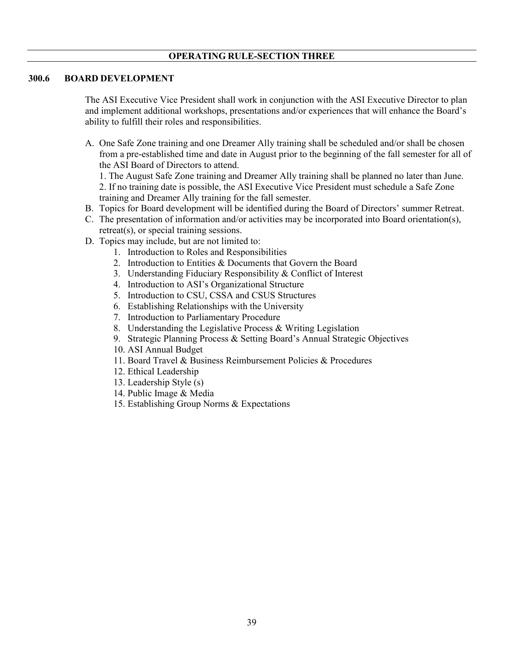## **OPERATING RULE-SECTION THREE**

#### **300.6 BOARD DEVELOPMENT**

The ASI Executive Vice President shall work in conjunction with the ASI Executive Director to plan and implement additional workshops, presentations and/or experiences that will enhance the Board's ability to fulfill their roles and responsibilities.

A. One Safe Zone training and one Dreamer Ally training shall be scheduled and/or shall be chosen from a pre-established time and date in August prior to the beginning of the fall semester for all of the ASI Board of Directors to attend.

1. The August Safe Zone training and Dreamer Ally training shall be planned no later than June. 2. If no training date is possible, the ASI Executive Vice President must schedule a Safe Zone training and Dreamer Ally training for the fall semester.

- B. Topics for Board development will be identified during the Board of Directors' summer Retreat.
- C. The presentation of information and/or activities may be incorporated into Board orientation(s), retreat(s), or special training sessions.
- D. Topics may include, but are not limited to:
	- 1. Introduction to Roles and Responsibilities
	- 2. Introduction to Entities & Documents that Govern the Board
	- 3. Understanding Fiduciary Responsibility & Conflict of Interest
	- 4. Introduction to ASI's Organizational Structure
	- 5. Introduction to CSU, CSSA and CSUS Structures
	- 6. Establishing Relationships with the University
	- 7. Introduction to Parliamentary Procedure
	- 8. Understanding the Legislative Process & Writing Legislation
	- 9. Strategic Planning Process & Setting Board's Annual Strategic Objectives
	- 10. ASI Annual Budget
	- 11. Board Travel & Business Reimbursement Policies & Procedures
	- 12. Ethical Leadership
	- 13. Leadership Style (s)
	- 14. Public Image & Media
	- 15. Establishing Group Norms & Expectations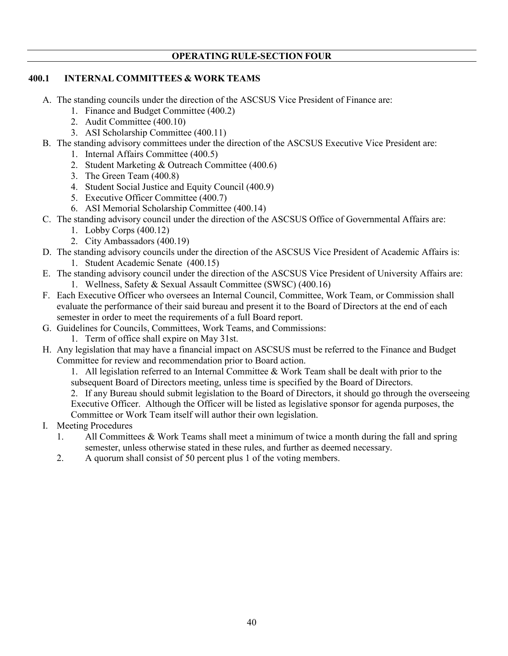## **400.1 INTERNAL COMMITTEES & WORK TEAMS**

- A. The standing councils under the direction of the ASCSUS Vice President of Finance are:
	- 1. Finance and Budget Committee (400.2)
	- 2. Audit Committee (400.10)
	- 3. ASI Scholarship Committee (400.11)
- B. The standing advisory committees under the direction of the ASCSUS Executive Vice President are:
	- 1. Internal Affairs Committee (400.5)
	- 2. Student Marketing & Outreach Committee (400.6)
	- 3. The Green Team (400.8)
	- 4. Student Social Justice and Equity Council (400.9)
	- 5. Executive Officer Committee (400.7)
	- 6. ASI Memorial Scholarship Committee (400.14)
- C. The standing advisory council under the direction of the ASCSUS Office of Governmental Affairs are:
	- 1. Lobby Corps (400.12)
	- 2. City Ambassadors (400.19)
- D. The standing advisory councils under the direction of the ASCSUS Vice President of Academic Affairs is: 1. Student Academic Senate (400.15)
- E. The standing advisory council under the direction of the ASCSUS Vice President of University Affairs are: 1. Wellness, Safety & Sexual Assault Committee (SWSC) (400.16)
- F. Each Executive Officer who oversees an Internal Council, Committee, Work Team, or Commission shall evaluate the performance of their said bureau and present it to the Board of Directors at the end of each semester in order to meet the requirements of a full Board report.
- G. Guidelines for Councils, Committees, Work Teams, and Commissions:
	- 1. Term of office shall expire on May 31st.
- H. Any legislation that may have a financial impact on ASCSUS must be referred to the Finance and Budget Committee for review and recommendation prior to Board action.

1. All legislation referred to an Internal Committee & Work Team shall be dealt with prior to the subsequent Board of Directors meeting, unless time is specified by the Board of Directors.

2. If any Bureau should submit legislation to the Board of Directors, it should go through the overseeing Executive Officer. Although the Officer will be listed as legislative sponsor for agenda purposes, the Committee or Work Team itself will author their own legislation.

- I. Meeting Procedures
	- 1. All Committees & Work Teams shall meet a minimum of twice a month during the fall and spring semester, unless otherwise stated in these rules, and further as deemed necessary.
	- 2. A quorum shall consist of 50 percent plus 1 of the voting members.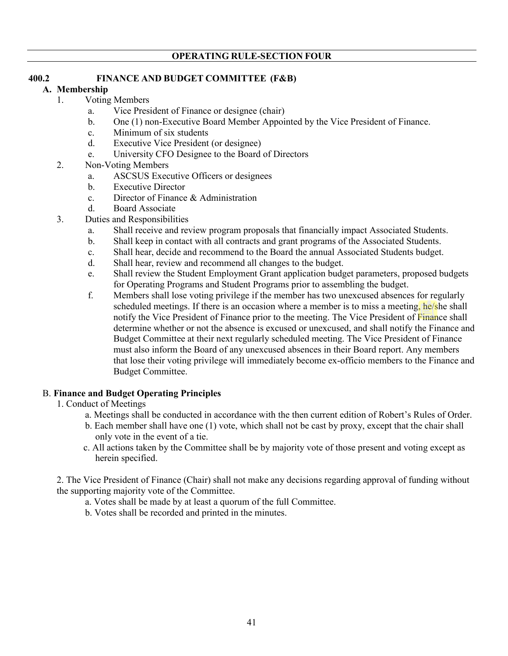## **400.2 FINANCE AND BUDGET COMMITTEE (F&B)**

## **A. Membership**

## 1. Voting Members

- a. Vice President of Finance or designee (chair)
- b. One (1) non-Executive Board Member Appointed by the Vice President of Finance.
- c. Minimum of six students
- d. Executive Vice President (or designee)
- e. University CFO Designee to the Board of Directors
- 2. Non-Voting Members
	- a. ASCSUS Executive Officers or designees
	- b. Executive Director
	- c. Director of Finance & Administration
	- d. Board Associate
- 3. Duties and Responsibilities
	- a. Shall receive and review program proposals that financially impact Associated Students.
	- b. Shall keep in contact with all contracts and grant programs of the Associated Students.
	- c. Shall hear, decide and recommend to the Board the annual Associated Students budget.
	- d. Shall hear, review and recommend all changes to the budget.
	- e. Shall review the Student Employment Grant application budget parameters, proposed budgets for Operating Programs and Student Programs prior to assembling the budget.
	- f. Members shall lose voting privilege if the member has two unexcused absences for regularly scheduled meetings. If there is an occasion where a member is to miss a meeting, he/she shall notify the Vice President of Finance prior to the meeting. The Vice President of Finance shall determine whether or not the absence is excused or unexcused, and shall notify the Finance and Budget Committee at their next regularly scheduled meeting. The Vice President of Finance must also inform the Board of any unexcused absences in their Board report. Any members that lose their voting privilege will immediately become ex-officio members to the Finance and Budget Committee.

# B. **Finance and Budget Operating Principles**

- 1. Conduct of Meetings
	- a. Meetings shall be conducted in accordance with the then current edition of Robert's Rules of Order.
	- b. Each member shall have one (1) vote, which shall not be cast by proxy, except that the chair shall only vote in the event of a tie.
	- c. All actions taken by the Committee shall be by majority vote of those present and voting except as herein specified.

2. The Vice President of Finance (Chair) shall not make any decisions regarding approval of funding without the supporting majority vote of the Committee.

- a. Votes shall be made by at least a quorum of the full Committee.
- b. Votes shall be recorded and printed in the minutes.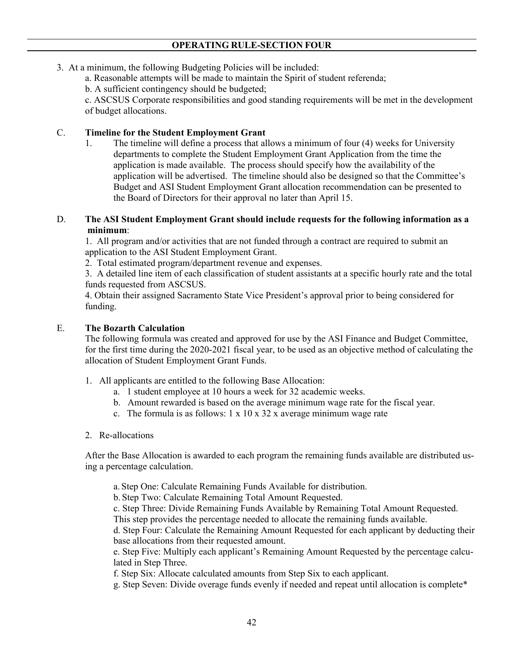- 3. At a minimum, the following Budgeting Policies will be included:
	- a. Reasonable attempts will be made to maintain the Spirit of student referenda;

b. A sufficient contingency should be budgeted;

c. ASCSUS Corporate responsibilities and good standing requirements will be met in the development of budget allocations.

## C. **Timeline for the Student Employment Grant**

1. The timeline will define a process that allows a minimum of four (4) weeks for University departments to complete the Student Employment Grant Application from the time the application is made available. The process should specify how the availability of the application will be advertised. The timeline should also be designed so that the Committee's Budget and ASI Student Employment Grant allocation recommendation can be presented to the Board of Directors for their approval no later than April 15.

## D. **The ASI Student Employment Grant should include requests for the following information as a minimum**:

1. All program and/or activities that are not funded through a contract are required to submit an application to the ASI Student Employment Grant.

2. Total estimated program/department revenue and expenses.

3. A detailed line item of each classification of student assistants at a specific hourly rate and the total funds requested from ASCSUS.

4. Obtain their assigned Sacramento State Vice President's approval prior to being considered for funding.

## E. **The Bozarth Calculation**

The following formula was created and approved for use by the ASI Finance and Budget Committee, for the first time during the 2020-2021 fiscal year, to be used as an objective method of calculating the allocation of Student Employment Grant Funds.

- 1. All applicants are entitled to the following Base Allocation:
	- a. 1 student employee at 10 hours a week for 32 academic weeks.
	- b. Amount rewarded is based on the average minimum wage rate for the fiscal year.
	- c. The formula is as follows:  $1 \times 10 \times 32 \times 10^2$  average minimum wage rate

### 2. Re-allocations

After the Base Allocation is awarded to each program the remaining funds available are distributed using a percentage calculation.

a. Step One: Calculate Remaining Funds Available for distribution.

b. Step Two: Calculate Remaining Total Amount Requested.

c. Step Three: Divide Remaining Funds Available by Remaining Total Amount Requested.

This step provides the percentage needed to allocate the remaining funds available.

d. Step Four: Calculate the Remaining Amount Requested for each applicant by deducting their base allocations from their requested amount.

e. Step Five: Multiply each applicant's Remaining Amount Requested by the percentage calculated in Step Three.

f. Step Six: Allocate calculated amounts from Step Six to each applicant.

g. Step Seven: Divide overage funds evenly if needed and repeat until allocation is complete\*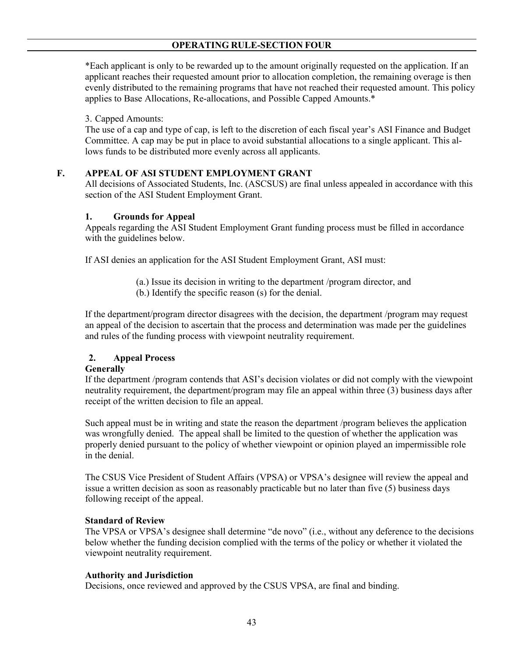\*Each applicant is only to be rewarded up to the amount originally requested on the application. If an applicant reaches their requested amount prior to allocation completion, the remaining overage is then evenly distributed to the remaining programs that have not reached their requested amount. This policy applies to Base Allocations, Re-allocations, and Possible Capped Amounts.\*

## 3. Capped Amounts:

The use of a cap and type of cap, is left to the discretion of each fiscal year's ASI Finance and Budget Committee. A cap may be put in place to avoid substantial allocations to a single applicant. This allows funds to be distributed more evenly across all applicants.

# **F. APPEAL OF ASI STUDENT EMPLOYMENT GRANT**

All decisions of Associated Students, Inc. (ASCSUS) are final unless appealed in accordance with this section of the ASI Student Employment Grant.

## **1. Grounds for Appeal**

Appeals regarding the ASI Student Employment Grant funding process must be filled in accordance with the guidelines below.

If ASI denies an application for the ASI Student Employment Grant, ASI must:

- (a.) Issue its decision in writing to the department /program director, and
- (b.) Identify the specific reason (s) for the denial.

If the department/program director disagrees with the decision, the department /program may request an appeal of the decision to ascertain that the process and determination was made per the guidelines and rules of the funding process with viewpoint neutrality requirement.

# **2. Appeal Process**

## **Generally**

If the department /program contends that ASI's decision violates or did not comply with the viewpoint neutrality requirement, the department/program may file an appeal within three (3) business days after receipt of the written decision to file an appeal.

Such appeal must be in writing and state the reason the department /program believes the application was wrongfully denied. The appeal shall be limited to the question of whether the application was properly denied pursuant to the policy of whether viewpoint or opinion played an impermissible role in the denial.

The CSUS Vice President of Student Affairs (VPSA) or VPSA's designee will review the appeal and issue a written decision as soon as reasonably practicable but no later than five (5) business days following receipt of the appeal.

### **Standard of Review**

The VPSA or VPSA's designee shall determine "de novo" (i.e., without any deference to the decisions below whether the funding decision complied with the terms of the policy or whether it violated the viewpoint neutrality requirement.

### **Authority and Jurisdiction**

Decisions, once reviewed and approved by the CSUS VPSA, are final and binding.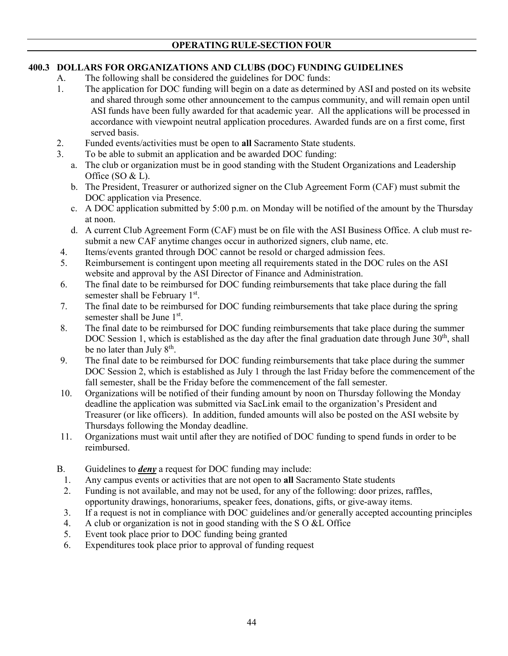# **400.3 DOLLARS FOR ORGANIZATIONS AND CLUBS (DOC) FUNDING GUIDELINES**

- A. The following shall be considered the guidelines for DOC funds:
- 1. The application for DOC funding will begin on a date as determined by ASI and posted on its website and shared through some other announcement to the campus community, and will remain open until ASI funds have been fully awarded for that academic year. All the applications will be processed in accordance with viewpoint neutral application procedures. Awarded funds are on a first come, first served basis.
- 2. Funded events/activities must be open to **all** Sacramento State students.
- 3. To be able to submit an application and be awarded DOC funding:
	- a. The club or organization must be in good standing with the Student Organizations and Leadership Office (SO & L).
	- b. The President, Treasurer or authorized signer on the Club Agreement Form (CAF) must submit the DOC application via Presence.
	- c. A DOC application submitted by 5:00 p.m. on Monday will be notified of the amount by the Thursday at noon.
	- d. A current Club Agreement Form (CAF) must be on file with the ASI Business Office. A club must resubmit a new CAF anytime changes occur in authorized signers, club name, etc.
- 4. Items/events granted through DOC cannot be resold or charged admission fees.
- 5. Reimbursement is contingent upon meeting all requirements stated in the DOC rules on the ASI website and approval by the ASI Director of Finance and Administration.
- 6. The final date to be reimbursed for DOC funding reimbursements that take place during the fall semester shall be February 1st.
- 7. The final date to be reimbursed for DOC funding reimbursements that take place during the spring semester shall be June 1<sup>st</sup>.
- 8. The final date to be reimbursed for DOC funding reimbursements that take place during the summer DOC Session 1, which is established as the day after the final graduation date through June 30<sup>th</sup>, shall be no later than July 8<sup>th</sup>.
- 9. The final date to be reimbursed for DOC funding reimbursements that take place during the summer DOC Session 2, which is established as July 1 through the last Friday before the commencement of the fall semester, shall be the Friday before the commencement of the fall semester.
- 10. Organizations will be notified of their funding amount by noon on Thursday following the Monday deadline the application was submitted via SacLink email to the organization's President and Treasurer (or like officers). In addition, funded amounts will also be posted on the ASI website by Thursdays following the Monday deadline.
- 11. Organizations must wait until after they are notified of DOC funding to spend funds in order to be reimbursed.
- B. Guidelines to *deny* a request for DOC funding may include:
	- 1. Any campus events or activities that are not open to **all** Sacramento State students
	- 2. Funding is not available, and may not be used, for any of the following: door prizes, raffles, opportunity drawings, honorariums, speaker fees, donations, gifts, or give-away items.
	- 3. If a request is not in compliance with DOC guidelines and/or generally accepted accounting principles
	- 4. A club or organization is not in good standing with the S O &L Office
	- 5. Event took place prior to DOC funding being granted
	- 6. Expenditures took place prior to approval of funding request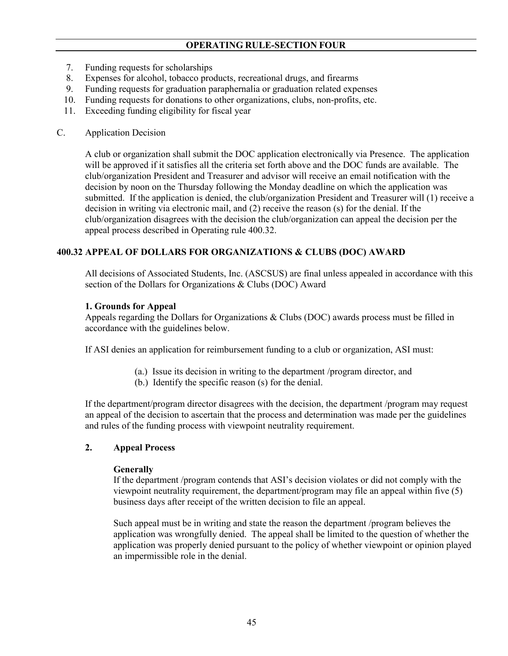- 7. Funding requests for scholarships
- 8. Expenses for alcohol, tobacco products, recreational drugs, and firearms
- 9. Funding requests for graduation paraphernalia or graduation related expenses
- 10. Funding requests for donations to other organizations, clubs, non-profits, etc.
- 11. Exceeding funding eligibility for fiscal year

### C. Application Decision

A club or organization shall submit the DOC application electronically via Presence. The application will be approved if it satisfies all the criteria set forth above and the DOC funds are available. The club/organization President and Treasurer and advisor will receive an email notification with the decision by noon on the Thursday following the Monday deadline on which the application was submitted. If the application is denied, the club/organization President and Treasurer will (1) receive a decision in writing via electronic mail, and (2) receive the reason (s) for the denial. If the club/organization disagrees with the decision the club/organization can appeal the decision per the appeal process described in Operating rule 400.32.

## **400.32 APPEAL OF DOLLARS FOR ORGANIZATIONS & CLUBS (DOC) AWARD**

All decisions of Associated Students, Inc. (ASCSUS) are final unless appealed in accordance with this section of the Dollars for Organizations & Clubs (DOC) Award

## **1. Grounds for Appeal**

Appeals regarding the Dollars for Organizations & Clubs (DOC) awards process must be filled in accordance with the guidelines below.

If ASI denies an application for reimbursement funding to a club or organization, ASI must:

- (a.) Issue its decision in writing to the department /program director, and
- (b.) Identify the specific reason (s) for the denial.

If the department/program director disagrees with the decision, the department /program may request an appeal of the decision to ascertain that the process and determination was made per the guidelines and rules of the funding process with viewpoint neutrality requirement.

### **2. Appeal Process**

### **Generally**

If the department /program contends that ASI's decision violates or did not comply with the viewpoint neutrality requirement, the department/program may file an appeal within five (5) business days after receipt of the written decision to file an appeal.

Such appeal must be in writing and state the reason the department /program believes the application was wrongfully denied. The appeal shall be limited to the question of whether the application was properly denied pursuant to the policy of whether viewpoint or opinion played an impermissible role in the denial.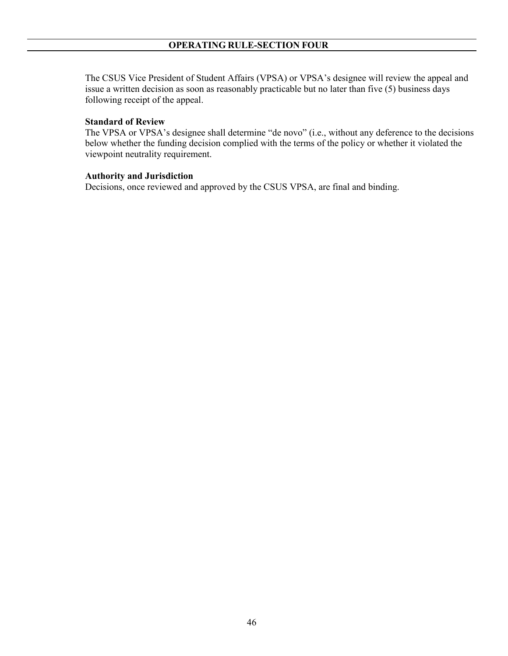The CSUS Vice President of Student Affairs (VPSA) or VPSA's designee will review the appeal and issue a written decision as soon as reasonably practicable but no later than five (5) business days following receipt of the appeal.

#### **Standard of Review**

The VPSA or VPSA's designee shall determine "de novo" (i.e., without any deference to the decisions below whether the funding decision complied with the terms of the policy or whether it violated the viewpoint neutrality requirement.

#### **Authority and Jurisdiction**

Decisions, once reviewed and approved by the CSUS VPSA, are final and binding.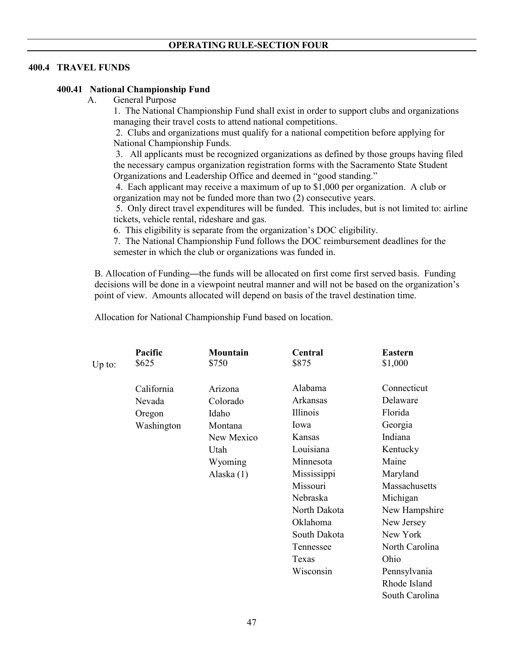## **400.4 TRAVEL FUNDS**

### **400.41 National Championship Fund**

A. General Purpose

1. The National Championship Fund shall exist in order to support clubs and organizations managing their travel costs to attend national competitions.

2. Clubs and organizations must qualify for a national competition before applying for National Championship Funds.

3. All applicants must be recognized organizations as defined by those groups having filed the necessary campus organization registration forms with the Sacramento State Student Organizations and Leadership Office and deemed in "good standing."

4. Each applicant may receive a maximum of up to \$1,000 per organization. A club or organization may not be funded more than two (2) consecutive years.

5. Only direct travel expenditures will be funded. This includes, but is not limited to: airline tickets, vehicle rental, rideshare and gas.

6. This eligibility is separate from the organization's DOC eligibility.

7. The National Championship Fund follows the DOC reimbursement deadlines for the semester in which the club or organizations was funded in.

B. Allocation of Funding**—**the funds will be allocated on first come first served basis. Funding decisions will be done in a viewpoint neutral manner and will not be based on the organization's point of view. Amounts allocated will depend on basis of the travel destination time.

Allocation for National Championship Fund based on location.

|        | Pacific    | <b>Mountain</b> | Central      | <b>Eastern</b> |
|--------|------------|-----------------|--------------|----------------|
| Up to: | \$625      | \$750           | \$875        | \$1,000        |
|        | California | Arizona         | Alabama      | Connecticut    |
|        | Nevada     | Colorado        | Arkansas     | Delaware       |
|        | Oregon     | Idaho           | Illinois     | Florida        |
|        | Washington | Montana         | Iowa         | Georgia        |
|        |            | New Mexico      | Kansas       | Indiana        |
|        |            | Utah            | Louisiana    | Kentucky       |
|        |            | Wyoming         | Minnesota    | Maine          |
|        |            | Alaska (1)      | Mississippi  | Maryland       |
|        |            |                 | Missouri     | Massachusetts  |
|        |            |                 | Nebraska     | Michigan       |
|        |            |                 | North Dakota | New Hampshire  |
|        |            |                 | Oklahoma     | New Jersey     |
|        |            |                 | South Dakota | New York       |
|        |            |                 | Tennessee    | North Carolina |
|        |            |                 | Texas        | Ohio           |
|        |            |                 | Wisconsin    | Pennsylvania   |
|        |            |                 |              | Rhode Island   |
|        |            |                 |              | South Carolina |
|        |            |                 |              |                |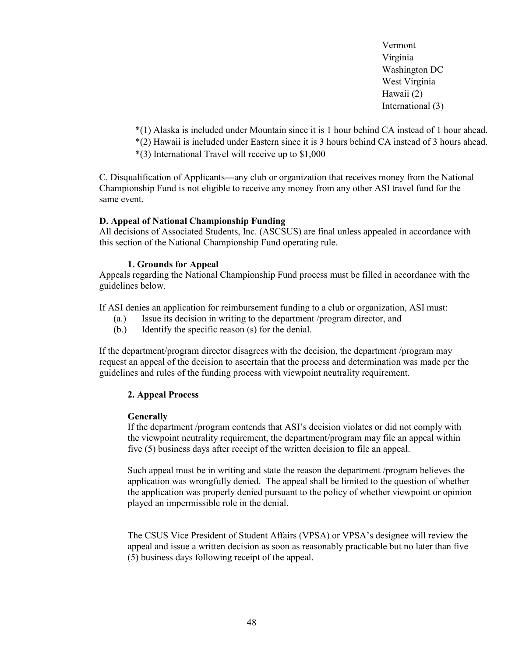Vermont Virginia Washington DC West Virginia Hawaii (2) International (3)

\*(1) Alaska is included under Mountain since it is 1 hour behind CA instead of 1 hour ahead. \*(2) Hawaii is included under Eastern since it is 3 hours behind CA instead of 3 hours ahead.

\*(3) International Travel will receive up to \$1,000

C. Disqualification of Applicants**—**any club or organization that receives money from the National Championship Fund is not eligible to receive any money from any other ASI travel fund for the same event.

## **D. Appeal of National Championship Funding**

All decisions of Associated Students, Inc. (ASCSUS) are final unless appealed in accordance with this section of the National Championship Fund operating rule.

## **1. Grounds for Appeal**

Appeals regarding the National Championship Fund process must be filled in accordance with the guidelines below.

If ASI denies an application for reimbursement funding to a club or organization, ASI must:

- (a.) Issue its decision in writing to the department /program director, and
- (b.) Identify the specific reason (s) for the denial.

If the department/program director disagrees with the decision, the department /program may request an appeal of the decision to ascertain that the process and determination was made per the guidelines and rules of the funding process with viewpoint neutrality requirement.

## **2. Appeal Process**

### **Generally**

If the department /program contends that ASI's decision violates or did not comply with the viewpoint neutrality requirement, the department/program may file an appeal within five (5) business days after receipt of the written decision to file an appeal.

Such appeal must be in writing and state the reason the department /program believes the application was wrongfully denied. The appeal shall be limited to the question of whether the application was properly denied pursuant to the policy of whether viewpoint or opinion played an impermissible role in the denial.

The CSUS Vice President of Student Affairs (VPSA) or VPSA's designee will review the appeal and issue a written decision as soon as reasonably practicable but no later than five (5) business days following receipt of the appeal.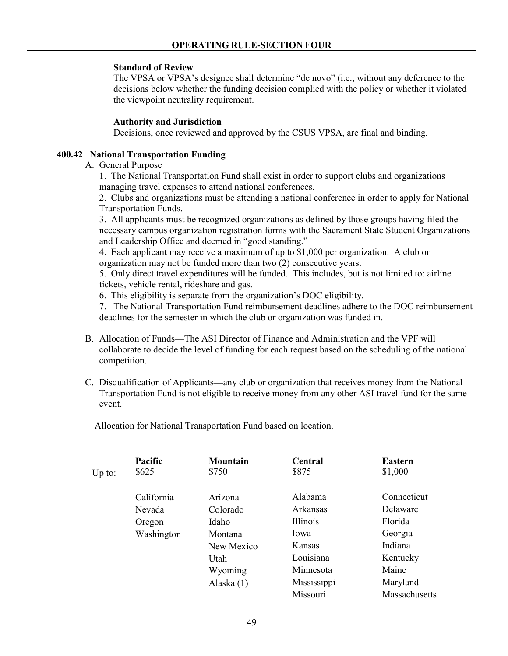#### **Standard of Review**

The VPSA or VPSA's designee shall determine "de novo" (i.e., without any deference to the decisions below whether the funding decision complied with the policy or whether it violated the viewpoint neutrality requirement.

#### **Authority and Jurisdiction**

Decisions, once reviewed and approved by the CSUS VPSA, are final and binding.

### **400.42 National Transportation Funding**

### A. General Purpose

1. The National Transportation Fund shall exist in order to support clubs and organizations managing travel expenses to attend national conferences.

2. Clubs and organizations must be attending a national conference in order to apply for National Transportation Funds.

3. All applicants must be recognized organizations as defined by those groups having filed the necessary campus organization registration forms with the Sacrament State Student Organizations and Leadership Office and deemed in "good standing."

4. Each applicant may receive a maximum of up to \$1,000 per organization. A club or organization may not be funded more than two (2) consecutive years.

5. Only direct travel expenditures will be funded. This includes, but is not limited to: airline tickets, vehicle rental, rideshare and gas.

6. This eligibility is separate from the organization's DOC eligibility.

7. The National Transportation Fund reimbursement deadlines adhere to the DOC reimbursement deadlines for the semester in which the club or organization was funded in.

- B. Allocation of Funds**—**The ASI Director of Finance and Administration and the VPF will collaborate to decide the level of funding for each request based on the scheduling of the national competition.
- C. Disqualification of Applicants**—**any club or organization that receives money from the National Transportation Fund is not eligible to receive money from any other ASI travel fund for the same event.

Allocation for National Transportation Fund based on location.

|        | Pacific    | <b>Mountain</b> | <b>Central</b> | <b>Eastern</b> |
|--------|------------|-----------------|----------------|----------------|
| Up to: | \$625      | \$750           | \$875          | \$1,000        |
|        | California | Arizona         | Alabama        | Connecticut    |
|        | Nevada     | Colorado        | Arkansas       | Delaware       |
|        | Oregon     | Idaho           | Illinois       | Florida        |
|        | Washington | Montana         | Iowa           | Georgia        |
|        |            | New Mexico      | <b>Kansas</b>  | Indiana        |
|        |            | Utah            | Louisiana      | Kentucky       |
|        |            | Wyoming         | Minnesota      | Maine          |
|        |            | Alaska $(1)$    | Mississippi    | Maryland       |
|        |            |                 | Missouri       | Massachusetts  |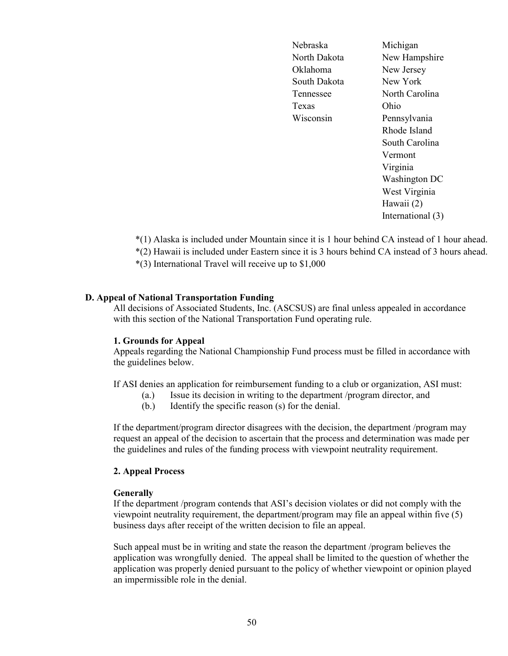Nebraska Michigan North Dakota New Hampshire Oklahoma New Jersey South Dakota New York Tennessee North Carolina Texas Ohio Wisconsin Pennsylvania

Rhode Island South Carolina Vermont Virginia Washington DC West Virginia Hawaii (2) International (3)

\*(1) Alaska is included under Mountain since it is 1 hour behind CA instead of 1 hour ahead.

\*(2) Hawaii is included under Eastern since it is 3 hours behind CA instead of 3 hours ahead.

\*(3) International Travel will receive up to \$1,000

### **D. Appeal of National Transportation Funding**

All decisions of Associated Students, Inc. (ASCSUS) are final unless appealed in accordance with this section of the National Transportation Fund operating rule.

#### **1. Grounds for Appeal**

Appeals regarding the National Championship Fund process must be filled in accordance with the guidelines below.

If ASI denies an application for reimbursement funding to a club or organization, ASI must:

- (a.) Issue its decision in writing to the department /program director, and
- (b.) Identify the specific reason (s) for the denial.

If the department/program director disagrees with the decision, the department /program may request an appeal of the decision to ascertain that the process and determination was made per the guidelines and rules of the funding process with viewpoint neutrality requirement.

#### **2. Appeal Process**

#### **Generally**

If the department /program contends that ASI's decision violates or did not comply with the viewpoint neutrality requirement, the department/program may file an appeal within five (5) business days after receipt of the written decision to file an appeal.

Such appeal must be in writing and state the reason the department /program believes the application was wrongfully denied. The appeal shall be limited to the question of whether the application was properly denied pursuant to the policy of whether viewpoint or opinion played an impermissible role in the denial.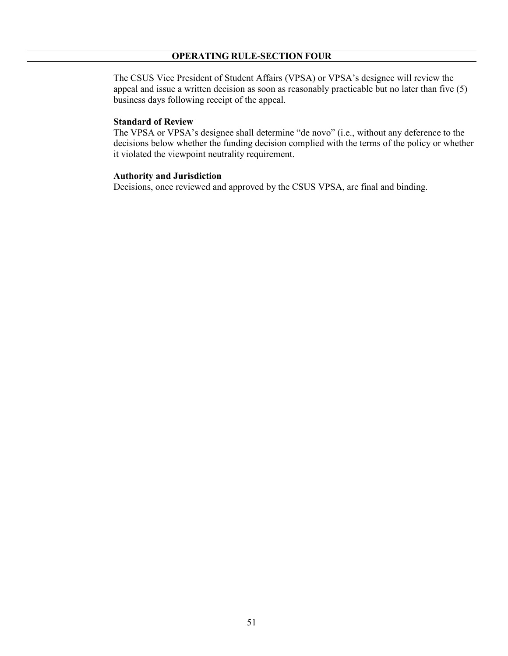The CSUS Vice President of Student Affairs (VPSA) or VPSA's designee will review the appeal and issue a written decision as soon as reasonably practicable but no later than five (5) business days following receipt of the appeal.

#### **Standard of Review**

The VPSA or VPSA's designee shall determine "de novo" (i.e., without any deference to the decisions below whether the funding decision complied with the terms of the policy or whether it violated the viewpoint neutrality requirement.

### **Authority and Jurisdiction**

Decisions, once reviewed and approved by the CSUS VPSA, are final and binding.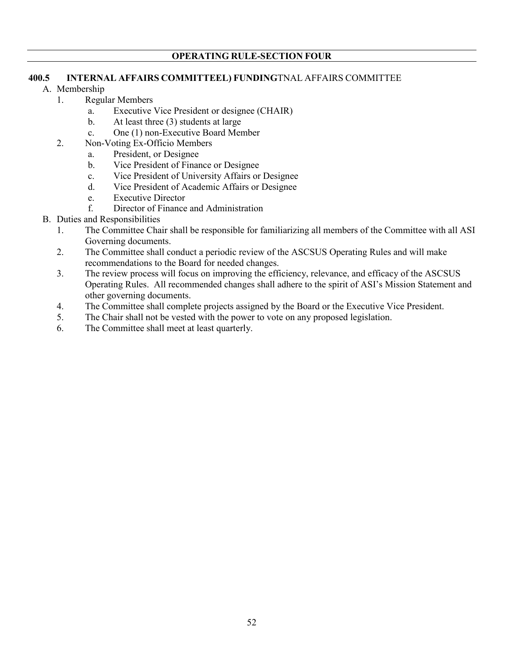## **400.5 INTERNAL AFFAIRS COMMITTEEL) FUNDING**TNAL AFFAIRS COMMITTEE

- A. Membership
	- 1. Regular Members
		- a. Executive Vice President or designee (CHAIR)
		- b. At least three (3) students at large
		- c. One (1) non-Executive Board Member
	- 2. Non-Voting Ex-Officio Members
		- a. President, or Designee
		- b. Vice President of Finance or Designee
		- c. Vice President of University Affairs or Designee
		- d. Vice President of Academic Affairs or Designee
		- e. Executive Director
		- f. Director of Finance and Administration
- B. Duties and Responsibilities
	- 1. The Committee Chair shall be responsible for familiarizing all members of the Committee with all ASI Governing documents.
	- 2. The Committee shall conduct a periodic review of the ASCSUS Operating Rules and will make recommendations to the Board for needed changes.
	- 3. The review process will focus on improving the efficiency, relevance, and efficacy of the ASCSUS Operating Rules. All recommended changes shall adhere to the spirit of ASI's Mission Statement and other governing documents.
	- 4. The Committee shall complete projects assigned by the Board or the Executive Vice President.
	- 5. The Chair shall not be vested with the power to vote on any proposed legislation.
	- 6. The Committee shall meet at least quarterly.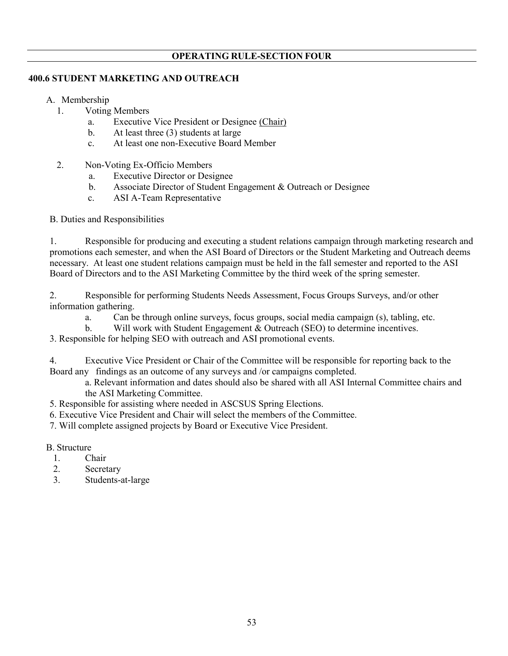## **400.6 STUDENT MARKETING AND OUTREACH**

- A. Membership
	- 1. Voting Members
		- a. Executive Vice President or Designee (Chair)
		- b. At least three (3) students at large
		- c. At least one non-Executive Board Member
	- 2. Non-Voting Ex-Officio Members
		- a. Executive Director or Designee
		- b. Associate Director of Student Engagement & Outreach or Designee
		- c. ASI A-Team Representative

B. Duties and Responsibilities

 1. Responsible for producing and executing a student relations campaign through marketing research and promotions each semester, and when the ASI Board of Directors or the Student Marketing and Outreach deems necessary. At least one student relations campaign must be held in the fall semester and reported to the ASI Board of Directors and to the ASI Marketing Committee by the third week of the spring semester.

 2. Responsible for performing Students Needs Assessment, Focus Groups Surveys, and/or other information gathering.

a. Can be through online surveys, focus groups, social media campaign (s), tabling, etc.

b. Will work with Student Engagement & Outreach (SEO) to determine incentives.

3. Responsible for helping SEO with outreach and ASI promotional events.

4. Executive Vice President or Chair of the Committee will be responsible for reporting back to the Board any findings as an outcome of any surveys and /or campaigns completed.

a. Relevant information and dates should also be shared with all ASI Internal Committee chairs and the ASI Marketing Committee.

5. Responsible for assisting where needed in ASCSUS Spring Elections.

6. Executive Vice President and Chair will select the members of the Committee.

7. Will complete assigned projects by Board or Executive Vice President.

### B. Structure

- 1. Chair
- 2. Secretary
- 3. Students-at-large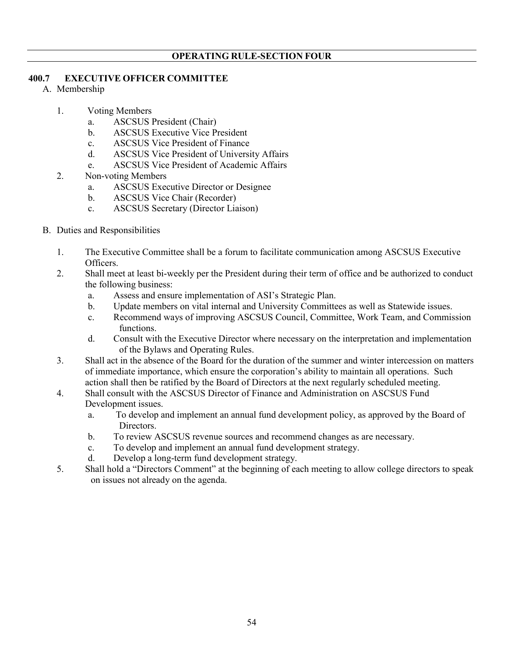## **400.7 EXECUTIVE OFFICER COMMITTEE**

- A. Membership
	- 1. Voting Members
		- a. ASCSUS President (Chair)
		- b. ASCSUS Executive Vice President
		- c. ASCSUS Vice President of Finance
		- d. ASCSUS Vice President of University Affairs
		- e. ASCSUS Vice President of Academic Affairs
	- 2. Non-voting Members
		- a. ASCSUS Executive Director or Designee
		- b. ASCSUS Vice Chair (Recorder)
		- c. ASCSUS Secretary (Director Liaison)
- B. Duties and Responsibilities
	- 1. The Executive Committee shall be a forum to facilitate communication among ASCSUS Executive Officers.
	- 2. Shall meet at least bi-weekly per the President during their term of office and be authorized to conduct the following business:
		- a. Assess and ensure implementation of ASI's Strategic Plan.
		- b. Update members on vital internal and University Committees as well as Statewide issues.
		- c. Recommend ways of improving ASCSUS Council, Committee, Work Team, and Commission functions.
		- d. Consult with the Executive Director where necessary on the interpretation and implementation of the Bylaws and Operating Rules.
	- 3. Shall act in the absence of the Board for the duration of the summer and winter intercession on matters of immediate importance, which ensure the corporation's ability to maintain all operations. Such action shall then be ratified by the Board of Directors at the next regularly scheduled meeting.
	- 4. Shall consult with the ASCSUS Director of Finance and Administration on ASCSUS Fund Development issues.
		- a. To develop and implement an annual fund development policy, as approved by the Board of Directors.
		- b. To review ASCSUS revenue sources and recommend changes as are necessary.
		- c. To develop and implement an annual fund development strategy.
		- d. Develop a long-term fund development strategy.
	- 5. Shall hold a "Directors Comment" at the beginning of each meeting to allow college directors to speak on issues not already on the agenda.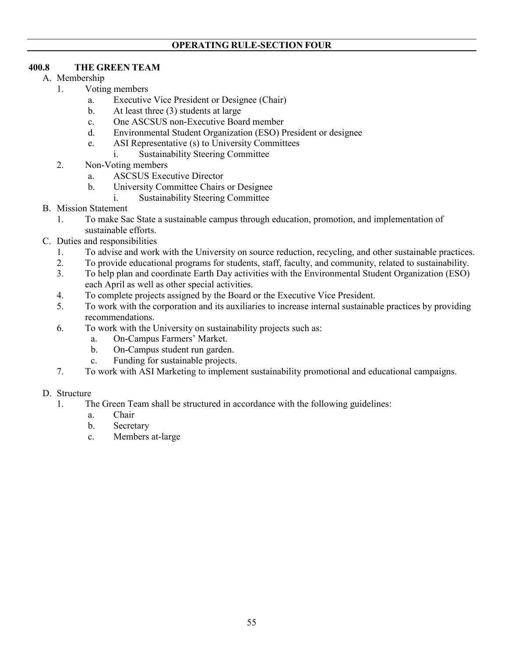# **400.8 THE GREEN TEAM**

- A. Membership
	- 1. Voting members
		- a. Executive Vice President or Designee (Chair)
		- b. At least three (3) students at large
		- c. One ASCSUS non-Executive Board member
		- d. Environmental Student Organization (ESO) President or designee
		- e. ASI Representative (s) to University Committees
			- i. Sustainability Steering Committee
	- 2. Non-Voting members
		- a. ASCSUS Executive Director
		- b. University Committee Chairs or Designee
			- i. Sustainability Steering Committee
- B. Mission Statement
	- 1. To make Sac State a sustainable campus through education, promotion, and implementation of sustainable efforts.
- C. Duties and responsibilities
	- 1. To advise and work with the University on source reduction, recycling, and other sustainable practices.
	- 2. To provide educational programs for students, staff, faculty, and community, related to sustainability.
	- 3. To help plan and coordinate Earth Day activities with the Environmental Student Organization (ESO) each April as well as other special activities.
	- 4. To complete projects assigned by the Board or the Executive Vice President.
	- 5. To work with the corporation and its auxiliaries to increase internal sustainable practices by providing recommendations.
	- 6. To work with the University on sustainability projects such as:
		- a. On-Campus Farmers' Market.
		- b. On-Campus student run garden.
		- c. Funding for sustainable projects.
	- 7. To work with ASI Marketing to implement sustainability promotional and educational campaigns.

## D. Structure

- 1. The Green Team shall be structured in accordance with the following guidelines:
	- a. Chair
	- b. Secretary
	- c. Members at-large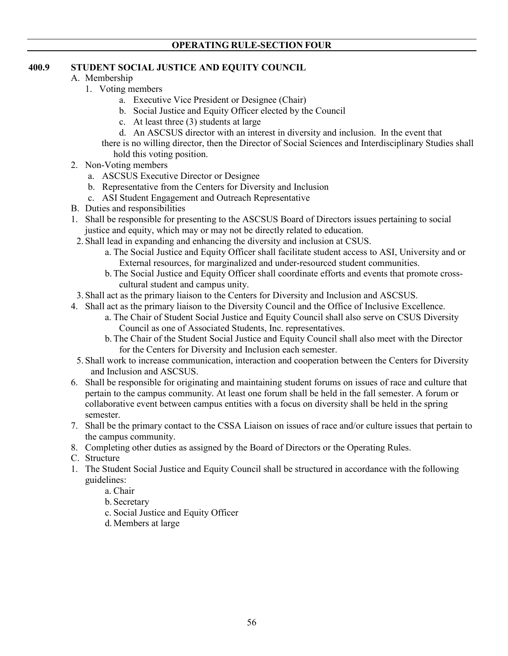# **400.9 STUDENT SOCIAL JUSTICE AND EQUITY COUNCIL**

- A. Membership
	- 1. Voting members
		- a. Executive Vice President or Designee (Chair)
		- b. Social Justice and Equity Officer elected by the Council
		- c. At least three (3) students at large
		- d. An ASCSUS director with an interest in diversity and inclusion. In the event that

there is no willing director, then the Director of Social Sciences and Interdisciplinary Studies shall hold this voting position.

- 2. Non-Voting members
	- a. ASCSUS Executive Director or Designee
	- b. Representative from the Centers for Diversity and Inclusion
	- c. ASI Student Engagement and Outreach Representative
- B. Duties and responsibilities
- 1. Shall be responsible for presenting to the ASCSUS Board of Directors issues pertaining to social justice and equity, which may or may not be directly related to education.
- 2. Shall lead in expanding and enhancing the diversity and inclusion at CSUS.
	- a. The Social Justice and Equity Officer shall facilitate student access to ASI, University and or External resources, for marginalized and under-resourced student communities.
	- b.The Social Justice and Equity Officer shall coordinate efforts and events that promote crosscultural student and campus unity.
- 3. Shall act as the primary liaison to the Centers for Diversity and Inclusion and ASCSUS.
- 4. Shall act as the primary liaison to the Diversity Council and the Office of Inclusive Excellence.
	- a. The Chair of Student Social Justice and Equity Council shall also serve on CSUS Diversity Council as one of Associated Students, Inc. representatives.
	- b.The Chair of the Student Social Justice and Equity Council shall also meet with the Director for the Centers for Diversity and Inclusion each semester.
- 5. Shall work to increase communication, interaction and cooperation between the Centers for Diversity and Inclusion and ASCSUS.
- 6. Shall be responsible for originating and maintaining student forums on issues of race and culture that pertain to the campus community. At least one forum shall be held in the fall semester. A forum or collaborative event between campus entities with a focus on diversity shall be held in the spring semester.
- 7. Shall be the primary contact to the CSSA Liaison on issues of race and/or culture issues that pertain to the campus community.
- 8. Completing other duties as assigned by the Board of Directors or the Operating Rules.
- C. Structure
- 1. The Student Social Justice and Equity Council shall be structured in accordance with the following guidelines:
	- a. Chair
	- b. Secretary
	- c. Social Justice and Equity Officer
	- d. Members at large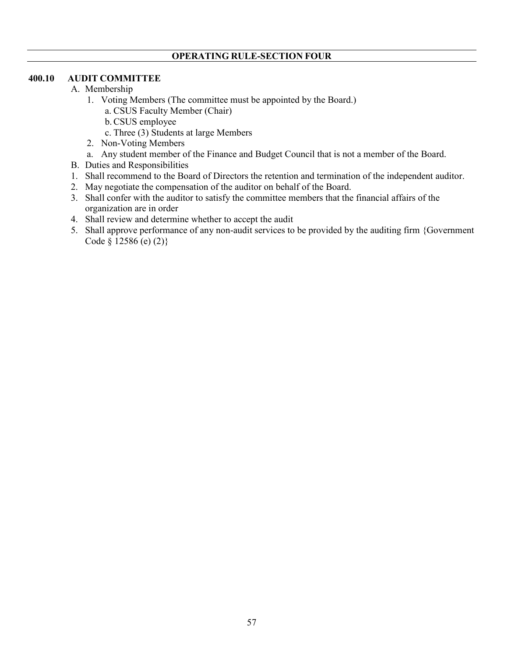## **400.10 AUDIT COMMITTEE**

- A. Membership
	- 1. Voting Members (The committee must be appointed by the Board.)
		- a. CSUS Faculty Member (Chair)
		- b.CSUS employee
		- c. Three (3) Students at large Members
	- 2. Non-Voting Members
	- a. Any student member of the Finance and Budget Council that is not a member of the Board.
- B. Duties and Responsibilities
- 1. Shall recommend to the Board of Directors the retention and termination of the independent auditor.
- 2. May negotiate the compensation of the auditor on behalf of the Board.
- 3. Shall confer with the auditor to satisfy the committee members that the financial affairs of the organization are in order
- 4. Shall review and determine whether to accept the audit
- 5. Shall approve performance of any non-audit services to be provided by the auditing firm {Government Code § 12586 (e) (2)}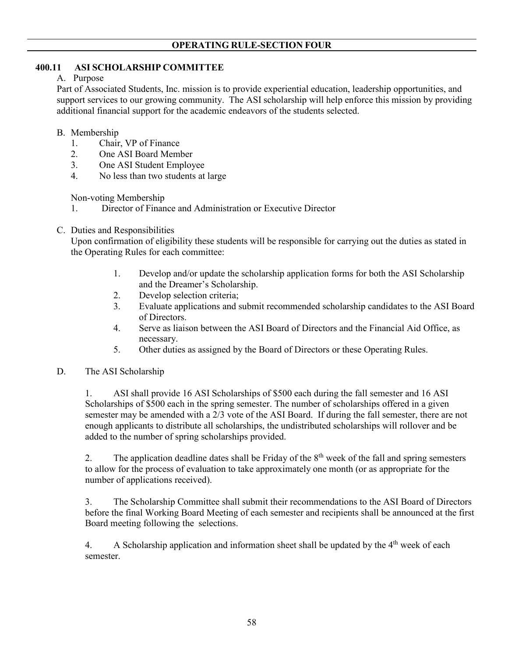## **400.11 ASI SCHOLARSHIP COMMITTEE**

A. Purpose

Part of Associated Students, Inc. mission is to provide experiential education, leadership opportunities, and support services to our growing community. The ASI scholarship will help enforce this mission by providing additional financial support for the academic endeavors of the students selected.

## B. Membership

- 1. Chair, VP of Finance
- 2. One ASI Board Member
- 3. One ASI Student Employee<br>4. No less than two students at
- No less than two students at large

Non-voting Membership

- 1. Director of Finance and Administration or Executive Director
- C. Duties and Responsibilities

Upon confirmation of eligibility these students will be responsible for carrying out the duties as stated in the Operating Rules for each committee:

- 1. Develop and/or update the scholarship application forms for both the ASI Scholarship and the Dreamer's Scholarship.
- 2. Develop selection criteria;
- 3. Evaluate applications and submit recommended scholarship candidates to the ASI Board of Directors.
- 4. Serve as liaison between the ASI Board of Directors and the Financial Aid Office, as necessary.
- 5. Other duties as assigned by the Board of Directors or these Operating Rules.

## D. The ASI Scholarship

1. ASI shall provide 16 ASI Scholarships of \$500 each during the fall semester and 16 ASI Scholarships of \$500 each in the spring semester. The number of scholarships offered in a given semester may be amended with a 2/3 vote of the ASI Board. If during the fall semester, there are not enough applicants to distribute all scholarships, the undistributed scholarships will rollover and be added to the number of spring scholarships provided.

2. The application deadline dates shall be Friday of the  $8<sup>th</sup>$  week of the fall and spring semesters to allow for the process of evaluation to take approximately one month (or as appropriate for the number of applications received).

3. The Scholarship Committee shall submit their recommendations to the ASI Board of Directors before the final Working Board Meeting of each semester and recipients shall be announced at the first Board meeting following the selections.

4. A Scholarship application and information sheet shall be updated by the 4<sup>th</sup> week of each semester.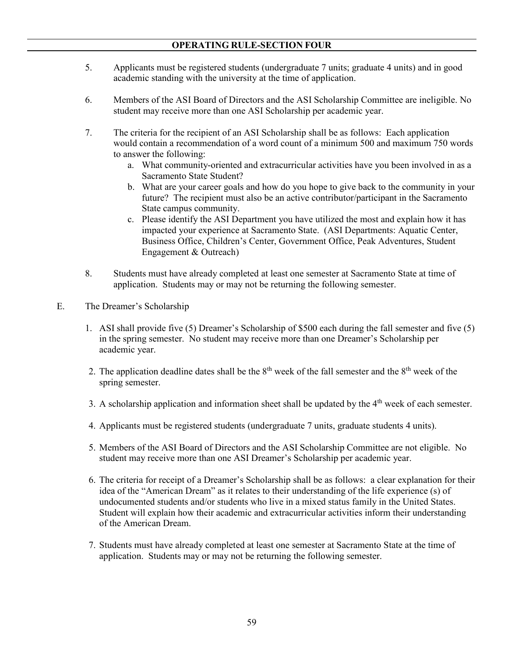- 5. Applicants must be registered students (undergraduate 7 units; graduate 4 units) and in good academic standing with the university at the time of application.
- 6. Members of the ASI Board of Directors and the ASI Scholarship Committee are ineligible. No student may receive more than one ASI Scholarship per academic year.
- 7. The criteria for the recipient of an ASI Scholarship shall be as follows: Each application would contain a recommendation of a word count of a minimum 500 and maximum 750 words to answer the following:
	- a. What community-oriented and extracurricular activities have you been involved in as a Sacramento State Student?
	- b. What are your career goals and how do you hope to give back to the community in your future? The recipient must also be an active contributor/participant in the Sacramento State campus community.
	- c. Please identify the ASI Department you have utilized the most and explain how it has impacted your experience at Sacramento State. (ASI Departments: Aquatic Center, Business Office, Children's Center, Government Office, Peak Adventures, Student Engagement & Outreach)
- 8. Students must have already completed at least one semester at Sacramento State at time of application. Students may or may not be returning the following semester.
- E. The Dreamer's Scholarship
	- 1. ASI shall provide five (5) Dreamer's Scholarship of \$500 each during the fall semester and five (5) in the spring semester. No student may receive more than one Dreamer's Scholarship per academic year.
	- 2. The application deadline dates shall be the  $8<sup>th</sup>$  week of the fall semester and the  $8<sup>th</sup>$  week of the spring semester.
	- 3. A scholarship application and information sheet shall be updated by the  $4<sup>th</sup>$  week of each semester.
	- 4. Applicants must be registered students (undergraduate 7 units, graduate students 4 units).
	- 5. Members of the ASI Board of Directors and the ASI Scholarship Committee are not eligible. No student may receive more than one ASI Dreamer's Scholarship per academic year.
	- 6. The criteria for receipt of a Dreamer's Scholarship shall be as follows: a clear explanation for their idea of the "American Dream" as it relates to their understanding of the life experience (s) of undocumented students and/or students who live in a mixed status family in the United States. Student will explain how their academic and extracurricular activities inform their understanding of the American Dream.
	- 7. Students must have already completed at least one semester at Sacramento State at the time of application. Students may or may not be returning the following semester.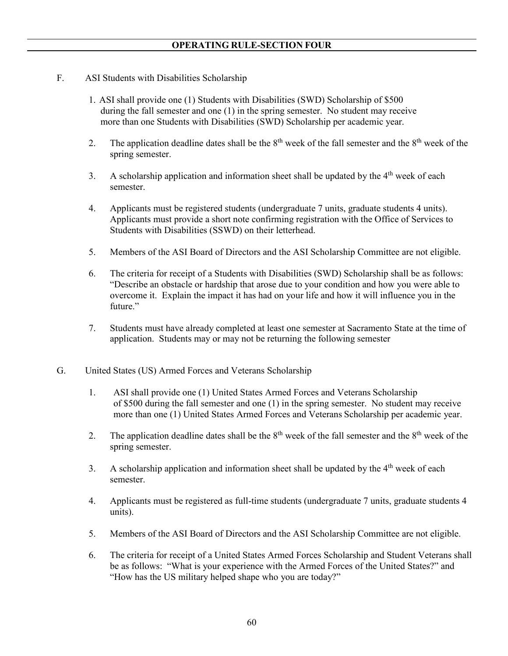- F. ASI Students with Disabilities Scholarship
	- 1. ASI shall provide one (1) Students with Disabilities (SWD) Scholarship of \$500 during the fall semester and one (1) in the spring semester. No student may receive more than one Students with Disabilities (SWD) Scholarship per academic year.
	- 2. The application deadline dates shall be the  $8<sup>th</sup>$  week of the fall semester and the  $8<sup>th</sup>$  week of the spring semester.
	- 3. A scholarship application and information sheet shall be updated by the  $4<sup>th</sup>$  week of each semester.
	- 4. Applicants must be registered students (undergraduate 7 units, graduate students 4 units). Applicants must provide a short note confirming registration with the Office of Services to Students with Disabilities (SSWD) on their letterhead.
	- 5. Members of the ASI Board of Directors and the ASI Scholarship Committee are not eligible.
	- 6. The criteria for receipt of a Students with Disabilities (SWD) Scholarship shall be as follows: "Describe an obstacle or hardship that arose due to your condition and how you were able to overcome it. Explain the impact it has had on your life and how it will influence you in the future."
	- 7. Students must have already completed at least one semester at Sacramento State at the time of application. Students may or may not be returning the following semester
- G. United States (US) Armed Forces and Veterans Scholarship
	- 1. ASI shall provide one (1) United States Armed Forces and Veterans Scholarship of \$500 during the fall semester and one (1) in the spring semester. No student may receive more than one (1) United States Armed Forces and Veterans Scholarship per academic year.
	- 2. The application deadline dates shall be the  $8<sup>th</sup>$  week of the fall semester and the  $8<sup>th</sup>$  week of the spring semester.
	- 3. A scholarship application and information sheet shall be updated by the  $4<sup>th</sup>$  week of each semester.
	- 4. Applicants must be registered as full-time students (undergraduate 7 units, graduate students 4 units).
	- 5. Members of the ASI Board of Directors and the ASI Scholarship Committee are not eligible.
	- 6. The criteria for receipt of a United States Armed Forces Scholarship and Student Veterans shall be as follows: "What is your experience with the Armed Forces of the United States?" and "How has the US military helped shape who you are today?"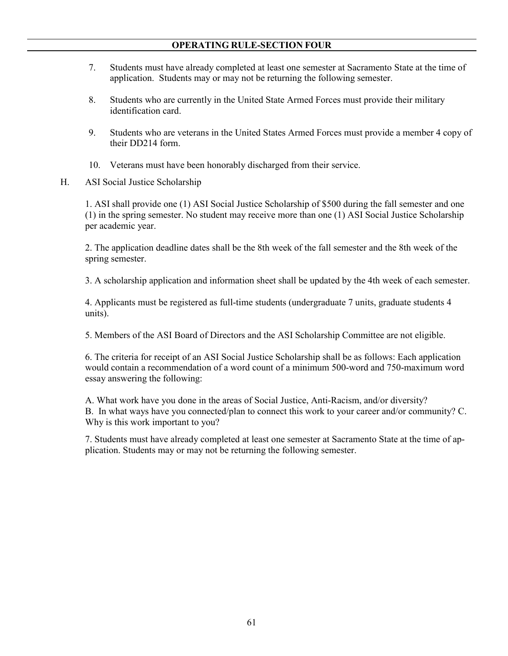- 7. Students must have already completed at least one semester at Sacramento State at the time of application. Students may or may not be returning the following semester.
- 8. Students who are currently in the United State Armed Forces must provide their military identification card.
- 9. Students who are veterans in the United States Armed Forces must provide a member 4 copy of their DD214 form.
- 10. Veterans must have been honorably discharged from their service.
- H. ASI Social Justice Scholarship

1. ASI shall provide one (1) ASI Social Justice Scholarship of \$500 during the fall semester and one (1) in the spring semester. No student may receive more than one (1) ASI Social Justice Scholarship per academic year.

2. The application deadline dates shall be the 8th week of the fall semester and the 8th week of the spring semester.

3. A scholarship application and information sheet shall be updated by the 4th week of each semester.

4. Applicants must be registered as full-time students (undergraduate 7 units, graduate students 4 units).

5. Members of the ASI Board of Directors and the ASI Scholarship Committee are not eligible.

6. The criteria for receipt of an ASI Social Justice Scholarship shall be as follows: Each application would contain a recommendation of a word count of a minimum 500-word and 750-maximum word essay answering the following:

A. What work have you done in the areas of Social Justice, Anti-Racism, and/or diversity? B. In what ways have you connected/plan to connect this work to your career and/or community? C. Why is this work important to you?

7. Students must have already completed at least one semester at Sacramento State at the time of application. Students may or may not be returning the following semester.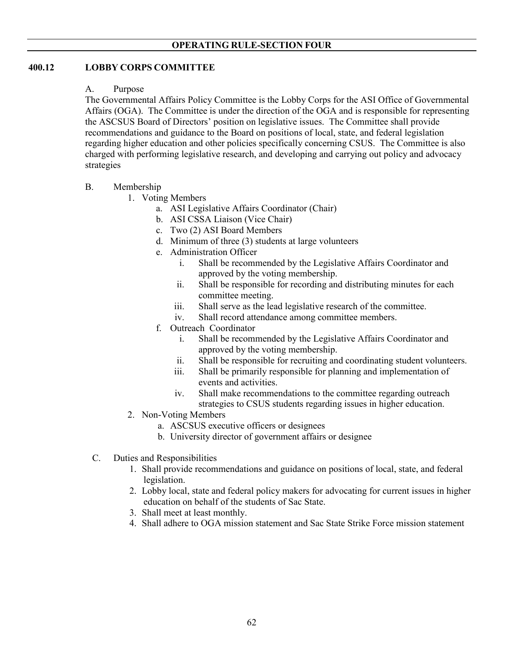## **400.12 LOBBY CORPS COMMITTEE**

## A. Purpose

The Governmental Affairs Policy Committee is the Lobby Corps for the ASI Office of Governmental Affairs (OGA). The Committee is under the direction of the OGA and is responsible for representing the ASCSUS Board of Directors' position on legislative issues. The Committee shall provide recommendations and guidance to the Board on positions of local, state, and federal legislation regarding higher education and other policies specifically concerning CSUS. The Committee is also charged with performing legislative research, and developing and carrying out policy and advocacy strategies

## B. Membership

- 1. Voting Members
	- a. ASI Legislative Affairs Coordinator (Chair)
	- b. ASI CSSA Liaison (Vice Chair)
	- c. Two (2) ASI Board Members
	- d. Minimum of three (3) students at large volunteers
	- e. Administration Officer
		- i. Shall be recommended by the Legislative Affairs Coordinator and approved by the voting membership.
		- ii. Shall be responsible for recording and distributing minutes for each committee meeting.
		- iii. Shall serve as the lead legislative research of the committee.
		- iv. Shall record attendance among committee members.
	- f. Outreach Coordinator
		- i. Shall be recommended by the Legislative Affairs Coordinator and approved by the voting membership.
		- ii. Shall be responsible for recruiting and coordinating student volunteers.
		- iii. Shall be primarily responsible for planning and implementation of events and activities.
		- iv. Shall make recommendations to the committee regarding outreach strategies to CSUS students regarding issues in higher education.
- 2. Non-Voting Members
	- a. ASCSUS executive officers or designees
	- b. University director of government affairs or designee
- C. Duties and Responsibilities
	- 1. Shall provide recommendations and guidance on positions of local, state, and federal legislation.
	- 2. Lobby local, state and federal policy makers for advocating for current issues in higher education on behalf of the students of Sac State.
	- 3. Shall meet at least monthly.
	- 4. Shall adhere to OGA mission statement and Sac State Strike Force mission statement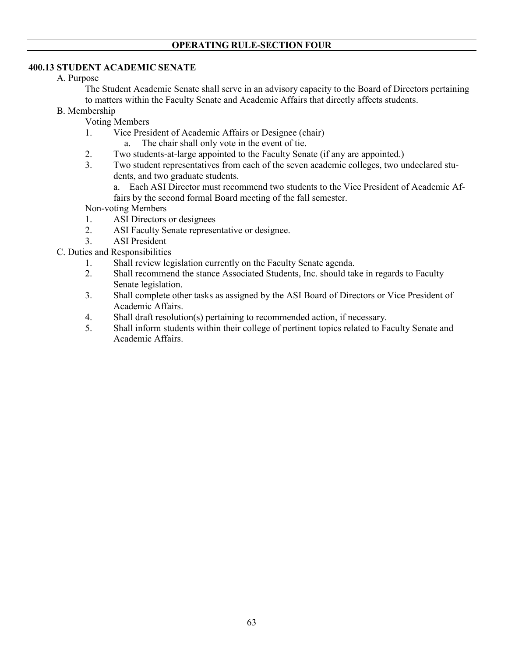# **400.13 STUDENT ACADEMIC SENATE**

## A. Purpose

The Student Academic Senate shall serve in an advisory capacity to the Board of Directors pertaining to matters within the Faculty Senate and Academic Affairs that directly affects students.

- B. Membership
	- Voting Members
	- 1. Vice President of Academic Affairs or Designee (chair)
		- a. The chair shall only vote in the event of tie.
	- 2. Two students-at-large appointed to the Faculty Senate (if any are appointed.)
	- 3. Two student representatives from each of the seven academic colleges, two undeclared students, and two graduate students.
		- a. Each ASI Director must recommend two students to the Vice President of Academic Affairs by the second formal Board meeting of the fall semester.

Non-voting Members

- 1. ASI Directors or designees
- 2. ASI Faculty Senate representative or designee.
- 3. ASI President
- C. Duties and Responsibilities
	- 1. Shall review legislation currently on the Faculty Senate agenda.
	- 2. Shall recommend the stance Associated Students, Inc. should take in regards to Faculty Senate legislation.
	- 3. Shall complete other tasks as assigned by the ASI Board of Directors or Vice President of Academic Affairs.
	- 4. Shall draft resolution(s) pertaining to recommended action, if necessary.
	- 5. Shall inform students within their college of pertinent topics related to Faculty Senate and Academic Affairs.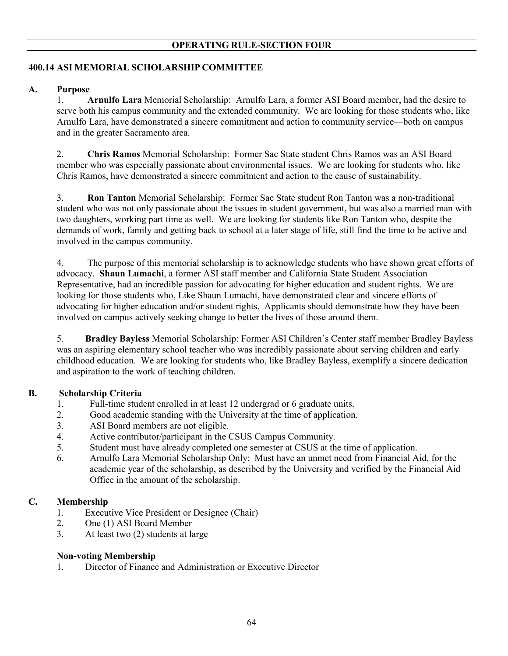# **400.14 ASI MEMORIAL SCHOLARSHIP COMMITTEE**

## **A. Purpose**

1. **Arnulfo Lara** Memorial Scholarship: Arnulfo Lara, a former ASI Board member, had the desire to serve both his campus community and the extended community. We are looking for those students who, like Arnulfo Lara, have demonstrated a sincere commitment and action to community service—both on campus and in the greater Sacramento area.

2. **Chris Ramos** Memorial Scholarship: Former Sac State student Chris Ramos was an ASI Board member who was especially passionate about environmental issues. We are looking for students who, like Chris Ramos, have demonstrated a sincere commitment and action to the cause of sustainability.

3. **Ron Tanton** Memorial Scholarship: Former Sac State student Ron Tanton was a non-traditional student who was not only passionate about the issues in student government, but was also a married man with two daughters, working part time as well. We are looking for students like Ron Tanton who, despite the demands of work, family and getting back to school at a later stage of life, still find the time to be active and involved in the campus community.

4. The purpose of this memorial scholarship is to acknowledge students who have shown great efforts of advocacy. **Shaun Lumachi**, a former ASI staff member and California State Student Association Representative, had an incredible passion for advocating for higher education and student rights. We are looking for those students who, Like Shaun Lumachi, have demonstrated clear and sincere efforts of advocating for higher education and/or student rights. Applicants should demonstrate how they have been involved on campus actively seeking change to better the lives of those around them.

5. **Bradley Bayless** Memorial Scholarship: Former ASI Children's Center staff member Bradley Bayless was an aspiring elementary school teacher who was incredibly passionate about serving children and early childhood education. We are looking for students who, like Bradley Bayless, exemplify a sincere dedication and aspiration to the work of teaching children.

## **B. Scholarship Criteria**

- 1. Full-time student enrolled in at least 12 undergrad or 6 graduate units.
- 2. Good academic standing with the University at the time of application.
- 3. ASI Board members are not eligible.
- 4. Active contributor/participant in the CSUS Campus Community.
- 5. Student must have already completed one semester at CSUS at the time of application.
- 6. Arnulfo Lara Memorial Scholarship Only: Must have an unmet need from Financial Aid, for the academic year of the scholarship, as described by the University and verified by the Financial Aid Office in the amount of the scholarship.

## **C. Membership**

- 1. Executive Vice President or Designee (Chair)
- 2. One (1) ASI Board Member
- 3. At least two (2) students at large

## **Non-voting Membership**

1. Director of Finance and Administration or Executive Director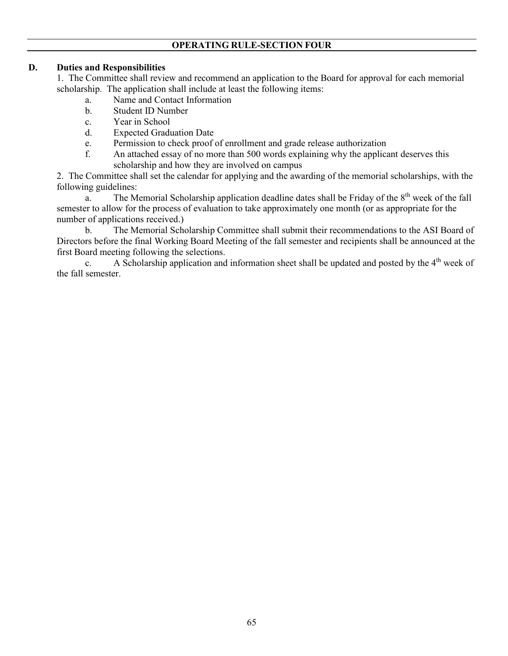## **D. Duties and Responsibilities**

1. The Committee shall review and recommend an application to the Board for approval for each memorial scholarship. The application shall include at least the following items:

- a. Name and Contact Information
- b. Student ID Number
- c. Year in School
- d. Expected Graduation Date
- e. Permission to check proof of enrollment and grade release authorization
- f. An attached essay of no more than 500 words explaining why the applicant deserves this scholarship and how they are involved on campus

2. The Committee shall set the calendar for applying and the awarding of the memorial scholarships, with the following guidelines:

a. The Memorial Scholarship application deadline dates shall be Friday of the 8<sup>th</sup> week of the fall semester to allow for the process of evaluation to take approximately one month (or as appropriate for the number of applications received.)

 b. The Memorial Scholarship Committee shall submit their recommendations to the ASI Board of Directors before the final Working Board Meeting of the fall semester and recipients shall be announced at the first Board meeting following the selections.

c. A Scholarship application and information sheet shall be updated and posted by the 4<sup>th</sup> week of the fall semester.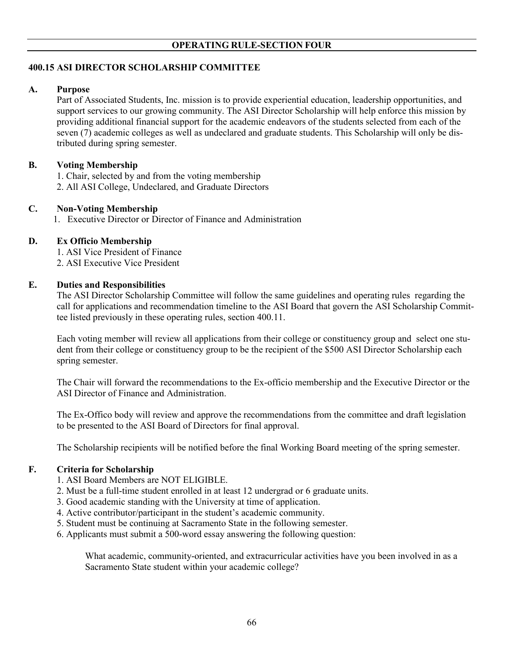# **400.15 ASI DIRECTOR SCHOLARSHIP COMMITTEE**

## **A. Purpose**

Part of Associated Students, Inc. mission is to provide experiential education, leadership opportunities, and support services to our growing community. The ASI Director Scholarship will help enforce this mission by providing additional financial support for the academic endeavors of the students selected from each of the seven (7) academic colleges as well as undeclared and graduate students. This Scholarship will only be distributed during spring semester.

## **B. Voting Membership**

1. Chair, selected by and from the voting membership

2. All ASI College, Undeclared, and Graduate Directors

## **C. Non-Voting Membership**

1. Executive Director or Director of Finance and Administration

# **D. Ex Officio Membership**

1. ASI Vice President of Finance

2. ASI Executive Vice President

# **E. Duties and Responsibilities**

The ASI Director Scholarship Committee will follow the same guidelines and operating rules regarding the call for applications and recommendation timeline to the ASI Board that govern the ASI Scholarship Committee listed previously in these operating rules, section 400.11.

Each voting member will review all applications from their college or constituency group and select one student from their college or constituency group to be the recipient of the \$500 ASI Director Scholarship each spring semester.

The Chair will forward the recommendations to the Ex-officio membership and the Executive Director or the ASI Director of Finance and Administration.

The Ex-Offico body will review and approve the recommendations from the committee and draft legislation to be presented to the ASI Board of Directors for final approval.

The Scholarship recipients will be notified before the final Working Board meeting of the spring semester.

## **F. Criteria for Scholarship**

- 1. ASI Board Members are NOT ELIGIBLE.
- 2. Must be a full-time student enrolled in at least 12 undergrad or 6 graduate units.
- 3. Good academic standing with the University at time of application.
- 4. Active contributor/participant in the student's academic community.
- 5. Student must be continuing at Sacramento State in the following semester.
- 6. Applicants must submit a 500-word essay answering the following question:

What academic, community-oriented, and extracurricular activities have you been involved in as a Sacramento State student within your academic college?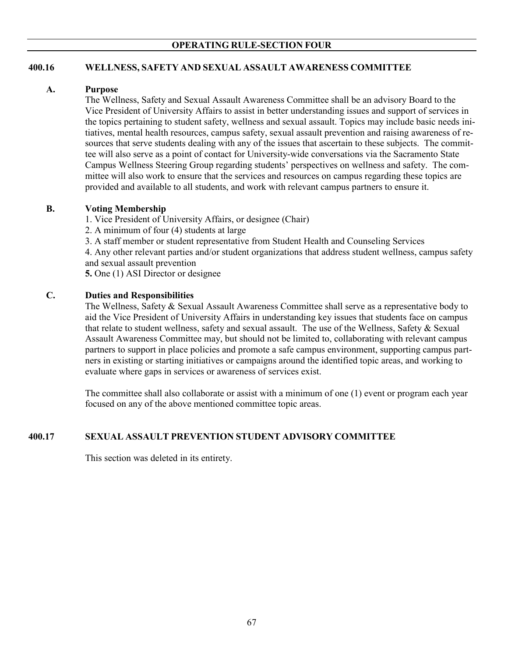# **400.16 WELLNESS, SAFETY AND SEXUAL ASSAULT AWARENESS COMMITTEE**

## **A. Purpose**

The Wellness, Safety and Sexual Assault Awareness Committee shall be an advisory Board to the Vice President of University Affairs to assist in better understanding issues and support of services in the topics pertaining to student safety, wellness and sexual assault. Topics may include basic needs initiatives, mental health resources, campus safety, sexual assault prevention and raising awareness of resources that serve students dealing with any of the issues that ascertain to these subjects. The committee will also serve as a point of contact for University-wide conversations via the Sacramento State Campus Wellness Steering Group regarding students' perspectives on wellness and safety. The committee will also work to ensure that the services and resources on campus regarding these topics are provided and available to all students, and work with relevant campus partners to ensure it.

## **B. Voting Membership**

1. Vice President of University Affairs, or designee (Chair)

2. A minimum of four (4) students at large

3. A staff member or student representative from Student Health and Counseling Services

4. Any other relevant parties and/or student organizations that address student wellness, campus safety and sexual assault prevention

**5.** One (1) ASI Director or designee

## **C. Duties and Responsibilities**

The Wellness, Safety & Sexual Assault Awareness Committee shall serve as a representative body to aid the Vice President of University Affairs in understanding key issues that students face on campus that relate to student wellness, safety and sexual assault. The use of the Wellness, Safety & Sexual Assault Awareness Committee may, but should not be limited to, collaborating with relevant campus partners to support in place policies and promote a safe campus environment, supporting campus partners in existing or starting initiatives or campaigns around the identified topic areas, and working to evaluate where gaps in services or awareness of services exist.

The committee shall also collaborate or assist with a minimum of one (1) event or program each year focused on any of the above mentioned committee topic areas.

## **400.17 SEXUAL ASSAULT PREVENTION STUDENT ADVISORY COMMITTEE**

This section was deleted in its entirety.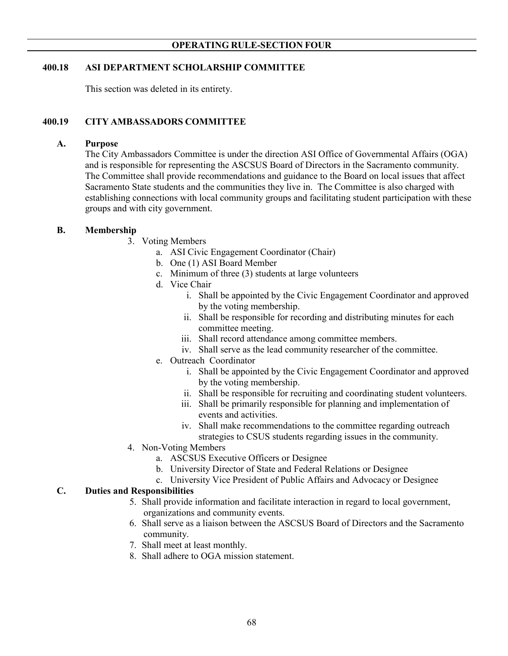## **400.18 ASI DEPARTMENT SCHOLARSHIP COMMITTEE**

This section was deleted in its entirety.

## **400.19 CITY AMBASSADORS COMMITTEE**

#### **A. Purpose**

The City Ambassadors Committee is under the direction ASI Office of Governmental Affairs (OGA) and is responsible for representing the ASCSUS Board of Directors in the Sacramento community. The Committee shall provide recommendations and guidance to the Board on local issues that affect Sacramento State students and the communities they live in. The Committee is also charged with establishing connections with local community groups and facilitating student participation with these groups and with city government.

## **B. Membership**

- 3. Voting Members
	- a. ASI Civic Engagement Coordinator (Chair)
	- b. One (1) ASI Board Member
	- c. Minimum of three (3) students at large volunteers
	- d. Vice Chair
		- i. Shall be appointed by the Civic Engagement Coordinator and approved by the voting membership.
		- ii. Shall be responsible for recording and distributing minutes for each committee meeting.
		- iii. Shall record attendance among committee members.
		- iv. Shall serve as the lead community researcher of the committee.
	- e. Outreach Coordinator
		- i. Shall be appointed by the Civic Engagement Coordinator and approved by the voting membership.
		- ii. Shall be responsible for recruiting and coordinating student volunteers.
		- iii. Shall be primarily responsible for planning and implementation of events and activities.
		- iv. Shall make recommendations to the committee regarding outreach strategies to CSUS students regarding issues in the community.
- 4. Non-Voting Members
	- a. ASCSUS Executive Officers or Designee
	- b. University Director of State and Federal Relations or Designee
	- c. University Vice President of Public Affairs and Advocacy or Designee

## **C. Duties and Responsibilities**

- 5. Shall provide information and facilitate interaction in regard to local government, organizations and community events.
- 6. Shall serve as a liaison between the ASCSUS Board of Directors and the Sacramento community.
- 7. Shall meet at least monthly.
- 8. Shall adhere to OGA mission statement.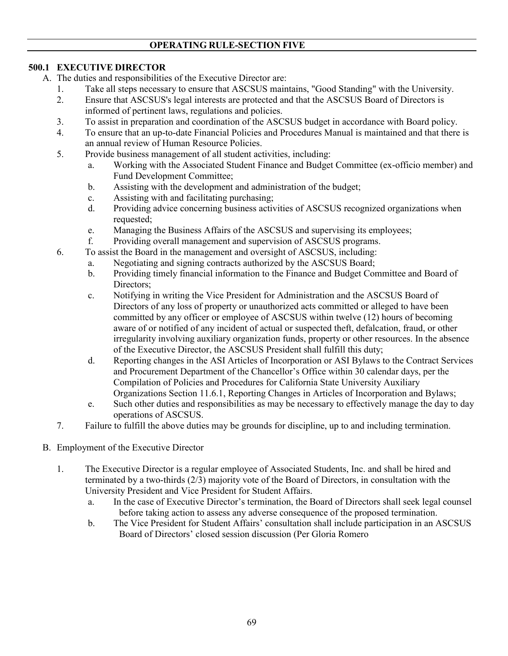# **OPERATING RULE-SECTION FIVE**

# **500.1 EXECUTIVE DIRECTOR**

- A. The duties and responsibilities of the Executive Director are:
	- 1. Take all steps necessary to ensure that ASCSUS maintains, "Good Standing" with the University.
	- 2. Ensure that ASCSUS's legal interests are protected and that the ASCSUS Board of Directors is informed of pertinent laws, regulations and policies.
	- 3. To assist in preparation and coordination of the ASCSUS budget in accordance with Board policy.
	- 4. To ensure that an up-to-date Financial Policies and Procedures Manual is maintained and that there is an annual review of Human Resource Policies.
	- 5. Provide business management of all student activities, including:
		- a. Working with the Associated Student Finance and Budget Committee (ex-officio member) and Fund Development Committee;
		- b. Assisting with the development and administration of the budget;
		- c. Assisting with and facilitating purchasing;
		- d. Providing advice concerning business activities of ASCSUS recognized organizations when requested;
		- e. Managing the Business Affairs of the ASCSUS and supervising its employees;
		- f. Providing overall management and supervision of ASCSUS programs.
	- 6. To assist the Board in the management and oversight of ASCSUS, including:
		- a. Negotiating and signing contracts authorized by the ASCSUS Board;
		- b. Providing timely financial information to the Finance and Budget Committee and Board of Directors;
		- c. Notifying in writing the Vice President for Administration and the ASCSUS Board of Directors of any loss of property or unauthorized acts committed or alleged to have been committed by any officer or employee of ASCSUS within twelve (12) hours of becoming aware of or notified of any incident of actual or suspected theft, defalcation, fraud, or other irregularity involving auxiliary organization funds, property or other resources. In the absence of the Executive Director, the ASCSUS President shall fulfill this duty;
		- d. Reporting changes in the ASI Articles of Incorporation or ASI Bylaws to the Contract Services and Procurement Department of the Chancellor's Office within 30 calendar days, per the Compilation of Policies and Procedures for California State University Auxiliary Organizations Section 11.6.1, Reporting Changes in Articles of Incorporation and Bylaws;
		- e. Such other duties and responsibilities as may be necessary to effectively manage the day to day operations of ASCSUS.
	- 7. Failure to fulfill the above duties may be grounds for discipline, up to and including termination.
- B. Employment of the Executive Director
	- 1. The Executive Director is a regular employee of Associated Students, Inc. and shall be hired and terminated by a two-thirds (2/3) majority vote of the Board of Directors, in consultation with the University President and Vice President for Student Affairs.
		- a. In the case of Executive Director's termination, the Board of Directors shall seek legal counsel before taking action to assess any adverse consequence of the proposed termination.
		- b. The Vice President for Student Affairs' consultation shall include participation in an ASCSUS Board of Directors' closed session discussion (Per Gloria Romero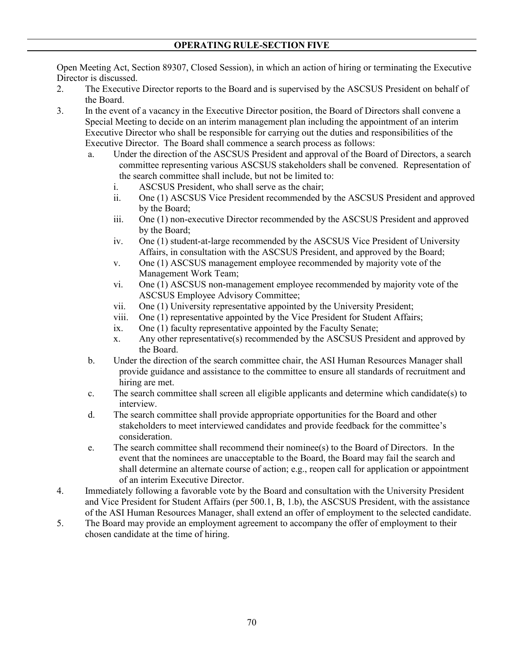Open Meeting Act, Section 89307, Closed Session), in which an action of hiring or terminating the Executive Director is discussed.

- 2. The Executive Director reports to the Board and is supervised by the ASCSUS President on behalf of the Board.
- 3. In the event of a vacancy in the Executive Director position, the Board of Directors shall convene a Special Meeting to decide on an interim management plan including the appointment of an interim Executive Director who shall be responsible for carrying out the duties and responsibilities of the Executive Director. The Board shall commence a search process as follows:
	- a. Under the direction of the ASCSUS President and approval of the Board of Directors, a search committee representing various ASCSUS stakeholders shall be convened. Representation of the search committee shall include, but not be limited to:
		- i. ASCSUS President, who shall serve as the chair;
		- ii. One (1) ASCSUS Vice President recommended by the ASCSUS President and approved by the Board;
		- iii. One (1) non-executive Director recommended by the ASCSUS President and approved by the Board;
		- iv. One (1) student-at-large recommended by the ASCSUS Vice President of University Affairs, in consultation with the ASCSUS President, and approved by the Board;
		- v. One (1) ASCSUS management employee recommended by majority vote of the Management Work Team;
		- vi. One (1) ASCSUS non-management employee recommended by majority vote of the ASCSUS Employee Advisory Committee;
		- vii. One (1) University representative appointed by the University President;
		- viii. One (1) representative appointed by the Vice President for Student Affairs;
		- ix. One (1) faculty representative appointed by the Faculty Senate;
		- x. Any other representative(s) recommended by the ASCSUS President and approved by the Board.
	- b. Under the direction of the search committee chair, the ASI Human Resources Manager shall provide guidance and assistance to the committee to ensure all standards of recruitment and hiring are met.
	- c. The search committee shall screen all eligible applicants and determine which candidate(s) to interview.
	- d. The search committee shall provide appropriate opportunities for the Board and other stakeholders to meet interviewed candidates and provide feedback for the committee's consideration.
	- e. The search committee shall recommend their nominee(s) to the Board of Directors. In the event that the nominees are unacceptable to the Board, the Board may fail the search and shall determine an alternate course of action; e.g., reopen call for application or appointment of an interim Executive Director.
- 4. Immediately following a favorable vote by the Board and consultation with the University President and Vice President for Student Affairs (per 500.1, B, 1.b), the ASCSUS President, with the assistance of the ASI Human Resources Manager, shall extend an offer of employment to the selected candidate.
- 5. The Board may provide an employment agreement to accompany the offer of employment to their chosen candidate at the time of hiring.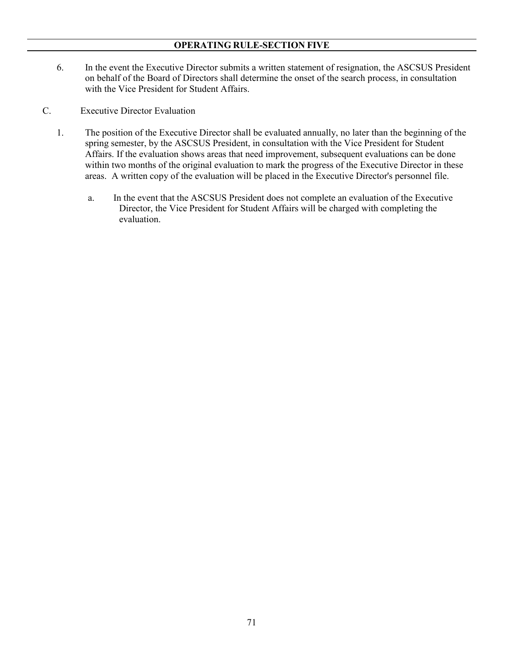## **OPERATING RULE-SECTION FIVE**

- 6. In the event the Executive Director submits a written statement of resignation, the ASCSUS President on behalf of the Board of Directors shall determine the onset of the search process, in consultation with the Vice President for Student Affairs.
- C. Executive Director Evaluation
	- 1. The position of the Executive Director shall be evaluated annually, no later than the beginning of the spring semester, by the ASCSUS President, in consultation with the Vice President for Student Affairs. If the evaluation shows areas that need improvement, subsequent evaluations can be done within two months of the original evaluation to mark the progress of the Executive Director in these areas. A written copy of the evaluation will be placed in the Executive Director's personnel file.
		- a. In the event that the ASCSUS President does not complete an evaluation of the Executive Director, the Vice President for Student Affairs will be charged with completing the evaluation.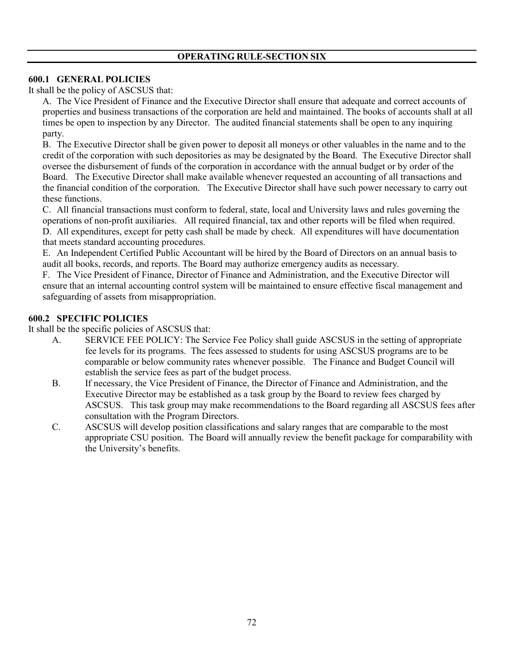# **OPERATING RULE-SECTION SIX**

### **600.1 GENERAL POLICIES**

It shall be the policy of ASCSUS that:

A. The Vice President of Finance and the Executive Director shall ensure that adequate and correct accounts of properties and business transactions of the corporation are held and maintained. The books of accounts shall at all times be open to inspection by any Director. The audited financial statements shall be open to any inquiring party.

B. The Executive Director shall be given power to deposit all moneys or other valuables in the name and to the credit of the corporation with such depositories as may be designated by the Board. The Executive Director shall oversee the disbursement of funds of the corporation in accordance with the annual budget or by order of the Board. The Executive Director shall make available whenever requested an accounting of all transactions and the financial condition of the corporation. The Executive Director shall have such power necessary to carry out these functions.

C. All financial transactions must conform to federal, state, local and University laws and rules governing the operations of non-profit auxiliaries. All required financial, tax and other reports will be filed when required. D. All expenditures, except for petty cash shall be made by check. All expenditures will have documentation that meets standard accounting procedures.

E. An Independent Certified Public Accountant will be hired by the Board of Directors on an annual basis to audit all books, records, and reports. The Board may authorize emergency audits as necessary.

F. The Vice President of Finance, Director of Finance and Administration, and the Executive Director will ensure that an internal accounting control system will be maintained to ensure effective fiscal management and safeguarding of assets from misappropriation.

## **600.2 SPECIFIC POLICIES**

It shall be the specific policies of ASCSUS that:

- A. SERVICE FEE POLICY: The Service Fee Policy shall guide ASCSUS in the setting of appropriate fee levels for its programs. The fees assessed to students for using ASCSUS programs are to be comparable or below community rates whenever possible. The Finance and Budget Council will establish the service fees as part of the budget process.
- B. If necessary, the Vice President of Finance, the Director of Finance and Administration, and the Executive Director may be established as a task group by the Board to review fees charged by ASCSUS. This task group may make recommendations to the Board regarding all ASCSUS fees after consultation with the Program Directors.
- C. ASCSUS will develop position classifications and salary ranges that are comparable to the most appropriate CSU position. The Board will annually review the benefit package for comparability with the University's benefits.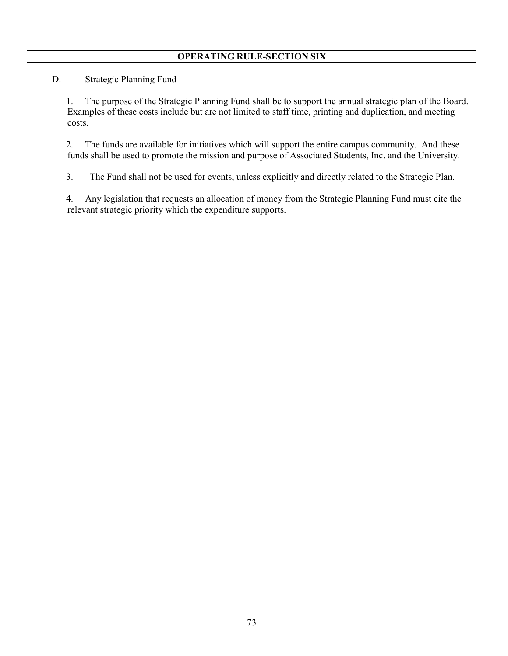# **OPERATING RULE-SECTION SIX**

D. Strategic Planning Fund

1. The purpose of the Strategic Planning Fund shall be to support the annual strategic plan of the Board. Examples of these costs include but are not limited to staff time, printing and duplication, and meeting costs.

2. The funds are available for initiatives which will support the entire campus community. And these funds shall be used to promote the mission and purpose of Associated Students, Inc. and the University.

3. The Fund shall not be used for events, unless explicitly and directly related to the Strategic Plan.

4. Any legislation that requests an allocation of money from the Strategic Planning Fund must cite the relevant strategic priority which the expenditure supports.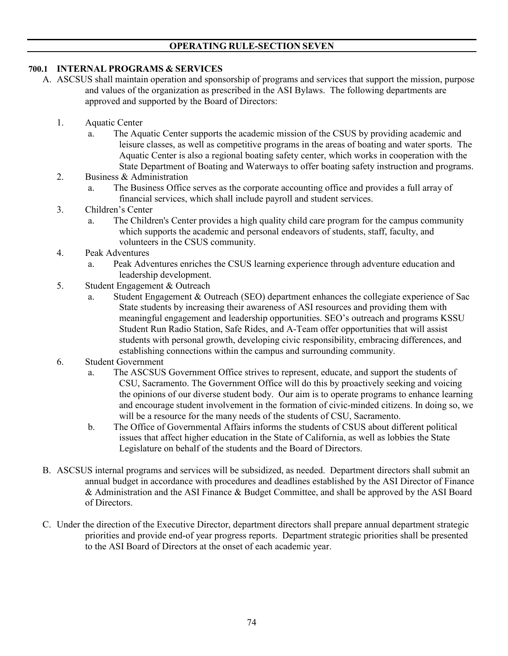### **OPERATING RULE-SECTION SEVEN**

### **700.1 INTERNAL PROGRAMS & SERVICES**

- A. ASCSUS shall maintain operation and sponsorship of programs and services that support the mission, purpose and values of the organization as prescribed in the ASI Bylaws. The following departments are approved and supported by the Board of Directors:
	- 1. Aquatic Center
		- a. The Aquatic Center supports the academic mission of the CSUS by providing academic and leisure classes, as well as competitive programs in the areas of boating and water sports. The Aquatic Center is also a regional boating safety center, which works in cooperation with the State Department of Boating and Waterways to offer boating safety instruction and programs.
	- 2. Business & Administration
		- a. The Business Office serves as the corporate accounting office and provides a full array of financial services, which shall include payroll and student services.
	- 3. Children's Center
		- a. The Children's Center provides a high quality child care program for the campus community which supports the academic and personal endeavors of students, staff, faculty, and volunteers in the CSUS community.
	- 4. Peak Adventures
		- a. Peak Adventures enriches the CSUS learning experience through adventure education and leadership development.
	- 5. Student Engagement & Outreach
		- a. Student Engagement & Outreach (SEO) department enhances the collegiate experience of Sac State students by increasing their awareness of ASI resources and providing them with meaningful engagement and leadership opportunities. SEO's outreach and programs KSSU Student Run Radio Station, Safe Rides, and A-Team offer opportunities that will assist students with personal growth, developing civic responsibility, embracing differences, and establishing connections within the campus and surrounding community.
	- 6. Student Government
		- a. The ASCSUS Government Office strives to represent, educate, and support the students of CSU, Sacramento. The Government Office will do this by proactively seeking and voicing the opinions of our diverse student body. Our aim is to operate programs to enhance learning and encourage student involvement in the formation of civic-minded citizens. In doing so, we will be a resource for the many needs of the students of CSU, Sacramento.
		- b. The Office of Governmental Affairs informs the students of CSUS about different political issues that affect higher education in the State of California, as well as lobbies the State Legislature on behalf of the students and the Board of Directors.
- B. ASCSUS internal programs and services will be subsidized, as needed. Department directors shall submit an annual budget in accordance with procedures and deadlines established by the ASI Director of Finance & Administration and the ASI Finance & Budget Committee, and shall be approved by the ASI Board of Directors.
- C. Under the direction of the Executive Director, department directors shall prepare annual department strategic priorities and provide end-of year progress reports. Department strategic priorities shall be presented to the ASI Board of Directors at the onset of each academic year.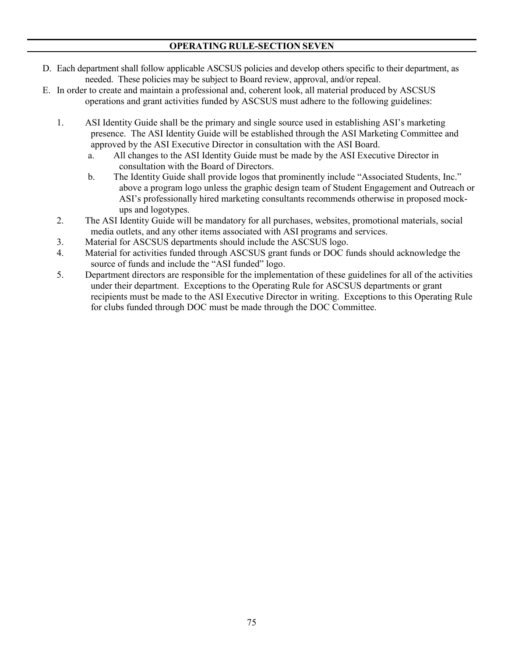### **OPERATING RULE-SECTION SEVEN**

- D. Each department shall follow applicable ASCSUS policies and develop others specific to their department, as needed. These policies may be subject to Board review, approval, and/or repeal.
- E. In order to create and maintain a professional and, coherent look, all material produced by ASCSUS operations and grant activities funded by ASCSUS must adhere to the following guidelines:
	- 1. ASI Identity Guide shall be the primary and single source used in establishing ASI's marketing presence. The ASI Identity Guide will be established through the ASI Marketing Committee and approved by the ASI Executive Director in consultation with the ASI Board.
		- a. All changes to the ASI Identity Guide must be made by the ASI Executive Director in consultation with the Board of Directors.
		- b. The Identity Guide shall provide logos that prominently include "Associated Students, Inc." above a program logo unless the graphic design team of Student Engagement and Outreach or ASI's professionally hired marketing consultants recommends otherwise in proposed mockups and logotypes.
	- 2. The ASI Identity Guide will be mandatory for all purchases, websites, promotional materials, social media outlets, and any other items associated with ASI programs and services.
	- 3. Material for ASCSUS departments should include the ASCSUS logo.
	- 4. Material for activities funded through ASCSUS grant funds or DOC funds should acknowledge the source of funds and include the "ASI funded" logo.
	- 5. Department directors are responsible for the implementation of these guidelines for all of the activities under their department. Exceptions to the Operating Rule for ASCSUS departments or grant recipients must be made to the ASI Executive Director in writing. Exceptions to this Operating Rule for clubs funded through DOC must be made through the DOC Committee.